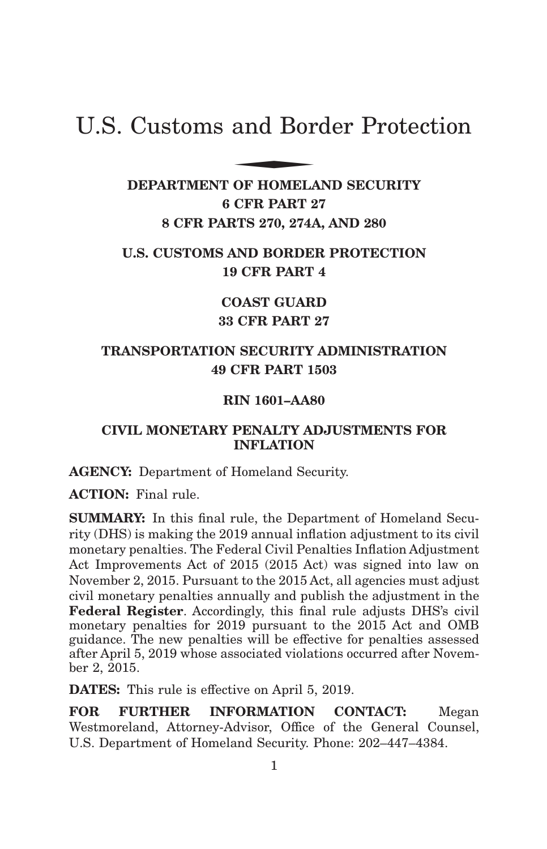# U.S. Customs and Border Protection and Bor

**DEPARTMENT OF HOMELAND SECURITY 6 CFR PART 27 8 CFR PARTS 270, 274A, AND 280**

# **U.S. CUSTOMS AND BORDER PROTECTION 19 CFR PART 4**

**COAST GUARD 33 CFR PART 27**

# **TRANSPORTATION SECURITY ADMINISTRATION 49 CFR PART 1503**

# **RIN 1601–AA80**

# **CIVIL MONETARY PENALTY ADJUSTMENTS FOR INFLATION**

**AGENCY:** Department of Homeland Security.

**ACTION:** Final rule.

**SUMMARY:** In this final rule, the Department of Homeland Security (DHS) is making the 2019 annual inflation adjustment to its civil monetary penalties. The Federal Civil Penalties Inflation Adjustment Act Improvements Act of 2015 (2015 Act) was signed into law on November 2, 2015. Pursuant to the 2015 Act, all agencies must adjust civil monetary penalties annually and publish the adjustment in the **Federal Register**. Accordingly, this final rule adjusts DHS's civil monetary penalties for 2019 pursuant to the 2015 Act and OMB guidance. The new penalties will be effective for penalties assessed after April 5, 2019 whose associated violations occurred after November 2, 2015.

**DATES:** This rule is effective on April 5, 2019.

**FOR FURTHER INFORMATION CONTACT:** Megan Westmoreland, Attorney-Advisor, Office of the General Counsel, U.S. Department of Homeland Security. Phone: 202–447–4384.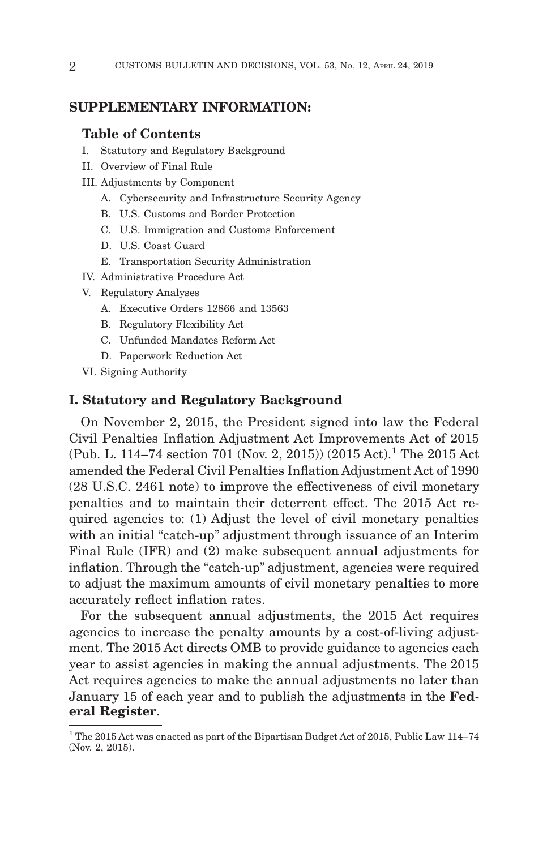## **SUPPLEMENTARY INFORMATION:**

#### **Table of Contents**

- I. Statutory and Regulatory Background
- II. Overview of Final Rule
- III. Adjustments by Component
	- A. Cybersecurity and Infrastructure Security Agency
	- B. U.S. Customs and Border Protection
	- C. U.S. Immigration and Customs Enforcement
	- D. U.S. Coast Guard
	- E. Transportation Security Administration
- IV. Administrative Procedure Act
- V. Regulatory Analyses
	- A. Executive Orders 12866 and 13563
	- B. Regulatory Flexibility Act
	- C. Unfunded Mandates Reform Act
	- D. Paperwork Reduction Act
- VI. Signing Authority

#### **I. Statutory and Regulatory Background**

On November 2, 2015, the President signed into law the Federal Civil Penalties Inflation Adjustment Act Improvements Act of 2015 (Pub. L. 114–74 section 701 (Nov. 2, 2015)) (2015 Act).<sup>1</sup> The 2015 Act amended the Federal Civil Penalties Inflation Adjustment Act of 1990 (28 U.S.C. 2461 note) to improve the effectiveness of civil monetary penalties and to maintain their deterrent effect. The 2015 Act required agencies to: (1) Adjust the level of civil monetary penalties with an initial "catch-up" adjustment through issuance of an Interim Final Rule (IFR) and (2) make subsequent annual adjustments for inflation. Through the "catch-up" adjustment, agencies were required to adjust the maximum amounts of civil monetary penalties to more accurately reflect inflation rates.

For the subsequent annual adjustments, the 2015 Act requires agencies to increase the penalty amounts by a cost-of-living adjustment. The 2015 Act directs OMB to provide guidance to agencies each year to assist agencies in making the annual adjustments. The 2015 Act requires agencies to make the annual adjustments no later than January 15 of each year and to publish the adjustments in the **Federal Register**.

<sup>&</sup>lt;sup>1</sup> The 2015 Act was enacted as part of the Bipartisan Budget Act of 2015, Public Law 114–74 (Nov. 2, 2015).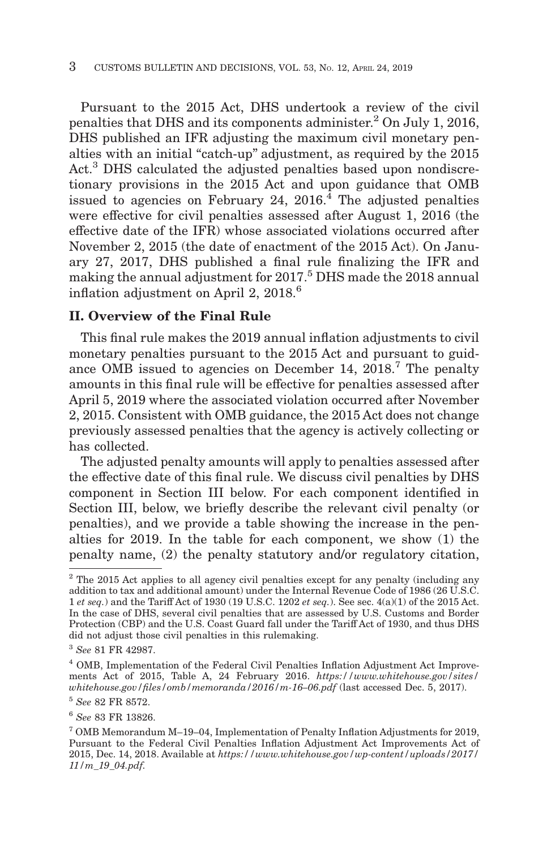Pursuant to the 2015 Act, DHS undertook a review of the civil penalties that DHS and its components administer.2 On July 1, 2016, DHS published an IFR adjusting the maximum civil monetary penalties with an initial "catch-up" adjustment, as required by the 2015 Act.<sup>3</sup> DHS calculated the adjusted penalties based upon nondiscretionary provisions in the 2015 Act and upon guidance that OMB issued to agencies on February 24,  $2016<sup>4</sup>$  The adjusted penalties were effective for civil penalties assessed after August 1, 2016 (the effective date of the IFR) whose associated violations occurred after November 2, 2015 (the date of enactment of the 2015 Act). On January 27, 2017, DHS published a final rule finalizing the IFR and making the annual adjustment for 2017.5 DHS made the 2018 annual inflation adjustment on April 2, 2018.<sup>6</sup>

# **II. Overview of the Final Rule**

This final rule makes the 2019 annual inflation adjustments to civil monetary penalties pursuant to the 2015 Act and pursuant to guidance OMB issued to agencies on December 14, 2018.<sup>7</sup> The penalty amounts in this final rule will be effective for penalties assessed after April 5, 2019 where the associated violation occurred after November 2, 2015. Consistent with OMB guidance, the 2015 Act does not change previously assessed penalties that the agency is actively collecting or has collected.

The adjusted penalty amounts will apply to penalties assessed after the effective date of this final rule. We discuss civil penalties by DHS component in Section III below. For each component identified in Section III, below, we briefly describe the relevant civil penalty (or penalties), and we provide a table showing the increase in the penalties for 2019. In the table for each component, we show (1) the penalty name, (2) the penalty statutory and/or regulatory citation,

<sup>&</sup>lt;sup>2</sup> The 2015 Act applies to all agency civil penalties except for any penalty (including any addition to tax and additional amount) under the Internal Revenue Code of 1986 (26 U.S.C. 1 *et seq.*) and the Tariff Act of 1930 (19 U.S.C. 1202 *et seq.*). See sec. 4(a)(1) of the 2015 Act. In the case of DHS, several civil penalties that are assessed by U.S. Customs and Border Protection (CBP) and the U.S. Coast Guard fall under the Tariff Act of 1930, and thus DHS did not adjust those civil penalties in this rulemaking.

<sup>3</sup>*See* 81 FR 42987.

<sup>4</sup> OMB, Implementation of the Federal Civil Penalties Inflation Adjustment Act Improvements Act of 2015, Table A, 24 February 2016. *https://www.whitehouse.gov/sites/ whitehouse.gov/files/omb/memoranda/2016/m-16–06.pdf* (last accessed Dec. 5, 2017).

<sup>5</sup>*See* 82 FR 8572.

<sup>6</sup>*See* 83 FR 13826.

<sup>7</sup> OMB Memorandum M–19–04, Implementation of Penalty Inflation Adjustments for 2019, Pursuant to the Federal Civil Penalties Inflation Adjustment Act Improvements Act of 2015, Dec. 14, 2018. Available at *https://www.whitehouse.gov/wp-content/uploads/2017/ 11/m\_19\_04.pdf.*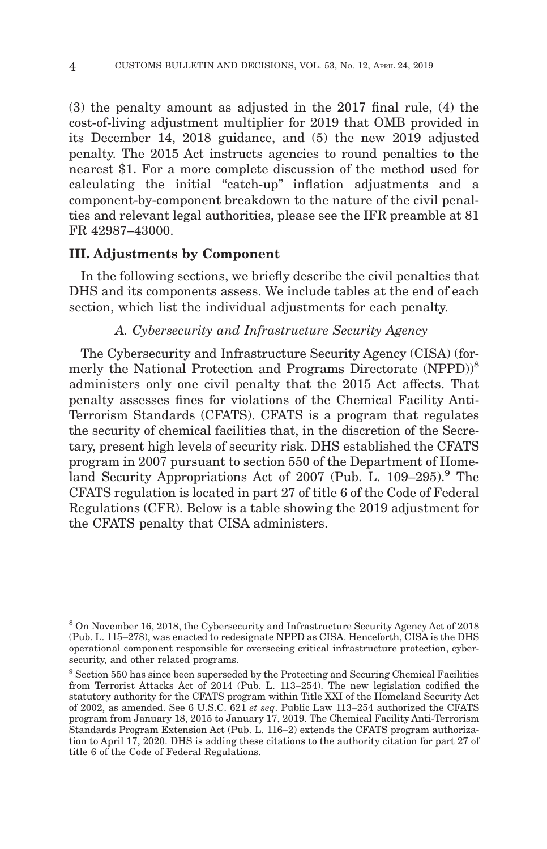(3) the penalty amount as adjusted in the 2017 final rule, (4) the cost-of-living adjustment multiplier for 2019 that OMB provided in its December 14, 2018 guidance, and (5) the new 2019 adjusted penalty. The 2015 Act instructs agencies to round penalties to the nearest \$1. For a more complete discussion of the method used for calculating the initial ''catch-up'' inflation adjustments and a component-by-component breakdown to the nature of the civil penalties and relevant legal authorities, please see the IFR preamble at 81 FR 42987–43000.

### **III. Adjustments by Component**

In the following sections, we briefly describe the civil penalties that DHS and its components assess. We include tables at the end of each section, which list the individual adjustments for each penalty.

# *A. Cybersecurity and Infrastructure Security Agency*

The Cybersecurity and Infrastructure Security Agency (CISA) (formerly the National Protection and Programs Directorate (NPPD))<sup>8</sup> administers only one civil penalty that the 2015 Act affects. That penalty assesses fines for violations of the Chemical Facility Anti-Terrorism Standards (CFATS). CFATS is a program that regulates the security of chemical facilities that, in the discretion of the Secretary, present high levels of security risk. DHS established the CFATS program in 2007 pursuant to section 550 of the Department of Homeland Security Appropriations Act of 2007 (Pub. L. 109–295).<sup>9</sup> The CFATS regulation is located in part 27 of title 6 of the Code of Federal Regulations (CFR). Below is a table showing the 2019 adjustment for the CFATS penalty that CISA administers.

<sup>8</sup> On November 16, 2018, the Cybersecurity and Infrastructure Security Agency Act of 2018 (Pub. L. 115–278), was enacted to redesignate NPPD as CISA. Henceforth, CISA is the DHS operational component responsible for overseeing critical infrastructure protection, cybersecurity, and other related programs.

<sup>9</sup> Section 550 has since been superseded by the Protecting and Securing Chemical Facilities from Terrorist Attacks Act of 2014 (Pub. L. 113–254). The new legislation codified the statutory authority for the CFATS program within Title XXI of the Homeland Security Act of 2002, as amended. See 6 U.S.C. 621 *et seq*. Public Law 113–254 authorized the CFATS program from January 18, 2015 to January 17, 2019. The Chemical Facility Anti-Terrorism Standards Program Extension Act (Pub. L. 116–2) extends the CFATS program authorization to April 17, 2020. DHS is adding these citations to the authority citation for part 27 of title 6 of the Code of Federal Regulations.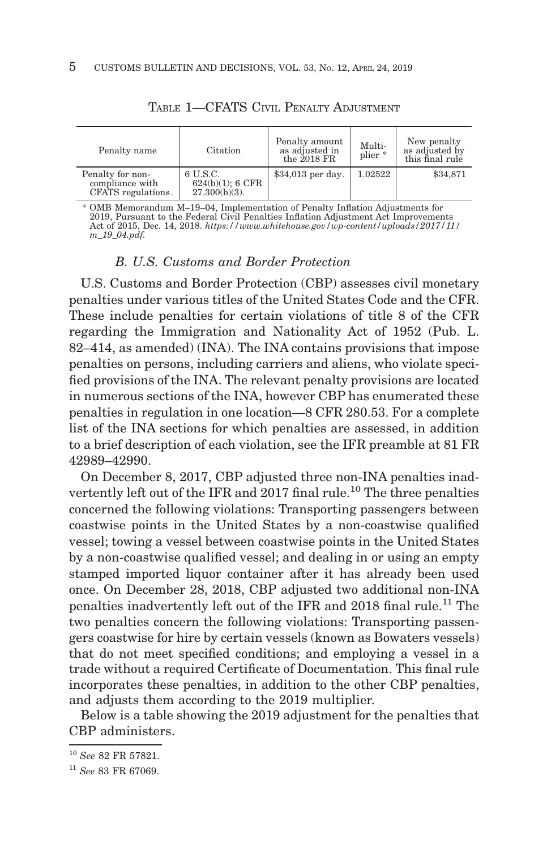| Penalty name                                              | Citation                                        | Penalty amount<br>as adjusted in<br>the $2018$ FR | Multi-<br>$plier *$ | New penalty<br>as adjusted by<br>this final rule |
|-----------------------------------------------------------|-------------------------------------------------|---------------------------------------------------|---------------------|--------------------------------------------------|
| Penalty for non-<br>compliance with<br>CFATS regulations. | 6 U.S.C.<br>624(b)(1); 6CFR<br>$27.300(b)(3)$ . | $$34,013$ per day.                                | 1.02522             | \$34,871                                         |

TABLE 1—CFATS CIVIL PENALTY ADJUSTMENT

% OMB Memorandum M–19–04, Implementation of Penalty Inflation Adjustments for<br>2019, Pursuant to the Federal Civil Penalties Inflation Adjustment Act Improvements<br>Act of 2015, Dec. 14, 2018. https://www.whitehouse.gov/wp-co *m\_19\_04.pdf.*

#### *B. U.S. Customs and Border Protection*

U.S. Customs and Border Protection (CBP) assesses civil monetary penalties under various titles of the United States Code and the CFR. These include penalties for certain violations of title 8 of the CFR regarding the Immigration and Nationality Act of 1952 (Pub. L. 82–414, as amended) (INA). The INA contains provisions that impose penalties on persons, including carriers and aliens, who violate specified provisions of the INA. The relevant penalty provisions are located in numerous sections of the INA, however CBP has enumerated these penalties in regulation in one location—8 CFR 280.53. For a complete list of the INA sections for which penalties are assessed, in addition to a brief description of each violation, see the IFR preamble at 81 FR 42989–42990.

On December 8, 2017, CBP adjusted three non-INA penalties inadvertently left out of the IFR and 2017 final rule.<sup>10</sup> The three penalties concerned the following violations: Transporting passengers between coastwise points in the United States by a non-coastwise qualified vessel; towing a vessel between coastwise points in the United States by a non-coastwise qualified vessel; and dealing in or using an empty stamped imported liquor container after it has already been used once. On December 28, 2018, CBP adjusted two additional non-INA penalties inadvertently left out of the IFR and 2018 final rule.11 The two penalties concern the following violations: Transporting passengers coastwise for hire by certain vessels (known as Bowaters vessels) that do not meet specified conditions; and employing a vessel in a trade without a required Certificate of Documentation. This final rule incorporates these penalties, in addition to the other CBP penalties, and adjusts them according to the 2019 multiplier.

Below is a table showing the 2019 adjustment for the penalties that CBP administers.

<sup>10</sup>*See* 82 FR 57821.

<sup>11</sup>*See* 83 FR 67069.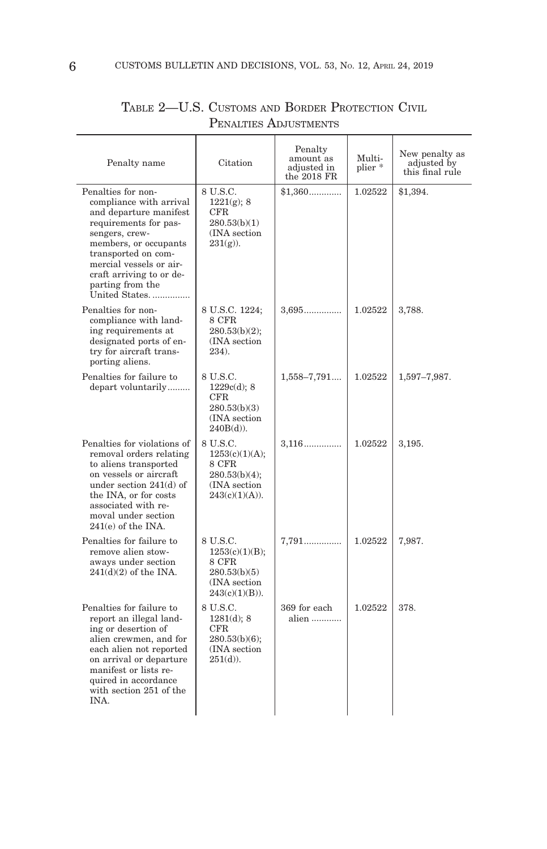| Penalty name                                                                                                                                                                                                                                                   | Citation                                                                                   | Penalty<br>amount as<br>adjusted in<br>the 2018 FR | Multi-<br>plier * | New penalty as<br>adjusted by<br>this final rule |
|----------------------------------------------------------------------------------------------------------------------------------------------------------------------------------------------------------------------------------------------------------------|--------------------------------------------------------------------------------------------|----------------------------------------------------|-------------------|--------------------------------------------------|
| Penalties for non-<br>compliance with arrival<br>and departure manifest<br>requirements for pas-<br>sengers, crew-<br>members, or occupants<br>transported on com-<br>mercial vessels or air-<br>craft arriving to or de-<br>parting from the<br>United States | 8 U.S.C.<br>$1221(g)$ ; 8<br>$_{\rm CFR}$<br>280.53(b)(1)<br>(INA section)<br>$231(g)$ ).  | $$1,360$                                           | 1.02522           | \$1,394.                                         |
| Penalties for non-<br>compliance with land-<br>ing requirements at<br>designated ports of en-<br>try for aircraft trans-<br>porting aliens.                                                                                                                    | 8 U.S.C. 1224:<br>8 CFR<br>$280.53(b)(2)$ ;<br>(INA section)<br>234.                       | $3,695$                                            | 1.02522           | 3,788.                                           |
| Penalties for failure to<br>depart voluntarily                                                                                                                                                                                                                 | 8 U.S.C.<br>1229c(d); 8<br>CFR<br>280.53(b)(3)<br>(INA section)<br>$240B(d)$ ).            | $1,558 - 7,791$                                    | 1.02522           | 1,597-7,987.                                     |
| Penalties for violations of<br>removal orders relating<br>to aliens transported<br>on vessels or aircraft<br>under section $241(d)$ of<br>the INA, or for costs<br>associated with re-<br>moval under section<br>$241(e)$ of the INA.                          | 8 U.S.C.<br>1253(c)(1)(A);<br>8 CFR<br>$280.53(b)(4)$ ;<br>(INA section)<br>243(c)(1)(A)). | $3,116$                                            | 1.02522           | 3,195.                                           |
| Penalties for failure to<br>remove alien stow-<br>aways under section<br>$241(d)(2)$ of the INA.                                                                                                                                                               | 8 U.S.C.<br>1253(c)(1)(B);<br>8 CFR<br>280.53(b)(5)<br>(INA section)<br>$243(c)(1)(B)$ ).  | $7,791$                                            | 1.02522           | 7,987.                                           |
| Penalties for failure to<br>report an illegal land-<br>ing or desertion of<br>alien crewmen, and for<br>each alien not reported<br>on arrival or departure<br>manifest or lists re-<br>quired in accordance<br>with section 251 of the<br><b>INA</b>           | 8 U.S.C.<br>$1281(d)$ ; 8<br>CFR<br>280.53(b)(6);<br>(INA section)<br>$251(d)$ ).          | 369 for each<br>alien                              | 1.02522           | 378.                                             |

# TABLE 2—U.S. CUSTOMS AND BORDER PROTECTION CIVIL PENALTIES ADJUSTMENTS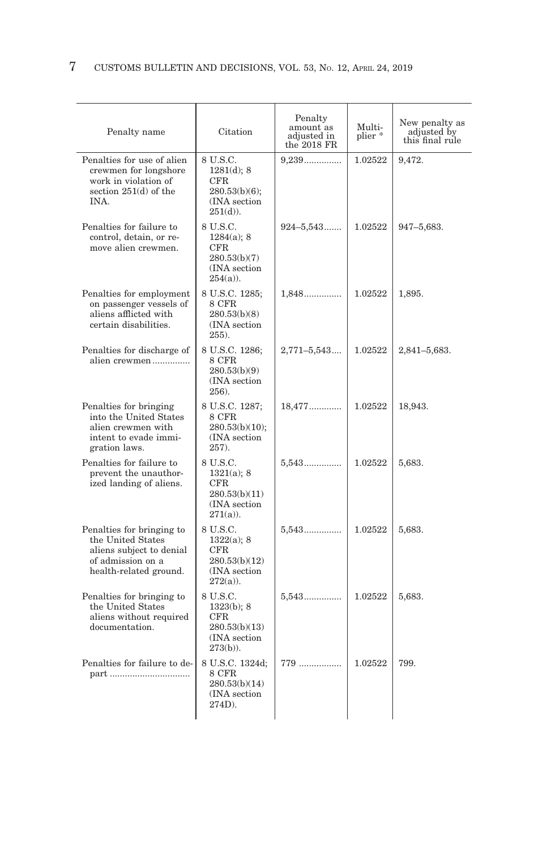| Penalty name                                                                                                              | Citation                                                                             | Penalty<br>amount as<br>adjusted in<br>the 2018 FR | Multi-<br>plier * | New penalty as<br>adjusted by<br>this final rule |
|---------------------------------------------------------------------------------------------------------------------------|--------------------------------------------------------------------------------------|----------------------------------------------------|-------------------|--------------------------------------------------|
| Penalties for use of alien<br>crewmen for longshore<br>work in violation of<br>section $251(d)$ of the<br><b>INA</b>      | 8 U.S.C.<br>1281(d); 8<br>CFR.<br>$280.53(b)(6)$ ;<br>(INA section)<br>$251(d)$ ).   | $9,239$                                            | 1.02522           | 9.472.                                           |
| Penalties for failure to<br>control, detain, or re-<br>move alien crewmen.                                                | 8 U.S.C.<br>$1284(a)$ ; 8<br>CFR.<br>280.53(b)(7)<br>(INA section<br>$254(a)$ ).     | $924 - 5,543$                                      | 1.02522           | 947-5,683.                                       |
| Penalties for employment<br>on passenger vessels of<br>aliens afflicted with<br>certain disabilities.                     | 8 U.S.C. 1285;<br>8 CFR<br>280.53(b)(8)<br>(INA section)<br>$255$ ).                 | 1,848                                              | 1.02522           | 1,895.                                           |
| Penalties for discharge of<br>alien crewmen                                                                               | 8 U.S.C. 1286;<br>8 CFR<br>280.53(b)(9)<br>(INA section)<br>$256$ ).                 | $2,771 - 5,543$                                    | 1.02522           | 2,841-5,683.                                     |
| Penalties for bringing<br>into the United States<br>alien crewmen with<br>intent to evade immi-<br>gration laws.          | 8 U.S.C. 1287:<br>8 CFR<br>$280.53(b)(10)$ ;<br>(INA section)<br>257.                | 18,477                                             | 1.02522           | 18,943.                                          |
| Penalties for failure to<br>prevent the unauthor-<br>ized landing of aliens.                                              | 8 U.S.C.<br>$1321(a)$ ; 8<br>CFR.<br>280.53(b)(11)<br>(INA section<br>$271(a)$ ).    | 5,543                                              | 1.02522           | 5,683.                                           |
| Penalties for bringing to<br>the United States<br>aliens subject to denial<br>of admission on a<br>health-related ground. | 8 U.S.C.<br>1322(a); 8<br>CFR.<br>280.53(b)(12)<br>(INA section)<br>$272(a)$ ).      | 5,543                                              | 1.02522           | 5,683.                                           |
| Penalties for bringing to<br>the United States<br>aliens without required<br>documentation.                               | 8 U.S.C.<br>1323(b); 8<br>$\rm CFR$<br>280.53(b)(13)<br>(INA section)<br>$273(b)$ ). | 5,543                                              | 1.02522           | 5,683.                                           |
| Penalties for failure to de-<br>part                                                                                      | 8 U.S.C. 1324d;<br>8 CFR<br>280.53(b)(14)<br>(INA section)<br>$274D$ ).              | 779                                                | 1.02522           | 799.                                             |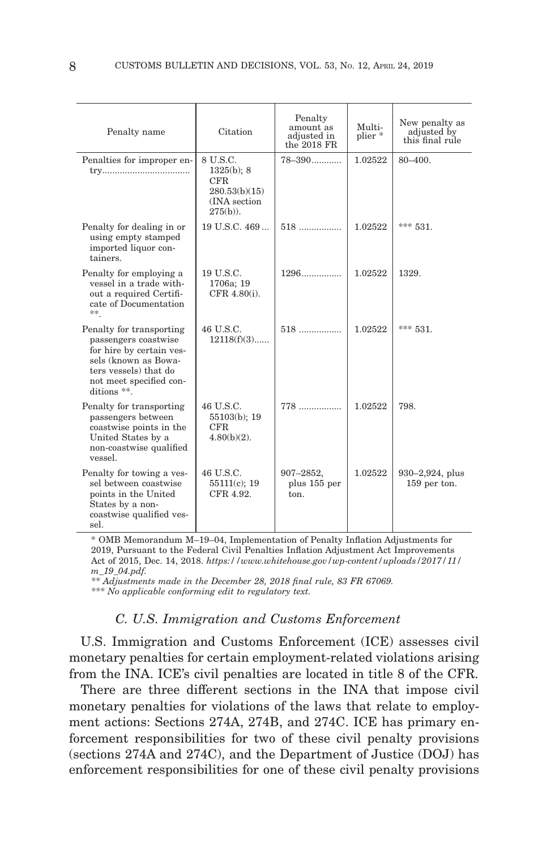| Penalty name                                                                                                                                                            | Citation                                                                           | Penalty<br>amount as<br>adjusted in<br>the $2018$ FR | Multi-<br>plier <sup>*</sup> | New penalty as<br>adjusted by<br>this final rule |
|-------------------------------------------------------------------------------------------------------------------------------------------------------------------------|------------------------------------------------------------------------------------|------------------------------------------------------|------------------------------|--------------------------------------------------|
| Penalties for improper en-                                                                                                                                              | 8 U.S.C.<br>$1325(b)$ ; 8<br>CFR.<br>280.53(b)(15)<br>(INA section)<br>$275(b)$ ). | $78 - 390$                                           | 1.02522                      | $80 - 400$ .                                     |
| Penalty for dealing in or<br>using empty stamped<br>imported liquor con-<br>tainers.                                                                                    | $19$ U.S.C. $469$                                                                  | $518$                                                | 1.02522                      | *** 531.                                         |
| Penalty for employing a<br>vessel in a trade with-<br>out a required Certifi-<br>cate of Documentation<br>**                                                            | 19 U.S.C.<br>1706a; 19<br>CFR 4.80(i).                                             | $1296$                                               | 1.02522                      | 1329.                                            |
| Penalty for transporting<br>passengers coastwise<br>for hire by certain ves-<br>sels (known as Bowa-<br>ters vessels) that do<br>not meet specified con-<br>ditions **. | 46 U.S.C.<br>$12118(f)(3)$                                                         | $518$                                                | 1.02522                      | *** 531.                                         |
| Penalty for transporting<br>passengers between<br>coastwise points in the<br>United States by a<br>non-coastwise qualified<br>vessel.                                   | 46 U.S.C.<br>$55103(b)$ ; 19<br>CFR.<br>$4.80(b)(2)$ .                             | $778$                                                | 1.02522                      | 798.                                             |
| Penalty for towing a ves-<br>sel between coastwise<br>points in the United<br>States by a non-<br>coastwise qualified ves-<br>sel.                                      | 46 U.S.C.<br>$55111(c)$ ; 19<br>CFR 4.92.                                          | 907-2852,<br>plus 155 per<br>ton.                    | 1.02522                      | $930 - 2,924$ , plus<br>159 per ton.             |

 \* OMB Memorandum M–19–04, Implementation of Penalty Inflation Adjustments for 2019, Pursuant to the Federal Civil Penalties Inflation Adjustment Act Improvements Act of 2015, Dec. 14, 2018. *https://www.whitehouse.gov/wp-content/uploads/2017/11/ m\_19\_04.pdf.*

*\*\* Adjustments made in the December 28, 2018 final rule, 83 FR 67069.*

*\*\*\* No applicable conforming edit to regulatory text.*

# *C. U.S. Immigration and Customs Enforcement*

U.S. Immigration and Customs Enforcement (ICE) assesses civil monetary penalties for certain employment-related violations arising from the INA. ICE's civil penalties are located in title 8 of the CFR.

There are three different sections in the INA that impose civil monetary penalties for violations of the laws that relate to employment actions: Sections 274A, 274B, and 274C. ICE has primary enforcement responsibilities for two of these civil penalty provisions (sections 274A and 274C), and the Department of Justice (DOJ) has enforcement responsibilities for one of these civil penalty provisions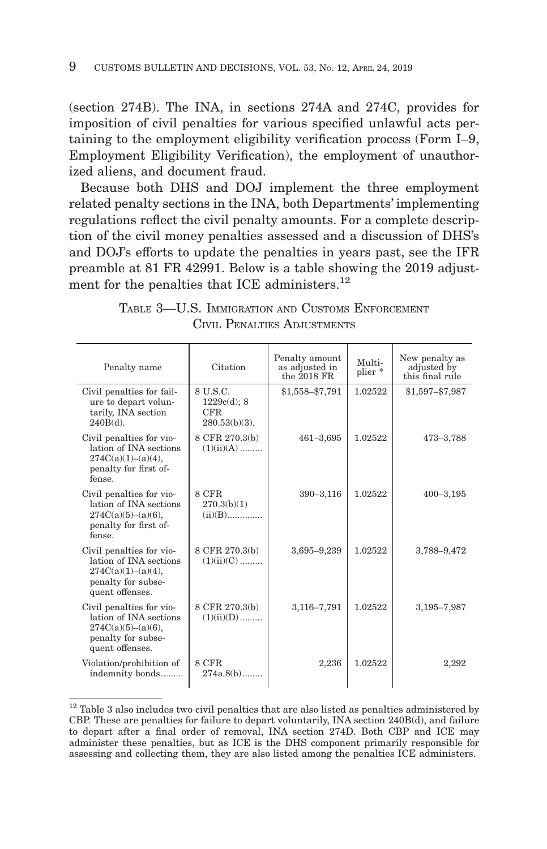(section 274B). The INA, in sections 274A and 274C, provides for imposition of civil penalties for various specified unlawful acts pertaining to the employment eligibility verification process (Form I–9, Employment Eligibility Verification), the employment of unauthorized aliens, and document fraud.

Because both DHS and DOJ implement the three employment related penalty sections in the INA, both Departments' implementing regulations reflect the civil penalty amounts. For a complete description of the civil money penalties assessed and a discussion of DHS's and DOJ's efforts to update the penalties in years past, see the IFR preamble at 81 FR 42991. Below is a table showing the 2019 adjustment for the penalties that ICE administers.<sup>12</sup>

| Penalty name                                                                                                         | Citation                                               | Penalty amount<br>as adjusted in<br>the $2018$ FR | Multi-<br>plier * | New penalty as<br>adjusted by<br>this final rule |
|----------------------------------------------------------------------------------------------------------------------|--------------------------------------------------------|---------------------------------------------------|-------------------|--------------------------------------------------|
| Civil penalties for fail-<br>ure to depart volun-<br>tarily, INA section<br>$240B(d)$ .                              | 8 U.S.C.<br>$1229c(d)$ ; 8<br>CFR.<br>$280.53(b)(3)$ . | \$1,558-\$7,791                                   | 1.02522           | \$1,597-\$7,987                                  |
| Civil penalties for vio-<br>lation of INA sections<br>274C(a)(1)–(a)(4),<br>penalty for first of-<br>fense           | 8 CFR 270.3(b)<br>$(1)(ii)(A)$                         | 461-3,695                                         | 1.02522           | 473-3,788                                        |
| Civil penalties for vio-<br>lation of INA sections<br>$274C(a)(5)–(a)(6)$ ,<br>penalty for first of-<br>fense.       | 8 CFR<br>270.3(b)(1)<br>$(ii)(B)$                      | $390 - 3,116$                                     | 1.02522           | $400 - 3,195$                                    |
| Civil penalties for vio-<br>lation of INA sections<br>274C(a)(1)–(a)(4),<br>penalty for subse-<br>quent offenses.    | 8 CFR 270.3(b)<br>$(1)(ii)(C)$                         | 3,695-9,239                                       | 1.02522           | 3,788-9,472                                      |
| Civil penalties for vio-<br>lation of INA sections<br>$274C(a)(5)–(a)(6)$ ,<br>penalty for subse-<br>quent offenses. | 8 CFR 270.3(b)<br>$(1)(ii)(D)$                         | 3,116-7,791                                       | 1.02522           | 3,195-7,987                                      |
| Violation/prohibition of<br>indemnity bonds                                                                          | 8 CFR<br>$274a.8(b)$                                   | 2,236                                             | 1.02522           | 2,292                                            |

TABLE 3—U.S. IMMIGRATION AND CUSTOMS ENFORCEMENT CIVIL PENALTIES ADJUSTMENTS

 $12$  Table 3 also includes two civil penalties that are also listed as penalties administered by CBP. These are penalties for failure to depart voluntarily, INA section 240B(d), and failure to depart after a final order of removal, INA section 274D. Both CBP and ICE may administer these penalties, but as ICE is the DHS component primarily responsible for assessing and collecting them, they are also listed among the penalties ICE administers.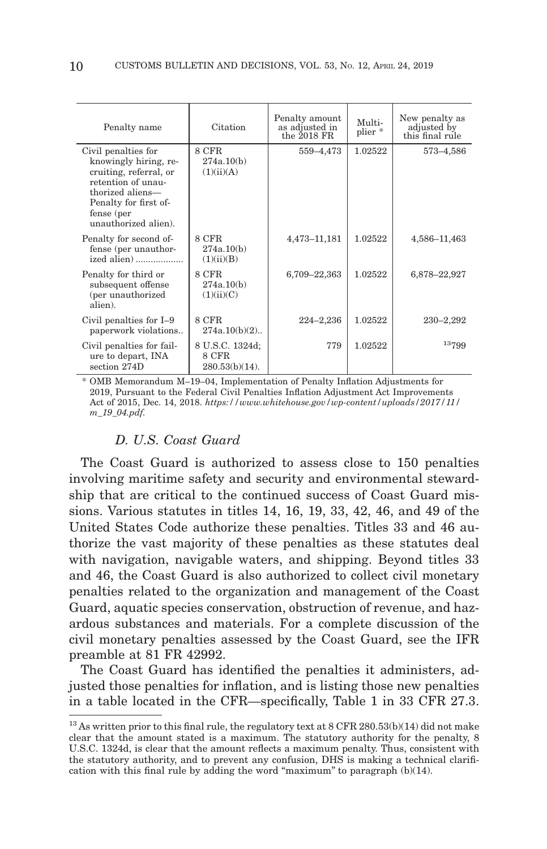| Penalty name                                                                                                                                                                    | Citation                                      | Penalty amount<br>as adjusted in<br>the $2018$ FR | Multi-<br>plier <sup>*</sup> | New penalty as<br>adjusted by<br>this final rule |
|---------------------------------------------------------------------------------------------------------------------------------------------------------------------------------|-----------------------------------------------|---------------------------------------------------|------------------------------|--------------------------------------------------|
| Civil penalties for<br>knowingly hiring, re-<br>cruiting, referral, or<br>retention of unau-<br>thorized aliens-<br>Penalty for first of-<br>fense (per<br>unauthorized alien). | 8 CFR<br>274a.10(b)<br>(1)(ii)(A)             | 559-4,473                                         | 1.02522                      | 573–4,586                                        |
| Penalty for second of-<br>fense (per unauthor-<br>ized alien)                                                                                                                   | 8 CFR<br>274a.10(b)<br>(1)(ii)(B)             | 4,473-11,181                                      | 1.02522                      | 4,586-11,463                                     |
| Penalty for third or<br>subsequent offense<br>(per unauthorized<br>alien).                                                                                                      | 8 CFR<br>274a.10(b)<br>(1)(ii)(C)             | 6,709-22,363                                      | 1.02522                      | 6,878-22,927                                     |
| Civil penalties for I-9<br>paperwork violations                                                                                                                                 | 8 CFR<br>$274a.10(b)(2)$                      | $224 - 2,236$                                     | 1.02522                      | 230-2,292                                        |
| Civil penalties for fail-<br>ure to depart, INA<br>section 274D                                                                                                                 | 8 U.S.C. 1324d;<br>8 CFR<br>$280.53(b)(14)$ . | 779                                               | 1.02522                      | 13799                                            |

\* OMB Memorandum M–19–04, Implementation of Penalty Inflation Adjustments for 2019, Pursuant to the Federal Civil Penalties Inflation Adjustment Act Improvements Act of 2015, Dec. 14, 2018. *https://www.whitehouse.gov/wp-content/uploads/2017/11/ m\_19\_04.pdf.*

# *D. U.S. Coast Guard*

The Coast Guard is authorized to assess close to 150 penalties involving maritime safety and security and environmental stewardship that are critical to the continued success of Coast Guard missions. Various statutes in titles 14, 16, 19, 33, 42, 46, and 49 of the United States Code authorize these penalties. Titles 33 and 46 authorize the vast majority of these penalties as these statutes deal with navigation, navigable waters, and shipping. Beyond titles 33 and 46, the Coast Guard is also authorized to collect civil monetary penalties related to the organization and management of the Coast Guard, aquatic species conservation, obstruction of revenue, and hazardous substances and materials. For a complete discussion of the civil monetary penalties assessed by the Coast Guard, see the IFR preamble at 81 FR 42992.

The Coast Guard has identified the penalties it administers, adjusted those penalties for inflation, and is listing those new penalties in a table located in the CFR—specifically, Table 1 in 33 CFR 27.3.

<sup>&</sup>lt;sup>13</sup> As written prior to this final rule, the regulatory text at  $8 \text{ CFR } 280.53(b)(14)$  did not make clear that the amount stated is a maximum. The statutory authority for the penalty, 8 U.S.C. 1324d, is clear that the amount reflects a maximum penalty. Thus, consistent with the statutory authority, and to prevent any confusion, DHS is making a technical clarification with this final rule by adding the word "maximum" to paragraph  $(b)(14)$ .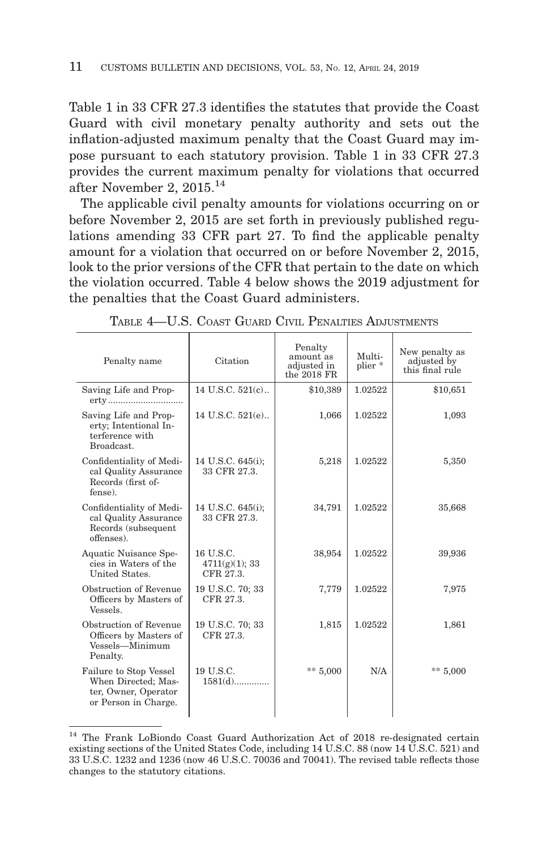Table 1 in 33 CFR 27.3 identifies the statutes that provide the Coast Guard with civil monetary penalty authority and sets out the inflation-adjusted maximum penalty that the Coast Guard may impose pursuant to each statutory provision. Table 1 in 33 CFR 27.3 provides the current maximum penalty for violations that occurred after November 2, 2015.14

The applicable civil penalty amounts for violations occurring on or before November 2, 2015 are set forth in previously published regulations amending 33 CFR part 27. To find the applicable penalty amount for a violation that occurred on or before November 2, 2015, look to the prior versions of the CFR that pertain to the date on which the violation occurred. Table 4 below shows the 2019 adjustment for the penalties that the Coast Guard administers.

| Penalty name                                                                                  | Citation                                 | Penalty<br>amount as<br>adjusted in<br>the 2018 FR | Multi-<br>plier * | New penalty as<br>adjusted by<br>this final rule |
|-----------------------------------------------------------------------------------------------|------------------------------------------|----------------------------------------------------|-------------------|--------------------------------------------------|
| Saving Life and Prop-<br>erty                                                                 | 14 U.S.C. 521(c)                         | \$10,389                                           | 1.02522           | \$10,651                                         |
| Saving Life and Prop-<br>erty; Intentional In-<br>terference with<br>Broadcast.               | 14 U.S.C. 521(e)                         | 1,066                                              | 1.02522           | 1,093                                            |
| Confidentiality of Medi-<br>cal Quality Assurance<br>Records (first of-<br>fense).            | 14 U.S.C. 645(i);<br>33 CFR 27.3.        | 5,218                                              | 1.02522           | 5,350                                            |
| Confidentiality of Medi-<br>cal Quality Assurance<br>Records (subsequent<br>offenses).        | 14 U.S.C. 645(i);<br>33 CFR 27.3.        | 34,791                                             | 1.02522           | 35,668                                           |
| Aquatic Nuisance Spe-<br>cies in Waters of the<br>United States.                              | 16 U.S.C.<br>4711(g)(1); 33<br>CFR 27.3. | 38,954                                             | 1.02522           | 39,936                                           |
| Obstruction of Revenue<br>Officers by Masters of<br>Vessels.                                  | 19 U.S.C. 70; 33<br>CFR 27.3.            | 7,779                                              | 1.02522           | 7,975                                            |
| Obstruction of Revenue<br>Officers by Masters of<br>Vessels-Minimum<br>Penalty.               | 19 U.S.C. 70; 33<br>CFR 27.3.            | 1,815                                              | 1.02522           | 1,861                                            |
| Failure to Stop Vessel<br>When Directed; Mas-<br>ter, Owner, Operator<br>or Person in Charge. | 19 U.S.C.<br>$1581(d)$                   | ** $5,000$                                         | N/A               | ** $5,000$                                       |

TABLE 4—U.S. COAST GUARD CIVIL PENALTIES ADJUSTMENTS

<sup>14</sup> The Frank LoBiondo Coast Guard Authorization Act of 2018 re-designated certain existing sections of the United States Code, including 14 U.S.C. 88 (now 14 U.S.C. 521) and 33 U.S.C. 1232 and 1236 (now 46 U.S.C. 70036 and 70041). The revised table reflects those changes to the statutory citations.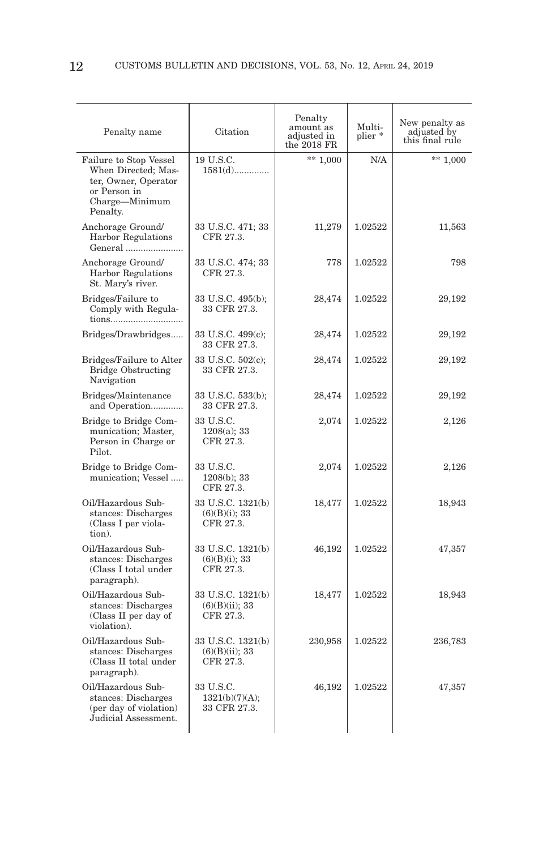| Penalty name                                                                                                        | Citation                                         | Penalty<br>amount as<br>adjusted in<br>the 2018 FR | Multi-<br>plier* | New penalty as<br>adjusted by<br>this final rule |
|---------------------------------------------------------------------------------------------------------------------|--------------------------------------------------|----------------------------------------------------|------------------|--------------------------------------------------|
| Failure to Stop Vessel<br>When Directed; Mas-<br>ter, Owner, Operator<br>or Person in<br>Charge-Minimum<br>Penalty. | 19 U.S.C.<br>1581(d)                             | $** 1,000$                                         | N/A              | $** 1,000$                                       |
| Anchorage Ground/<br><b>Harbor Regulations</b><br>General                                                           | 33 U.S.C. 471; 33<br>CFR 27.3.                   | 11,279                                             | 1.02522          | 11,563                                           |
| Anchorage Ground/<br><b>Harbor Regulations</b><br>St. Mary's river.                                                 | 33 U.S.C. 474; 33<br>CFR 27.3.                   | 778                                                | 1.02522          | 798                                              |
| Bridges/Failure to<br>Comply with Regula-<br>tions                                                                  | 33 U.S.C. 495(b);<br>33 CFR 27.3.                | 28,474                                             | 1.02522          | 29,192                                           |
| Bridges/Drawbridges                                                                                                 | 33 U.S.C. 499(c);<br>33 CFR 27.3.                | 28,474                                             | 1.02522          | 29,192                                           |
| Bridges/Failure to Alter<br><b>Bridge Obstructing</b><br>Navigation                                                 | 33 U.S.C. 502(c);<br>33 CFR 27.3.                | 28,474                                             | 1.02522          | 29,192                                           |
| Bridges/Maintenance<br>and Operation                                                                                | 33 U.S.C. 533(b);<br>33 CFR 27.3.                | 28,474                                             | 1.02522          | 29,192                                           |
| Bridge to Bridge Com-<br>munication; Master,<br>Person in Charge or<br>Pilot.                                       | 33 U.S.C.<br>1208(a); 33<br>CFR 27.3.            | 2,074                                              | 1.02522          | 2,126                                            |
| Bridge to Bridge Com-<br>munication; Vessel                                                                         | 33 U.S.C.<br>$1208(b)$ ; 33<br>CFR 27.3.         | 2,074                                              | 1.02522          | 2,126                                            |
| Oil/Hazardous Sub-<br>stances: Discharges<br>(Class I per viola-<br>tion).                                          | 33 U.S.C. 1321(b)<br>(6)(B)(i); 33<br>CFR 27.3.  | 18,477                                             | 1.02522          | 18,943                                           |
| Oil/Hazardous Sub-<br>stances: Discharges<br>(Class I total under<br>paragraph).                                    | 33 U.S.C. 1321(b)<br>(6)(B)(i); 33<br>CFR 27.3.  | 46,192                                             | 1.02522          | 47,357                                           |
| Oil/Hazardous Sub-<br>stances: Discharges<br>(Class II per day of<br>violation).                                    | 33 U.S.C. 1321(b)<br>(6)(B)(ii); 33<br>CFR 27.3. | 18,477                                             | 1.02522          | 18,943                                           |
| Oil/Hazardous Sub-<br>stances: Discharges<br>(Class II total under<br>paragraph).                                   | 33 U.S.C. 1321(b)<br>(6)(B)(ii); 33<br>CFR 27.3. | 230,958                                            | 1.02522          | 236,783                                          |
| Oil/Hazardous Sub-<br>stances: Discharges<br>(per day of violation)<br>Judicial Assessment.                         | 33 U.S.C.<br>1321(b)(7)(A);<br>33 CFR 27.3.      | 46,192                                             | 1.02522          | 47,357                                           |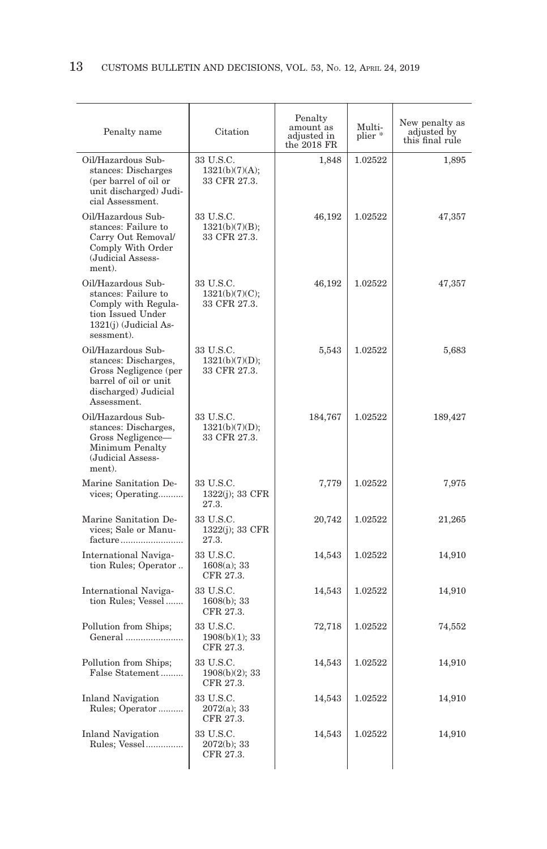| Penalty name                                                                                                                        | Citation                                    | Penalty<br>amount as<br>adjusted in<br>the $2018$ FR | Multi-<br>plier * | New penalty as<br>adjusted by<br>this final rule |
|-------------------------------------------------------------------------------------------------------------------------------------|---------------------------------------------|------------------------------------------------------|-------------------|--------------------------------------------------|
| Oil/Hazardous Sub-<br>stances: Discharges<br>(per barrel of oil or<br>unit discharged) Judi-<br>cial Assessment.                    | 33 U.S.C.<br>1321(b)(7)(A);<br>33 CFR 27.3. | 1.848                                                | 1.02522           | 1.895                                            |
| Oil/Hazardous Sub-<br>stances: Failure to<br>Carry Out Removal/<br>Comply With Order<br>(Judicial Assess-<br>ment).                 | 33 U.S.C.<br>1321(b)(7)(B);<br>33 CFR 27.3. | 46,192                                               | 1.02522           | 47,357                                           |
| Oil/Hazardous Sub-<br>stances: Failure to<br>Comply with Regula-<br>tion Issued Under<br>1321(i) (Judicial As-<br>sessment).        | 33 U.S.C.<br>1321(b)(7)(C);<br>33 CFR 27.3. | 46,192                                               | 1.02522           | 47,357                                           |
| Oil/Hazardous Sub-<br>stances: Discharges,<br>Gross Negligence (per<br>barrel of oil or unit<br>discharged) Judicial<br>Assessment. | 33 U.S.C.<br>1321(b)(7)(D);<br>33 CFR 27.3. | 5,543                                                | 1.02522           | 5,683                                            |
| Oil/Hazardous Sub-<br>stances: Discharges,<br>Gross Negligence-<br>Minimum Penalty<br>(Judicial Assess-<br>ment).                   | 33 U.S.C.<br>1321(b)(7)(D);<br>33 CFR 27.3. | 184,767                                              | 1.02522           | 189,427                                          |
| Marine Sanitation De-<br>vices; Operating                                                                                           | 33 U.S.C.<br>1322(j); 33 CFR<br>27.3.       | 7,779                                                | 1.02522           | 7,975                                            |
| Marine Sanitation De-<br>vices; Sale or Manu-<br>facture                                                                            | 33 U.S.C.<br>1322(j); 33 CFR<br>27.3.       | 20,742                                               | 1.02522           | 21,265                                           |
| International Naviga-<br>tion Rules; Operator                                                                                       | 33 U.S.C.<br>1608(a); 33<br>CFR 27.3.       | 14,543                                               | 1.02522           | 14,910                                           |
| International Naviga-<br>tion Rules; Vessel                                                                                         | 33 U.S.C.<br>1608(b); 33<br>CFR 27.3.       | 14,543                                               | 1.02522           | 14,910                                           |
| Pollution from Ships;<br>General                                                                                                    | 33 U.S.C.<br>1908(b)(1); 33<br>CFR 27.3.    | 72,718                                               | 1.02522           | 74,552                                           |
| Pollution from Ships;<br>False Statement                                                                                            | 33 U.S.C.<br>1908(b)(2); 33<br>CFR 27.3.    | 14,543                                               | 1.02522           | 14,910                                           |
| <b>Inland Navigation</b><br>Rules; Operator                                                                                         | 33 U.S.C.<br>$2072(a)$ ; 33<br>CFR 27.3.    | 14,543                                               | 1.02522           | 14,910                                           |
| <b>Inland Navigation</b><br>Rules; Vessel                                                                                           | 33 U.S.C.<br>$2072(b)$ ; 33<br>CFR 27.3.    | 14,543                                               | 1.02522           | 14,910                                           |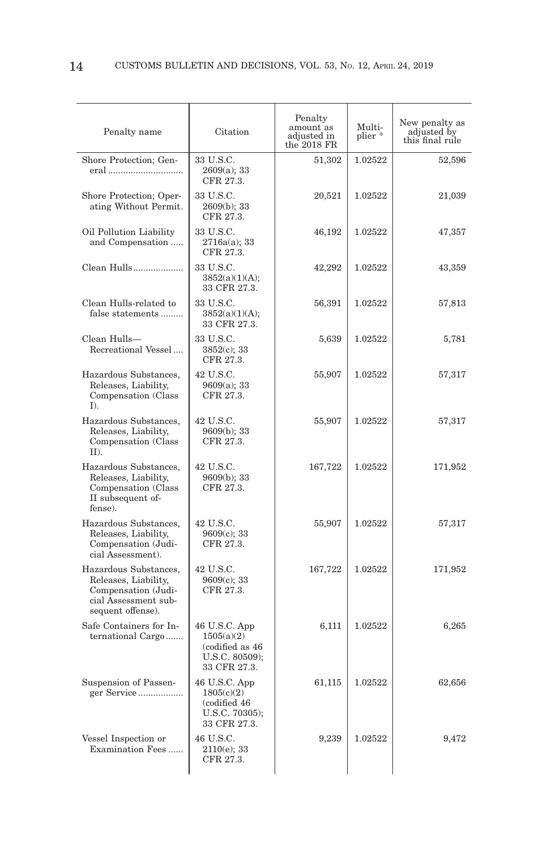| Penalty name                                                                                                      | Citation                                                                         | Penalty<br>amount as<br>adjusted in<br>the 2018 FR | Multi-<br>plier * | New penalty as<br>adjusted by<br>this final rule |
|-------------------------------------------------------------------------------------------------------------------|----------------------------------------------------------------------------------|----------------------------------------------------|-------------------|--------------------------------------------------|
| Shore Protection; Gen-<br>eral                                                                                    | 33 U.S.C.<br>2609(a); 33<br>CFR 27.3.                                            | 51,302                                             | 1.02522           | 52,596                                           |
| Shore Protection; Oper-<br>ating Without Permit.                                                                  | 33 U.S.C.<br>2609(b); 33<br>CFR 27.3.                                            | 20,521                                             | 1.02522           | 21,039                                           |
| Oil Pollution Liability<br>and Compensation                                                                       | 33 U.S.C.<br>2716a(a); 33<br>CFR 27.3.                                           | 46,192                                             | 1.02522           | 47,357                                           |
| Clean Hulls                                                                                                       | 33 U.S.C.<br>3852(a)(1)(A);<br>33 CFR 27.3.                                      | 42,292                                             | 1.02522           | 43,359                                           |
| Clean Hulls-related to<br>false statements                                                                        | 33 U.S.C.<br>3852(a)(1)(A);<br>33 CFR 27.3.                                      | 56,391                                             | 1.02522           | 57,813                                           |
| Clean Hulls-<br>Recreational Vessel                                                                               | 33 U.S.C.<br>$3852(c)$ ; 33<br>CFR 27.3.                                         | 5,639                                              | 1.02522           | 5,781                                            |
| Hazardous Substances,<br>Releases, Liability,<br>Compensation (Class<br>$I$ ).                                    | 42 U.S.C.<br>9609(a); 33<br>CFR 27.3.                                            | 55,907                                             | 1.02522           | 57,317                                           |
| Hazardous Substances,<br>Releases, Liability,<br>Compensation (Class<br>$II$ ).                                   | 42 U.S.C.<br>$9609(b)$ ; 33<br>CFR 27.3.                                         | 55,907                                             | 1.02522           | 57,317                                           |
| Hazardous Substances,<br>Releases, Liability,<br>Compensation (Class<br>II subsequent of-<br>fense).              | 42 U.S.C.<br>9609(b); 33<br>CFR 27.3.                                            | 167,722                                            | 1.02522           | 171,952                                          |
| Hazardous Substances,<br>Releases, Liability,<br>Compensation (Judi-<br>cial Assessment).                         | 42 U.S.C.<br>9609(c); 33<br>CFR 27.3.                                            | 55,907                                             | 1.02522           | 57,317                                           |
| Hazardous Substances,<br>Releases, Liability,<br>Compensation (Judi-<br>cial Assessment sub-<br>sequent offense). | 42 U.S.C.<br>9609(c); 33<br>CFR 27.3.                                            | 167,722                                            | 1.02522           | 171,952                                          |
| Safe Containers for In-<br>ternational Cargo                                                                      | 46 U.S.C. App<br>1505(a)(2)<br>(codified as 46<br>U.S.C. 80509);<br>33 CFR 27.3. | 6,111                                              | 1.02522           | 6,265                                            |
| Suspension of Passen-<br>ger Service                                                                              | 46 U.S.C. App<br>1805(c)(2)<br>(codified 46<br>U.S.C. 70305);<br>33 CFR 27.3.    | 61,115                                             | 1.02522           | 62,656                                           |
| Vessel Inspection or<br>Examination Fees                                                                          | 46 U.S.C.<br>$2110(e)$ ; 33<br>CFR 27.3.                                         | 9,239                                              | 1.02522           | 9,472                                            |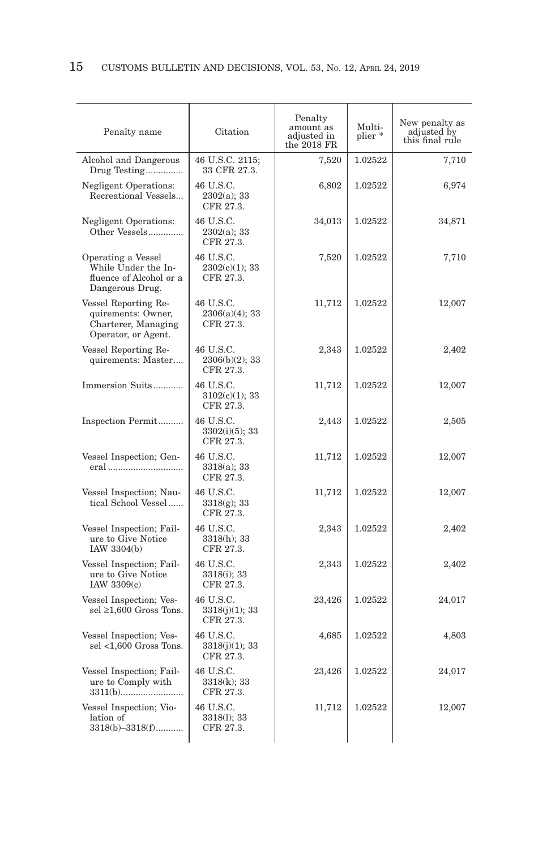| Penalty name                                                                             | Citation                                    | Penalty<br>amount as<br>adjusted in<br>the $2018$ FR | Multi-<br>plier* | New penalty as<br>adjusted by<br>this final rule |
|------------------------------------------------------------------------------------------|---------------------------------------------|------------------------------------------------------|------------------|--------------------------------------------------|
| Alcohol and Dangerous<br>Drug Testing                                                    | 46 U.S.C. 2115;<br>33 CFR 27.3.             | 7,520                                                | 1.02522          | 7,710                                            |
| <b>Negligent Operations:</b><br>Recreational Vessels                                     | 46 U.S.C.<br>$2302(a)$ ; 33<br>CFR 27.3.    | 6,802                                                | 1.02522          | 6,974                                            |
| <b>Negligent Operations:</b><br>Other Vessels                                            | 46 U.S.C.<br>2302(a); 33<br>CFR 27.3.       | 34,013                                               | 1.02522          | 34,871                                           |
| Operating a Vessel<br>While Under the In-<br>fluence of Alcohol or a<br>Dangerous Drug.  | 46 U.S.C.<br>2302(c)(1); 33<br>CFR 27.3.    | 7,520                                                | 1.02522          | 7,710                                            |
| Vessel Reporting Re-<br>quirements: Owner,<br>Charterer, Managing<br>Operator, or Agent. | 46 U.S.C.<br>$2306(a)(4)$ ; 33<br>CFR 27.3. | 11,712                                               | 1.02522          | 12,007                                           |
| Vessel Reporting Re-<br>quirements: Master                                               | 46 U.S.C.<br>2306(b)(2); 33<br>CFR 27.3.    | 2,343                                                | 1.02522          | 2,402                                            |
| Immersion Suits                                                                          | 46 U.S.C.<br>$3102(c)(1)$ ; 33<br>CFR 27.3. | 11,712                                               | 1.02522          | 12,007                                           |
| Inspection Permit                                                                        | 46 U.S.C.<br>$3302(i)(5)$ ; 33<br>CFR 27.3. | 2,443                                                | 1.02522          | 2,505                                            |
| Vessel Inspection; Gen-<br>eral                                                          | 46 U.S.C.<br>3318(a); 33<br>CFR 27.3.       | 11,712                                               | 1.02522          | 12,007                                           |
| Vessel Inspection; Nau-<br>tical School Vessel                                           | 46 U.S.C.<br>$3318(g)$ ; 33<br>CFR 27.3.    | 11,712                                               | 1.02522          | 12,007                                           |
| Vessel Inspection; Fail-<br>ure to Give Notice<br>IAW 3304(b)                            | 46 U.S.C.<br>$3318(h)$ ; 33<br>CFR 27.3.    | 2,343                                                | 1.02522          | 2,402                                            |
| Vessel Inspection; Fail-<br>ure to Give Notice<br>IAW $3309(c)$                          | 46 U.S.C.<br>3318(i); 33<br>CFR 27.3.       | 2,343                                                | 1.02522          | 2,402                                            |
| Vessel Inspection; Ves-<br>sel $\geq$ 1,600 Gross Tons.                                  | 46 U.S.C.<br>3318(j)(1); 33<br>CFR 27.3.    | 23,426                                               | 1.02522          | 24,017                                           |
| Vessel Inspection; Ves-<br>sel $<1,600$ Gross Tons.                                      | 46 U.S.C.<br>3318(j)(1); 33<br>CFR 27.3.    | 4,685                                                | 1.02522          | 4,803                                            |
| Vessel Inspection; Fail-<br>ure to Comply with                                           | 46 U.S.C.<br>3318(k); 33<br>CFR 27.3.       | 23,426                                               | 1.02522          | 24,017                                           |
| Vessel Inspection; Vio-<br>lation of<br>$3318(b)-3318(f)$                                | 46 U.S.C.<br>3318(1); 33<br>CFR 27.3.       | 11,712                                               | 1.02522          | 12,007                                           |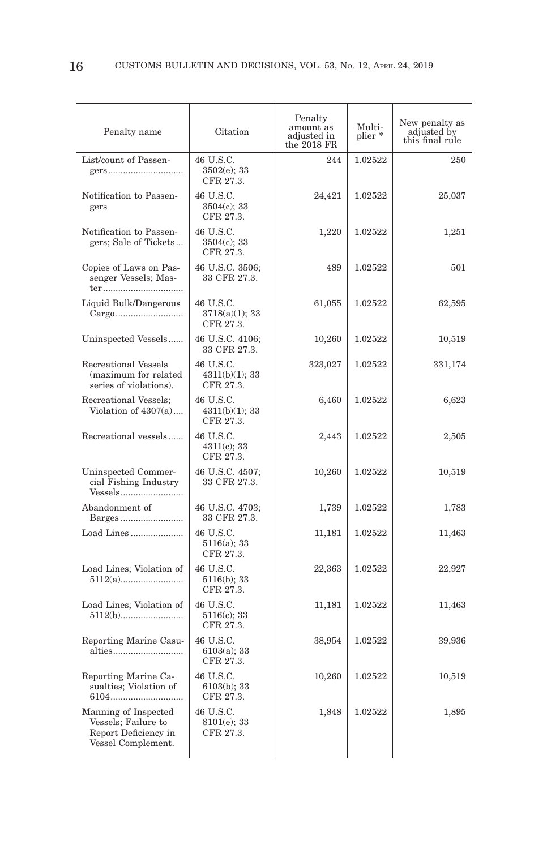| Penalty name                                                                              | Citation                                 | Penalty<br>amount as<br>adjusted in<br>the $2018$ FR | Multi-<br>plier * | New penalty as<br>adjusted by<br>this final rule |
|-------------------------------------------------------------------------------------------|------------------------------------------|------------------------------------------------------|-------------------|--------------------------------------------------|
| List/count of Passen-<br>gers                                                             | 46 U.S.C.<br>3502(e); 33<br>CFR 27.3.    | 2.44                                                 | 1.02522           | 250                                              |
| Notification to Passen-<br>gers                                                           | 46 U.S.C.<br>$3504(c)$ ; 33<br>CFR 27.3. | 24,421                                               | 1.02522           | 25,037                                           |
| Notification to Passen-<br>gers; Sale of Tickets                                          | 46 U.S.C.<br>$3504(c)$ ; 33<br>CFR 27.3. | 1,220                                                | 1.02522           | 1,251                                            |
| Copies of Laws on Pas-<br>senger Vessels; Mas-<br>ter                                     | 46 U.S.C. 3506;<br>33 CFR 27.3.          | 489                                                  | 1.02522           | 501                                              |
| Liquid Bulk/Dangerous<br>Cargo                                                            | 46 U.S.C.<br>3718(a)(1); 33<br>CFR 27.3. | 61,055                                               | 1.02522           | 62,595                                           |
| Uninspected Vessels                                                                       | 46 U.S.C. 4106;<br>33 CFR 27.3.          | 10,260                                               | 1.02522           | 10,519                                           |
| Recreational Vessels<br>(maximum for related<br>series of violations).                    | 46 U.S.C.<br>4311(b)(1); 33<br>CFR 27.3. | 323,027                                              | 1.02522           | 331,174                                          |
| Recreational Vessels;<br>Violation of $4307(a)$                                           | 46 U.S.C.<br>4311(b)(1); 33<br>CFR 27.3. | 6,460                                                | 1.02522           | 6,623                                            |
| Recreational vessels                                                                      | 46 U.S.C.<br>$4311(c)$ ; 33<br>CFR 27.3. | 2,443                                                | 1.02522           | 2,505                                            |
| Uninspected Commer-<br>cial Fishing Industry<br>Vessels                                   | 46 U.S.C. 4507;<br>33 CFR 27.3.          | 10,260                                               | 1.02522           | 10,519                                           |
| Abandonment of<br>Barges                                                                  | 46 U.S.C. 4703;<br>33 CFR 27.3.          | 1,739                                                | 1.02522           | 1,783                                            |
| Load Lines                                                                                | 46 U.S.C.<br>$5116(a)$ ; 33<br>CFR 27.3. | 11,181                                               | 1.02522           | 11,463                                           |
| Load Lines; Violation of                                                                  | 46 U.S.C.<br>5116(b); 33<br>CFR 27.3.    | 22,363                                               | 1.02522           | 22,927                                           |
| Load Lines; Violation of                                                                  | 46 U.S.C.<br>$5116(c)$ ; 33<br>CFR 27.3. | 11,181                                               | 1.02522           | 11,463                                           |
| Reporting Marine Casu-<br>alties                                                          | 46 U.S.C.<br>6103(a); 33<br>CFR 27.3.    | 38,954                                               | 1.02522           | 39,936                                           |
| Reporting Marine Ca-<br>sualties; Violation of                                            | 46 U.S.C.<br>6103(b); 33<br>CFR 27.3.    | 10,260                                               | 1.02522           | 10,519                                           |
| Manning of Inspected<br>Vessels; Failure to<br>Report Deficiency in<br>Vessel Complement. | 46 U.S.C.<br>8101(e); 33<br>CFR 27.3.    | 1,848                                                | 1.02522           | 1,895                                            |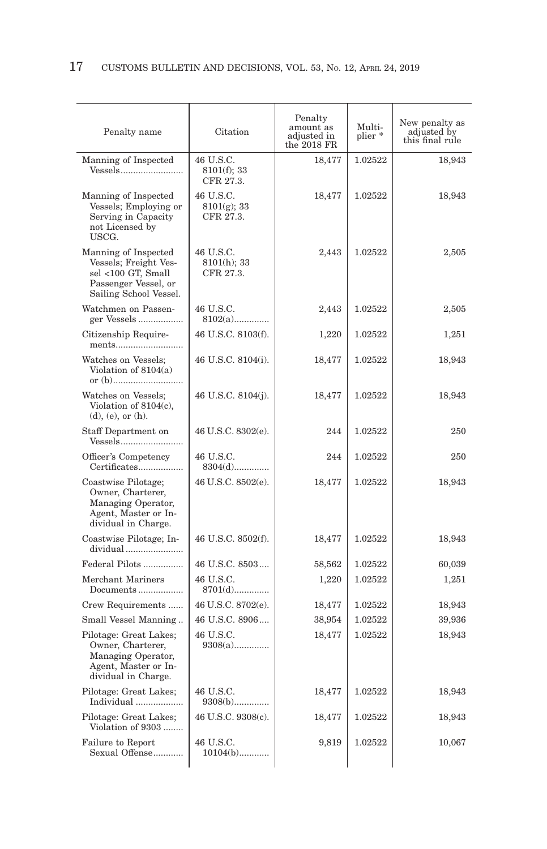| Penalty name                                                                                                          | Citation                                 | Penalty<br>amount as<br>adjusted in<br>the $2018$ FR | Multi-<br>plier * | New penalty as<br>adjusted by<br>this final rule |
|-----------------------------------------------------------------------------------------------------------------------|------------------------------------------|------------------------------------------------------|-------------------|--------------------------------------------------|
| Manning of Inspected<br>Vessels                                                                                       | 46 U.S.C.<br>8101(f); 33<br>CFR 27.3.    | 18,477                                               | 1.02522           | 18,943                                           |
| Manning of Inspected<br>Vessels; Employing or<br>Serving in Capacity<br>not Licensed by<br>USCG.                      | 46 U.S.C.<br>$8101(g)$ ; 33<br>CFR 27.3. | 18,477                                               | 1.02522           | 18,943                                           |
| Manning of Inspected<br>Vessels; Freight Ves-<br>sel <100 GT, Small<br>Passenger Vessel, or<br>Sailing School Vessel. | 46 U.S.C.<br>$8101(h)$ ; 33<br>CFR 27.3. | 2,443                                                | 1.02522           | 2,505                                            |
| Watchmen on Passen-<br>ger Vessels                                                                                    | 46 U.S.C.<br>$8102(a)$                   | 2,443                                                | 1.02522           | 2,505                                            |
| Citizenship Require-<br>ments                                                                                         | 46 U.S.C. 8103(f).                       | 1,220                                                | 1.02522           | 1,251                                            |
| Watches on Vessels;<br>Violation of 8104(a)                                                                           | 46 U.S.C. 8104(i).                       | 18,477                                               | 1.02522           | 18,943                                           |
| Watches on Vessels;<br>Violation of $8104(c)$ ,<br>$(d)$ , $(e)$ , or $(h)$ .                                         | 46 U.S.C. 8104(j).                       | 18,477                                               | 1.02522           | 18,943                                           |
| Staff Department on<br>Vessels                                                                                        | 46 U.S.C. 8302(e).                       | 244                                                  | 1.02522           | 250                                              |
| Officer's Competency<br>Certificates                                                                                  | 46 U.S.C.<br>$8304(d)$                   | 244                                                  | 1.02522           | 250                                              |
| Coastwise Pilotage;<br>Owner, Charterer,<br>Managing Operator,<br>Agent, Master or In-<br>dividual in Charge.         | 46 U.S.C. 8502(e).                       | 18,477                                               | 1.02522           | 18,943                                           |
| Coastwise Pilotage; In-<br>dividual                                                                                   | 46 U.S.C. 8502(f).                       | 18,477                                               | 1.02522           | 18,943                                           |
| Federal Pilots                                                                                                        | 46 U.S.C. 8503                           | 58,562                                               | 1.02522           | 60,039                                           |
| Merchant Mariners<br>Documents                                                                                        | 46 U.S.C.<br>8701(d)                     | 1,220                                                | 1.02522           | 1,251                                            |
| Crew Requirements                                                                                                     | 46 U.S.C. 8702(e).                       | 18,477                                               | 1.02522           | 18,943                                           |
| Small Vessel Manning                                                                                                  | 46 U.S.C. 8906                           | 38,954                                               | 1.02522           | 39,936                                           |
| Pilotage: Great Lakes;<br>Owner, Charterer,<br>Managing Operator,<br>Agent, Master or In-<br>dividual in Charge.      | 46 U.S.C.<br>$9308(a)$                   | 18,477                                               | 1.02522           | 18,943                                           |
| Pilotage: Great Lakes;<br>Individual                                                                                  | 46 U.S.C.<br>$9308(b)$                   | 18,477                                               | 1.02522           | 18,943                                           |
| Pilotage: Great Lakes;<br>Violation of 9303                                                                           | 46 U.S.C. 9308(c).                       | 18,477                                               | 1.02522           | 18,943                                           |
| Failure to Report<br>Sexual Offense                                                                                   | 46 U.S.C.<br>$10104(b)$                  | 9,819                                                | 1.02522           | 10,067                                           |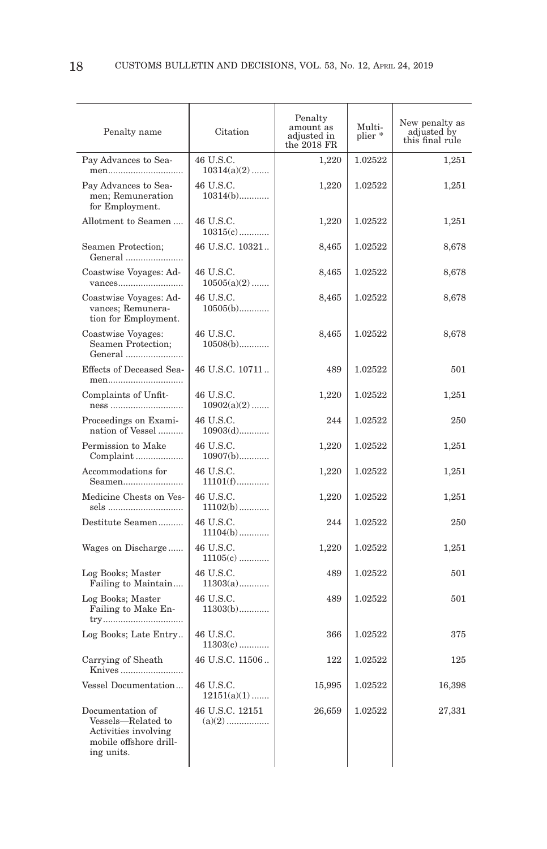| Penalty name                                                                                           | Citation                   | Penalty<br>amount as<br>adjusted in<br>the 2018 FR | Multi-<br>plier* | New penalty as adjusted by<br>this final rule |
|--------------------------------------------------------------------------------------------------------|----------------------------|----------------------------------------------------|------------------|-----------------------------------------------|
| Pay Advances to Sea-<br>men                                                                            | 46 U.S.C.<br>$10314(a)(2)$ | 1.220                                              | 1.02522          | 1.251                                         |
| Pay Advances to Sea-<br>men; Remuneration<br>for Employment.                                           | 46 U.S.C.<br>$10314(b)$    | 1,220                                              | 1.02522          | 1,251                                         |
| Allotment to Seamen                                                                                    | 46 U.S.C.<br>$10315(c)$    | 1,220                                              | 1.02522          | 1,251                                         |
| Seamen Protection;<br>General                                                                          | 46 U.S.C. 10321            | 8,465                                              | 1.02522          | 8,678                                         |
| Coastwise Voyages: Ad-<br>vances                                                                       | 46 U.S.C.<br>$10505(a)(2)$ | 8,465                                              | 1.02522          | 8,678                                         |
| Coastwise Voyages: Ad-<br>vances; Remunera-<br>tion for Employment.                                    | 46 U.S.C.<br>$10505(b)$    | 8,465                                              | 1.02522          | 8,678                                         |
| Coastwise Voyages:<br>Seamen Protection;<br>General                                                    | 46 U.S.C.<br>$10508(b)$    | 8,465                                              | 1.02522          | 8,678                                         |
| Effects of Deceased Sea-<br>men                                                                        | 46 U.S.C. 10711            | 489                                                | 1.02522          | 501                                           |
| Complaints of Unfit-<br>ness                                                                           | 46 U.S.C.<br>$10902(a)(2)$ | 1,220                                              | 1.02522          | 1,251                                         |
| Proceedings on Exami-<br>nation of Vessel                                                              | 46 U.S.C.<br>$10903(d)$    | 244                                                | 1.02522          | 250                                           |
| Permission to Make<br>Complaint                                                                        | 46 U.S.C.<br>$10907(b)$    | 1,220                                              | 1.02522          | 1,251                                         |
| Accommodations for<br>Seamen                                                                           | 46 U.S.C.<br>$11101(f)$    | 1,220                                              | 1.02522          | 1,251                                         |
| Medicine Chests on Ves-<br>sels                                                                        | 46 U.S.C.<br>$11102(b)$    | 1,220                                              | 1.02522          | 1,251                                         |
| Destitute Seamen                                                                                       | 46 U.S.C.<br>$11104(b)$    | 244                                                | 1.02522          | 250                                           |
| Wages on Discharge                                                                                     | 46 U.S.C.<br>$11105(c)$    | 1,220                                              | 1.02522          | 1,251                                         |
| Log Books; Master<br>Failing to Maintain                                                               | 46 U.S.C.<br>$11303(a)$    | 489                                                | 1.02522          | 501                                           |
| Log Books; Master<br>Failing to Make En-<br>try                                                        | 46 U.S.C.<br>$11303(b)$    | 489                                                | 1.02522          | 501                                           |
| Log Books; Late Entry                                                                                  | 46 U.S.C.<br>$11303(c)$    | 366                                                | 1.02522          | 375                                           |
| Carrying of Sheath<br>Knives                                                                           | 46 U.S.C. 11506            | 122                                                | 1.02522          | 125                                           |
| Vessel Documentation                                                                                   | 46 U.S.C.<br>$12151(a)(1)$ | 15,995                                             | 1.02522          | 16,398                                        |
| Documentation of<br>Vessels-Related to<br>Activities involving<br>mobile offshore drill-<br>ing units. | 46 U.S.C. 12151            | 26,659                                             | 1.02522          | 27,331                                        |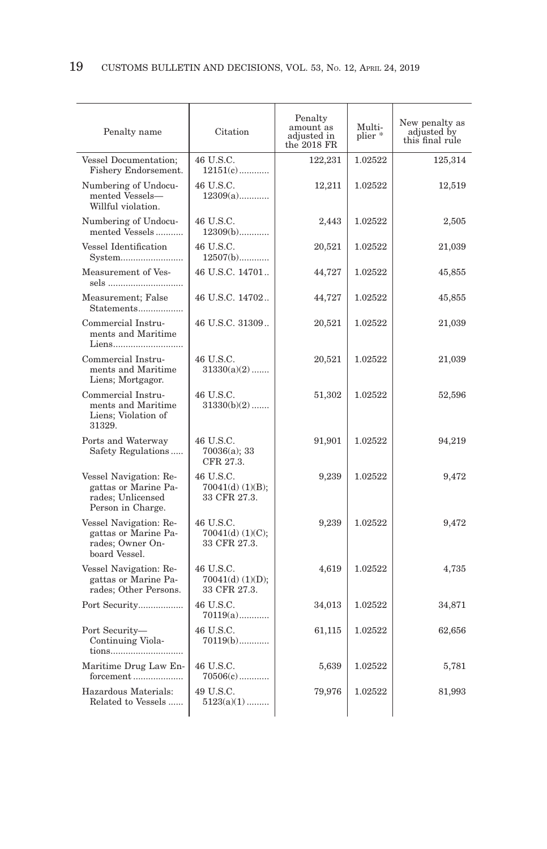| Penalty name                                                                             | Citation                                        | Penalty<br>amount as<br>adjusted in<br>the 2018 FR | Multi-<br>plier * | New penalty as<br>adjusted by<br>this final rule |
|------------------------------------------------------------------------------------------|-------------------------------------------------|----------------------------------------------------|-------------------|--------------------------------------------------|
| Vessel Documentation;<br>Fishery Endorsement.                                            | 46 U.S.C.<br>$12151(c)$                         | 122,231                                            | 1.02522           | 125,314                                          |
| Numbering of Undocu-<br>mented Vessels-<br>Willful violation.                            | 46 U.S.C.<br>$12309(a)$                         | 12,211                                             | 1.02522           | 12,519                                           |
| Numbering of Undocu-<br>mented Vessels                                                   | 46 U.S.C.<br>$12309(b)$                         | 2,443                                              | 1.02522           | 2,505                                            |
| Vessel Identification<br>System                                                          | 46 U.S.C.<br>$12507(b)$                         | 20,521                                             | 1.02522           | 21,039                                           |
| Measurement of Ves-<br>sels                                                              | 46 U.S.C. 14701                                 | 44,727                                             | 1.02522           | 45,855                                           |
| Measurement; False<br>Statements                                                         | 46 U.S.C. 14702                                 | 44,727                                             | 1.02522           | 45,855                                           |
| Commercial Instru-<br>ments and Maritime<br>Liens                                        | 46 U.S.C. 31309                                 | 20,521                                             | 1.02522           | 21,039                                           |
| Commercial Instru-<br>ments and Maritime<br>Liens; Mortgagor.                            | 46 U.S.C.<br>$31330(a)(2)$                      | 20,521                                             | 1.02522           | 21,039                                           |
| Commercial Instru-<br>ments and Maritime<br>Liens; Violation of<br>31329.                | 46 U.S.C.<br>$31330(b)(2)$                      | 51,302                                             | 1.02522           | 52,596                                           |
| Ports and Waterway<br>Safety Regulations                                                 | 46 U.S.C.<br>70036(a); 33<br>CFR 27.3.          | 91,901                                             | 1.02522           | 94,219                                           |
| Vessel Navigation: Re-<br>gattas or Marine Pa-<br>rades; Unlicensed<br>Person in Charge. | 46 U.S.C.<br>$70041(d)$ (1)(B);<br>33 CFR 27.3. | 9,239                                              | 1.02522           | 9,472                                            |
| Vessel Navigation: Re-<br>gattas or Marine Pa-<br>rades: Owner On-<br>board Vessel.      | 46 U.S.C.<br>$70041(d)$ (1)(C);<br>33 CFR 27.3. | 9,239                                              | 1.02522           | 9,472                                            |
| Vessel Navigation: Re-<br>gattas or Marine Pa-<br>rades; Other Persons.                  | 46 U.S.C.<br>$70041(d)$ (1)(D);<br>33 CFR 27.3. | 4,619                                              | 1.02522           | 4,735                                            |
| Port Security                                                                            | 46 U.S.C.<br>$70119(a)$                         | 34,013                                             | 1.02522           | 34,871                                           |
| Port Security-<br>Continuing Viola-<br>tions                                             | 46 U.S.C.<br>$70119(b)$                         | 61,115                                             | 1.02522           | 62,656                                           |
| Maritime Drug Law En-<br>forcement                                                       | 46 U.S.C.<br>$70506(c)$                         | 5,639                                              | 1.02522           | 5,781                                            |
| Hazardous Materials:<br>Related to Vessels                                               | 49 U.S.C.<br>$5123(a)(1)$                       | 79,976                                             | 1.02522           | 81,993                                           |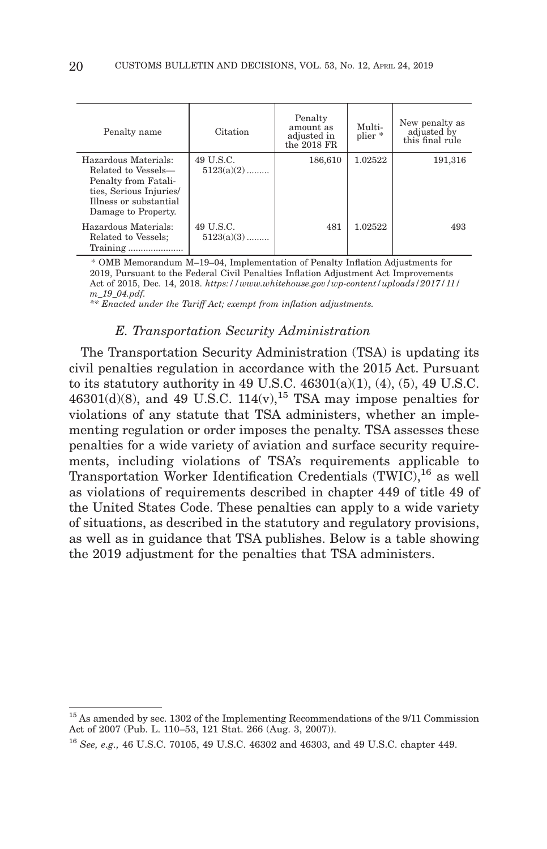| Penalty name                                                                                                                                    | Citation                  | Penalty<br>amount as<br>adjusted in<br>the $2018$ FR | Multi-<br>plier * | New penalty as<br>adjusted by<br>this final rule |
|-------------------------------------------------------------------------------------------------------------------------------------------------|---------------------------|------------------------------------------------------|-------------------|--------------------------------------------------|
| Hazardous Materials:<br>Related to Vessels-<br>Penalty from Fatali-<br>ties, Serious Injuries/<br>Illness or substantial<br>Damage to Property. | 49 U.S.C.<br>$5123(a)(2)$ | 186,610                                              | 1.02522           | 191,316                                          |
| Hazardous Materials:<br>Related to Vessels;<br>$Training \dots \dots \dots \dots \dots \dots$                                                   | 49 U.S.C.<br>$5123(a)(3)$ | 481                                                  | 1.02522           | 493                                              |

 \* OMB Memorandum M–19–04, Implementation of Penalty Inflation Adjustments for 2019, Pursuant to the Federal Civil Penalties Inflation Adjustment Act Improvements Act of 2015, Dec. 14, 2018. *https://www.whitehouse.gov/wp-content/uploads/2017/11/ m\_19\_04.pdf.*

*\*\* Enacted under the Tariff Act; exempt from inflation adjustments.*

#### *E. Transportation Security Administration*

The Transportation Security Administration (TSA) is updating its civil penalties regulation in accordance with the 2015 Act. Pursuant to its statutory authority in 49 U.S.C.  $46301(a)(1)$ ,  $(4)$ ,  $(5)$ ,  $49$  U.S.C. 46301(d)(8), and 49 U.S.C. 114(v), <sup>15</sup> TSA may impose penalties for violations of any statute that TSA administers, whether an implementing regulation or order imposes the penalty. TSA assesses these penalties for a wide variety of aviation and surface security requirements, including violations of TSA's requirements applicable to Transportation Worker Identification Credentials  $(TWIC)^{16}$  as well as violations of requirements described in chapter 449 of title 49 of the United States Code. These penalties can apply to a wide variety of situations, as described in the statutory and regulatory provisions, as well as in guidance that TSA publishes. Below is a table showing the 2019 adjustment for the penalties that TSA administers.

<sup>15</sup> As amended by sec. 1302 of the Implementing Recommendations of the 9/11 Commission Act of 2007 (Pub. L. 110–53, 121 Stat. 266 (Aug. 3, 2007)).

<sup>16</sup>*See, e.g.,* 46 U.S.C. 70105, 49 U.S.C. 46302 and 46303, and 49 U.S.C. chapter 449.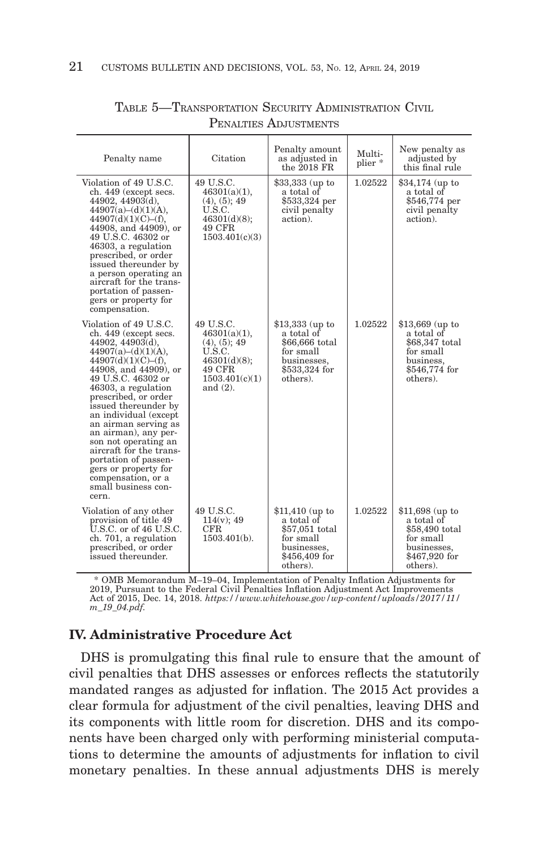| Penalty name                                                                                                                                                                                                                                                                                                                                                                                                                                                                   | Citation                                                                                                          | Penalty amount<br>as adjusted in<br>the 2018 FR                                                           | Multi-<br>plier * | New penalty as<br>adjusted by<br>this final rule                                                          |
|--------------------------------------------------------------------------------------------------------------------------------------------------------------------------------------------------------------------------------------------------------------------------------------------------------------------------------------------------------------------------------------------------------------------------------------------------------------------------------|-------------------------------------------------------------------------------------------------------------------|-----------------------------------------------------------------------------------------------------------|-------------------|-----------------------------------------------------------------------------------------------------------|
| Violation of 49 U.S.C.<br>ch. 449 (except secs.<br>$44902, 44903(d)$ ,<br>$44907(a)-(d)(1)(A),$<br>44907(d)(1)(C)–(f),<br>44908, and 44909), or<br>49 U.S.C. 46302 or<br>46303, a regulation<br>prescribed, or order<br>issued thereunder by<br>a person operating an<br>aircraft for the trans-<br>portation of passen-<br>gers or property for<br>compensation.                                                                                                              | 49 U.S.C.<br>$46301(a)(1)$ ,<br>(4), (5); 49<br>U.S.C.<br>46301(d)(8);<br>49 CFR<br>1503.401(c)(3)                | \$33,333 (up to<br>a total of<br>\$533,324 per<br>civil penalty<br>action).                               | 1.02522           | $$34,174$ (up to<br>a total of<br>\$546,774 per<br>civil penalty<br>action).                              |
| Violation of 49 U.S.C.<br>ch. 449 (except secs.<br>$44902, 44903(d)$ ,<br>$44907(a)-(d)(1)(A),$<br>44907(d)(1)(C)–(f),<br>44908, and 44909), or<br>49 U.S.C. 46302 or<br>46303, a regulation<br>prescribed, or order<br>issued thereunder by<br>an individual (except<br>an airman serving as<br>an airman), any per-<br>son not operating an<br>aircraft for the trans-<br>portation of passen-<br>gers or property for<br>compensation, or a<br>small business con-<br>cern. | 49 U.S.C.<br>46301(a)(1),<br>(4), (5); 49<br>U.S.C.<br>$46301(d)(8)$ ;<br>49 CFR<br>1503.401(c)(1)<br>and $(2)$ . | $$13,333$ (up to<br>a total of<br>\$66,666 total<br>for small<br>businesses,<br>\$533,324 for<br>others). | 1.02522           | $$13,669$ (up to<br>a total of<br>\$68,347 total<br>for small<br>business.<br>\$546,774 for<br>others).   |
| Violation of any other<br>provision of title 49<br>$U.S.C.$ or of 46 $U.S.C.$<br>ch. 701, a regulation<br>prescribed, or order<br>issued thereunder.                                                                                                                                                                                                                                                                                                                           | 49 U.S.C.<br>$114(v)$ ; 49<br>CFR.<br>$1503.401(b)$ .                                                             | $$11,410$ (up to<br>a total of<br>\$57,051 total<br>for small<br>businesses,<br>\$456,409 for<br>others). | 1.02522           | $$11,698$ (up to<br>a total of<br>\$58,490 total<br>for small<br>businesses,<br>\$467,920 for<br>others). |

## TABLE 5—TRANSPORTATION SECURITY ADMINISTRATION CIVIL PENALTIES ADJUSTMENTS

\* OMB Memorandum M–19–04, Implementation of Penalty Inflation Adjustments for<br>2019, Pursuant to the Federal Civil Penalties Inflation Adjustment Act Improvements<br>Act of 2015, Dec. 14, 2018. *https://www.whitehouse.gov/wp-c m\_19\_04.pdf.*

# **IV. Administrative Procedure Act**

DHS is promulgating this final rule to ensure that the amount of civil penalties that DHS assesses or enforces reflects the statutorily mandated ranges as adjusted for inflation. The 2015 Act provides a clear formula for adjustment of the civil penalties, leaving DHS and its components with little room for discretion. DHS and its components have been charged only with performing ministerial computations to determine the amounts of adjustments for inflation to civil monetary penalties. In these annual adjustments DHS is merely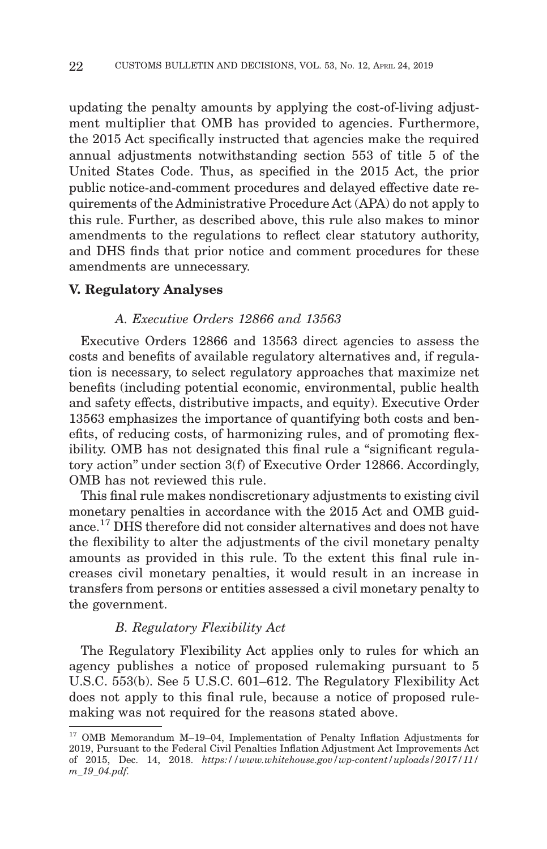updating the penalty amounts by applying the cost-of-living adjustment multiplier that OMB has provided to agencies. Furthermore, the 2015 Act specifically instructed that agencies make the required annual adjustments notwithstanding section 553 of title 5 of the United States Code. Thus, as specified in the 2015 Act, the prior public notice-and-comment procedures and delayed effective date requirements of the Administrative Procedure Act (APA) do not apply to this rule. Further, as described above, this rule also makes to minor amendments to the regulations to reflect clear statutory authority, and DHS finds that prior notice and comment procedures for these amendments are unnecessary.

#### **V. Regulatory Analyses**

#### *A. Executive Orders 12866 and 13563*

Executive Orders 12866 and 13563 direct agencies to assess the costs and benefits of available regulatory alternatives and, if regulation is necessary, to select regulatory approaches that maximize net benefits (including potential economic, environmental, public health and safety effects, distributive impacts, and equity). Executive Order 13563 emphasizes the importance of quantifying both costs and benefits, of reducing costs, of harmonizing rules, and of promoting flexibility. OMB has not designated this final rule a "significant regulatory action'' under section 3(f) of Executive Order 12866. Accordingly, OMB has not reviewed this rule.

This final rule makes nondiscretionary adjustments to existing civil monetary penalties in accordance with the 2015 Act and OMB guidance.17 DHS therefore did not consider alternatives and does not have the flexibility to alter the adjustments of the civil monetary penalty amounts as provided in this rule. To the extent this final rule increases civil monetary penalties, it would result in an increase in transfers from persons or entities assessed a civil monetary penalty to the government.

#### *B. Regulatory Flexibility Act*

The Regulatory Flexibility Act applies only to rules for which an agency publishes a notice of proposed rulemaking pursuant to 5 U.S.C. 553(b). See 5 U.S.C. 601–612. The Regulatory Flexibility Act does not apply to this final rule, because a notice of proposed rulemaking was not required for the reasons stated above.

<sup>17</sup> OMB Memorandum M–19–04, Implementation of Penalty Inflation Adjustments for 2019, Pursuant to the Federal Civil Penalties Inflation Adjustment Act Improvements Act of 2015, Dec. 14, 2018. *https://www.whitehouse.gov/wp-content/uploads/2017/11/ m\_19\_04.pdf.*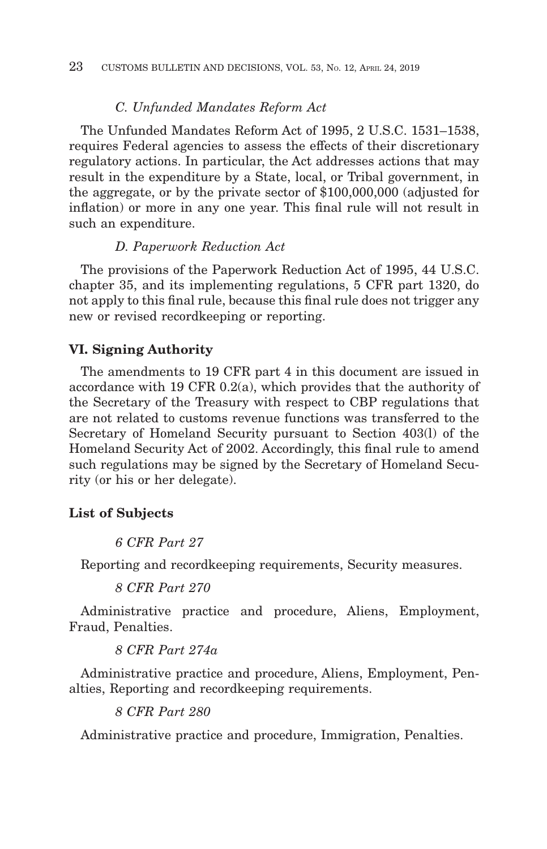#### *C. Unfunded Mandates Reform Act*

The Unfunded Mandates Reform Act of 1995, 2 U.S.C. 1531–1538, requires Federal agencies to assess the effects of their discretionary regulatory actions. In particular, the Act addresses actions that may result in the expenditure by a State, local, or Tribal government, in the aggregate, or by the private sector of \$100,000,000 (adjusted for inflation) or more in any one year. This final rule will not result in such an expenditure.

#### *D. Paperwork Reduction Act*

The provisions of the Paperwork Reduction Act of 1995, 44 U.S.C. chapter 35, and its implementing regulations, 5 CFR part 1320, do not apply to this final rule, because this final rule does not trigger any new or revised recordkeeping or reporting.

#### **VI. Signing Authority**

The amendments to 19 CFR part 4 in this document are issued in accordance with 19 CFR 0.2(a), which provides that the authority of the Secretary of the Treasury with respect to CBP regulations that are not related to customs revenue functions was transferred to the Secretary of Homeland Security pursuant to Section 403(l) of the Homeland Security Act of 2002. Accordingly, this final rule to amend such regulations may be signed by the Secretary of Homeland Security (or his or her delegate).

#### **List of Subjects**

*6 CFR Part 27*

Reporting and recordkeeping requirements, Security measures.

*8 CFR Part 270*

Administrative practice and procedure, Aliens, Employment, Fraud, Penalties.

*8 CFR Part 274a*

Administrative practice and procedure, Aliens, Employment, Penalties, Reporting and recordkeeping requirements.

*8 CFR Part 280*

Administrative practice and procedure, Immigration, Penalties.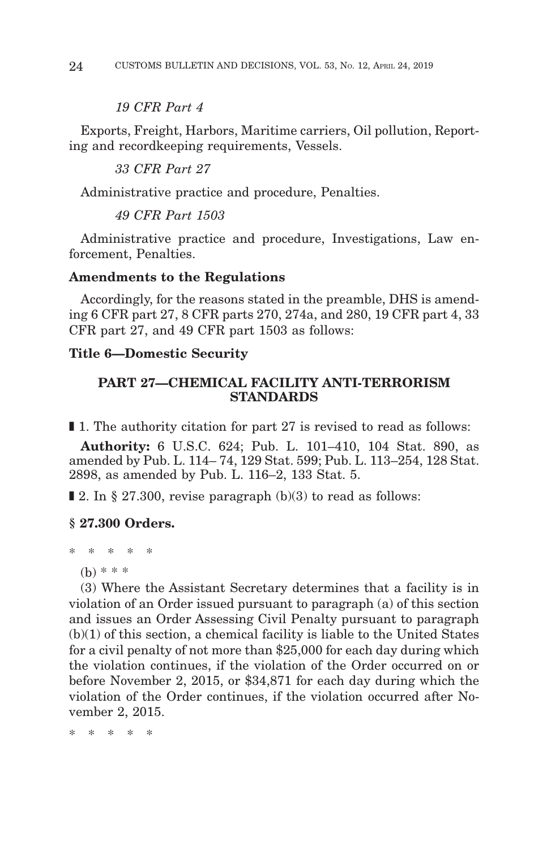#### *19 CFR Part 4*

Exports, Freight, Harbors, Maritime carriers, Oil pollution, Reporting and recordkeeping requirements, Vessels.

*33 CFR Part 27*

Administrative practice and procedure, Penalties.

*49 CFR Part 1503*

Administrative practice and procedure, Investigations, Law enforcement, Penalties.

#### **Amendments to the Regulations**

Accordingly, for the reasons stated in the preamble, DHS is amending 6 CFR part 27, 8 CFR parts 270, 274a, and 280, 19 CFR part 4, 33 CFR part 27, and 49 CFR part 1503 as follows:

#### **Title 6—Domestic Security**

## **PART 27—CHEMICAL FACILITY ANTI-TERRORISM STANDARDS**

■ 1. The authority citation for part 27 is revised to read as follows:

**Authority:** 6 U.S.C. 624; Pub. L. 101–410, 104 Stat. 890, as amended by Pub. L. 114– 74, 129 Stat. 599; Pub. L. 113–254, 128 Stat. 2898, as amended by Pub. L. 116–2, 133 Stat. 5.

 $\blacksquare$  **2.** In § 27.300, revise paragraph (b)(3) to read as follows:

### **§ 27.300 Orders.**

\* \* \* \* \*

```
(b) * * *
```
(3) Where the Assistant Secretary determines that a facility is in violation of an Order issued pursuant to paragraph (a) of this section and issues an Order Assessing Civil Penalty pursuant to paragraph (b)(1) of this section, a chemical facility is liable to the United States for a civil penalty of not more than \$25,000 for each day during which the violation continues, if the violation of the Order occurred on or before November 2, 2015, or \$34,871 for each day during which the violation of the Order continues, if the violation occurred after November 2, 2015.

\* \* \* \* \*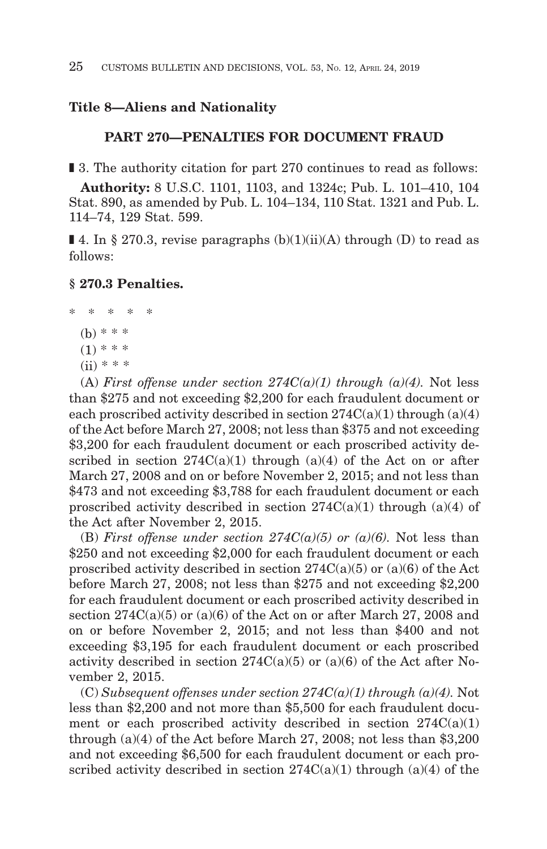# **Title 8—Aliens and Nationality**

#### **PART 270—PENALTIES FOR DOCUMENT FRAUD**

■ 3. The authority citation for part 270 continues to read as follows:

**Authority:** 8 U.S.C. 1101, 1103, and 1324c; Pub. L. 101–410, 104 Stat. 890, as amended by Pub. L. 104–134, 110 Stat. 1321 and Pub. L. 114–74, 129 Stat. 599.

**I** 4. In § 270.3, revise paragraphs  $(b)(1)(ii)(A)$  through  $(D)$  to read as follows:

#### **§ 270.3 Penalties.**

- \* \* \* \* \*
	- (b) \* \* \*
	- $(1)$  \* \* \*
	- $(ii) * * * *$

(A) *First offense under section*  $274C(a)(1)$  *through (a)(4)*. Not less than \$275 and not exceeding \$2,200 for each fraudulent document or each proscribed activity described in section  $274C(a)(1)$  through  $(a)(4)$ of the Act before March 27, 2008; not less than \$375 and not exceeding \$3,200 for each fraudulent document or each proscribed activity described in section  $274C(a)(1)$  through  $(a)(4)$  of the Act on or after March 27, 2008 and on or before November 2, 2015; and not less than \$473 and not exceeding \$3,788 for each fraudulent document or each proscribed activity described in section  $274C(a)(1)$  through  $(a)(4)$  of the Act after November 2, 2015.

(B) *First offense under section 274C(a)(5) or (a)(6)*. Not less than \$250 and not exceeding \$2,000 for each fraudulent document or each proscribed activity described in section  $274C(a)(5)$  or  $(a)(6)$  of the Act before March 27, 2008; not less than \$275 and not exceeding \$2,200 for each fraudulent document or each proscribed activity described in section  $274C(a)(5)$  or  $(a)(6)$  of the Act on or after March 27, 2008 and on or before November 2, 2015; and not less than \$400 and not exceeding \$3,195 for each fraudulent document or each proscribed activity described in section  $274C(a)(5)$  or  $(a)(6)$  of the Act after November 2, 2015.

 $(C) Subsequent$  offenses under section  $274C(a)(1)$  through  $(a)(4)$ . Not less than \$2,200 and not more than \$5,500 for each fraudulent document or each proscribed activity described in section  $274C(a)(1)$ through (a)(4) of the Act before March 27, 2008; not less than \$3,200 and not exceeding \$6,500 for each fraudulent document or each proscribed activity described in section  $274C(a)(1)$  through  $(a)(4)$  of the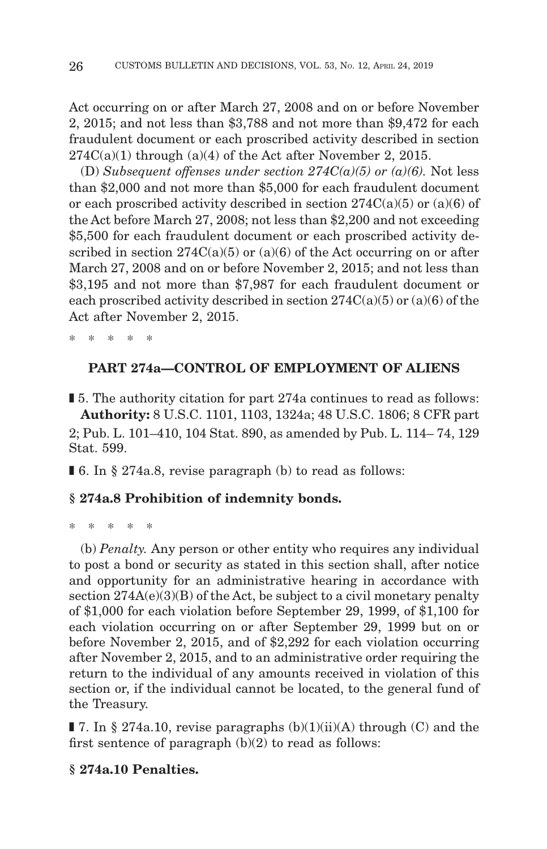Act occurring on or after March 27, 2008 and on or before November 2, 2015; and not less than \$3,788 and not more than \$9,472 for each fraudulent document or each proscribed activity described in section  $274C(a)(1)$  through  $(a)(4)$  of the Act after November 2, 2015.

(D) Subsequent offenses under section  $274C(a)(5)$  or  $(a)(6)$ . Not less than \$2,000 and not more than \$5,000 for each fraudulent document or each proscribed activity described in section  $274C(a)(5)$  or  $(a)(6)$  of the Act before March 27, 2008; not less than \$2,200 and not exceeding \$5,500 for each fraudulent document or each proscribed activity described in section  $274C(a)(5)$  or  $(a)(6)$  of the Act occurring on or after March 27, 2008 and on or before November 2, 2015; and not less than \$3,195 and not more than \$7,987 for each fraudulent document or each proscribed activity described in section  $274C(a)(5)$  or  $(a)(6)$  of the Act after November 2, 2015.

\* \* \* \* \*

# **PART 274a—CONTROL OF EMPLOYMENT OF ALIENS**

■ 5. The authority citation for part 274a continues to read as follows: **Authority:** 8 U.S.C. 1101, 1103, 1324a; 48 U.S.C. 1806; 8 CFR part 2; Pub. L. 101–410, 104 Stat. 890, as amended by Pub. L. 114– 74, 129 Stat. 599.

■ 6. In § 274a.8, revise paragraph (b) to read as follows:

### **§ 274a.8 Prohibition of indemnity bonds.**

\* \* \* \* \*

(b) *Penalty.* Any person or other entity who requires any individual to post a bond or security as stated in this section shall, after notice and opportunity for an administrative hearing in accordance with section  $274A(e)(3)(B)$  of the Act, be subject to a civil monetary penalty of \$1,000 for each violation before September 29, 1999, of \$1,100 for each violation occurring on or after September 29, 1999 but on or before November 2, 2015, and of \$2,292 for each violation occurring after November 2, 2015, and to an administrative order requiring the return to the individual of any amounts received in violation of this section or, if the individual cannot be located, to the general fund of the Treasury.

**I** 7. In § 274a.10, revise paragraphs  $(b)(1)(ii)(A)$  through  $(C)$  and the first sentence of paragraph  $(b)(2)$  to read as follows:

# **§ 274a.10 Penalties.**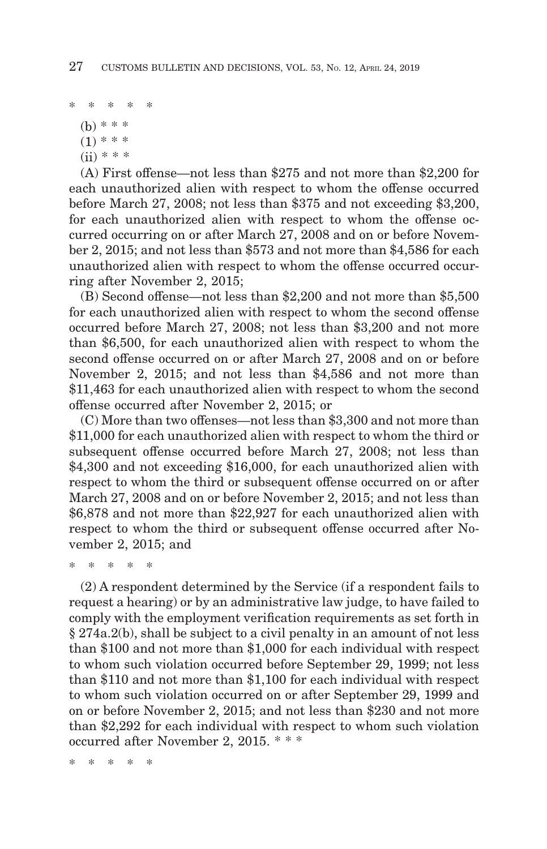\* \* \* \* \*

(b) \* \* \*  $(1)$  \* \* \*  $(ii) * * *$ 

(A) First offense—not less than \$275 and not more than \$2,200 for each unauthorized alien with respect to whom the offense occurred before March 27, 2008; not less than \$375 and not exceeding \$3,200, for each unauthorized alien with respect to whom the offense occurred occurring on or after March 27, 2008 and on or before November 2, 2015; and not less than \$573 and not more than \$4,586 for each unauthorized alien with respect to whom the offense occurred occurring after November 2, 2015;

(B) Second offense—not less than \$2,200 and not more than \$5,500 for each unauthorized alien with respect to whom the second offense occurred before March 27, 2008; not less than \$3,200 and not more than \$6,500, for each unauthorized alien with respect to whom the second offense occurred on or after March 27, 2008 and on or before November 2, 2015; and not less than \$4,586 and not more than \$11,463 for each unauthorized alien with respect to whom the second offense occurred after November 2, 2015; or

(C) More than two offenses—not less than \$3,300 and not more than \$11,000 for each unauthorized alien with respect to whom the third or subsequent offense occurred before March 27, 2008; not less than \$4,300 and not exceeding \$16,000, for each unauthorized alien with respect to whom the third or subsequent offense occurred on or after March 27, 2008 and on or before November 2, 2015; and not less than \$6,878 and not more than \$22,927 for each unauthorized alien with respect to whom the third or subsequent offense occurred after November 2, 2015; and

\* \* \* \* \*

(2) A respondent determined by the Service (if a respondent fails to request a hearing) or by an administrative law judge, to have failed to comply with the employment verification requirements as set forth in § 274a.2(b), shall be subject to a civil penalty in an amount of not less than \$100 and not more than \$1,000 for each individual with respect to whom such violation occurred before September 29, 1999; not less than \$110 and not more than \$1,100 for each individual with respect to whom such violation occurred on or after September 29, 1999 and on or before November 2, 2015; and not less than \$230 and not more than \$2,292 for each individual with respect to whom such violation occurred after November 2, 2015. \* \* \*

\* \* \* \* \*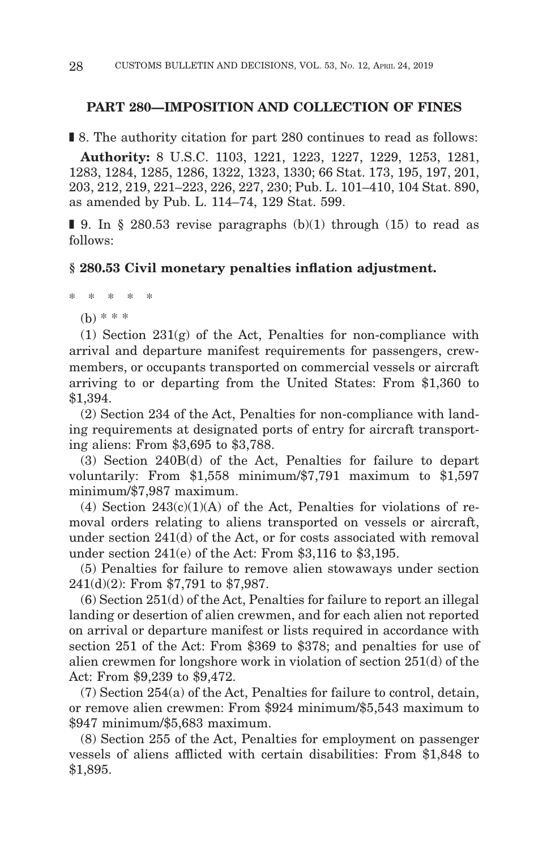#### **PART 280—IMPOSITION AND COLLECTION OF FINES**

■ 8. The authority citation for part 280 continues to read as follows:

**Authority:** 8 U.S.C. 1103, 1221, 1223, 1227, 1229, 1253, 1281, 1283, 1284, 1285, 1286, 1322, 1323, 1330; 66 Stat. 173, 195, 197, 201, 203, 212, 219, 221–223, 226, 227, 230; Pub. L. 101–410, 104 Stat. 890, as amended by Pub. L. 114–74, 129 Stat. 599.

 $\blacksquare$  9. In § 280.53 revise paragraphs (b)(1) through (15) to read as follows:

#### **§ 280.53 Civil monetary penalties inflation adjustment.**

\* \* \* \* \*

 $(b) * * * *$ 

(1) Section 231(g) of the Act, Penalties for non-compliance with arrival and departure manifest requirements for passengers, crewmembers, or occupants transported on commercial vessels or aircraft arriving to or departing from the United States: From \$1,360 to \$1,394.

(2) Section 234 of the Act, Penalties for non-compliance with landing requirements at designated ports of entry for aircraft transporting aliens: From \$3,695 to \$3,788.

(3) Section 240B(d) of the Act, Penalties for failure to depart voluntarily: From \$1,558 minimum/\$7,791 maximum to \$1,597 minimum/\$7,987 maximum.

(4) Section  $243(c)(1)(A)$  of the Act, Penalties for violations of removal orders relating to aliens transported on vessels or aircraft, under section 241(d) of the Act, or for costs associated with removal under section 241(e) of the Act: From \$3,116 to \$3,195.

(5) Penalties for failure to remove alien stowaways under section 241(d)(2): From \$7,791 to \$7,987.

(6) Section 251(d) of the Act, Penalties for failure to report an illegal landing or desertion of alien crewmen, and for each alien not reported on arrival or departure manifest or lists required in accordance with section 251 of the Act: From \$369 to \$378; and penalties for use of alien crewmen for longshore work in violation of section 251(d) of the Act: From \$9,239 to \$9,472.

(7) Section 254(a) of the Act, Penalties for failure to control, detain, or remove alien crewmen: From \$924 minimum/\$5,543 maximum to \$947 minimum/\$5,683 maximum.

(8) Section 255 of the Act, Penalties for employment on passenger vessels of aliens afflicted with certain disabilities: From \$1,848 to \$1,895.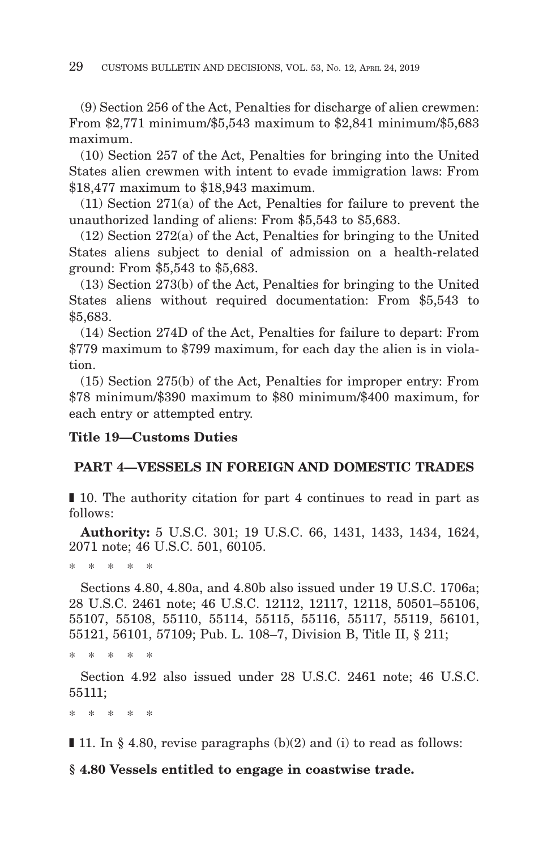(9) Section 256 of the Act, Penalties for discharge of alien crewmen: From \$2,771 minimum/\$5,543 maximum to \$2,841 minimum/\$5,683 maximum.

(10) Section 257 of the Act, Penalties for bringing into the United States alien crewmen with intent to evade immigration laws: From \$18,477 maximum to \$18,943 maximum.

(11) Section 271(a) of the Act, Penalties for failure to prevent the unauthorized landing of aliens: From \$5,543 to \$5,683.

(12) Section 272(a) of the Act, Penalties for bringing to the United States aliens subject to denial of admission on a health-related ground: From \$5,543 to \$5,683.

(13) Section 273(b) of the Act, Penalties for bringing to the United States aliens without required documentation: From \$5,543 to \$5,683.

(14) Section 274D of the Act, Penalties for failure to depart: From \$779 maximum to \$799 maximum, for each day the alien is in violation.

(15) Section 275(b) of the Act, Penalties for improper entry: From \$78 minimum/\$390 maximum to \$80 minimum/\$400 maximum, for each entry or attempted entry.

# **Title 19—Customs Duties**

# **PART 4—VESSELS IN FOREIGN AND DOMESTIC TRADES**

■ 10. The authority citation for part 4 continues to read in part as follows:

**Authority:** 5 U.S.C. 301; 19 U.S.C. 66, 1431, 1433, 1434, 1624, 2071 note; 46 U.S.C. 501, 60105.

\* \* \* \* \*

Sections 4.80, 4.80a, and 4.80b also issued under 19 U.S.C. 1706a; 28 U.S.C. 2461 note; 46 U.S.C. 12112, 12117, 12118, 50501–55106, 55107, 55108, 55110, 55114, 55115, 55116, 55117, 55119, 56101, 55121, 56101, 57109; Pub. L. 108–7, Division B, Title II, § 211;

\* \* \* \* \*

Section 4.92 also issued under 28 U.S.C. 2461 note; 46 U.S.C. 55111;

\* \* \* \* \*

 $\blacksquare$  **11.** In § 4.80, revise paragraphs (b)(2) and (i) to read as follows:

# **§ 4.80 Vessels entitled to engage in coastwise trade.**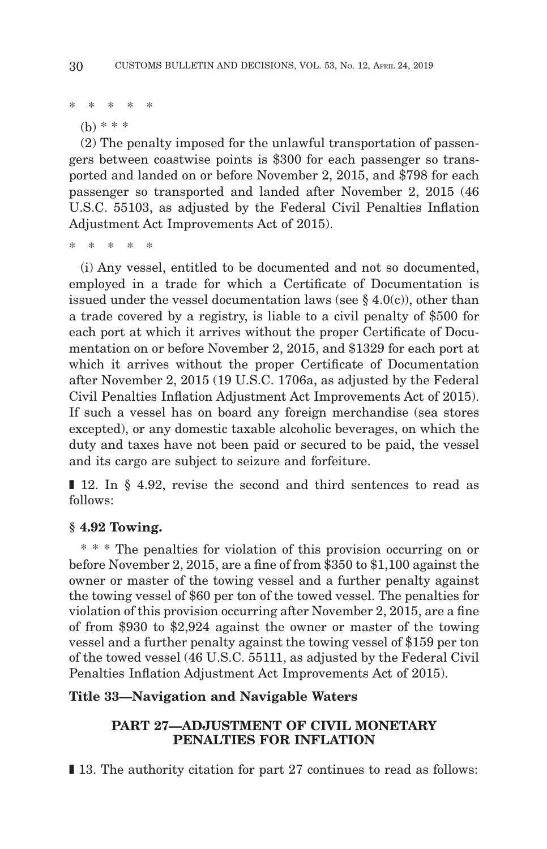\* \* \* \* \*

(b) \* \* \*

(2) The penalty imposed for the unlawful transportation of passengers between coastwise points is \$300 for each passenger so transported and landed on or before November 2, 2015, and \$798 for each passenger so transported and landed after November 2, 2015 (46 U.S.C. 55103, as adjusted by the Federal Civil Penalties Inflation Adjustment Act Improvements Act of 2015).

\* \* \* \* \*

(i) Any vessel, entitled to be documented and not so documented, employed in a trade for which a Certificate of Documentation is issued under the vessel documentation laws (see  $\S$  4.0(c)), other than a trade covered by a registry, is liable to a civil penalty of \$500 for each port at which it arrives without the proper Certificate of Documentation on or before November 2, 2015, and \$1329 for each port at which it arrives without the proper Certificate of Documentation after November 2, 2015 (19 U.S.C. 1706a, as adjusted by the Federal Civil Penalties Inflation Adjustment Act Improvements Act of 2015). If such a vessel has on board any foreign merchandise (sea stores excepted), or any domestic taxable alcoholic beverages, on which the duty and taxes have not been paid or secured to be paid, the vessel and its cargo are subject to seizure and forfeiture.

■ 12. In § 4.92, revise the second and third sentences to read as follows:

# **§ 4.92 Towing.**

\* \* \* The penalties for violation of this provision occurring on or before November 2, 2015, are a fine of from \$350 to \$1,100 against the owner or master of the towing vessel and a further penalty against the towing vessel of \$60 per ton of the towed vessel. The penalties for violation of this provision occurring after November 2, 2015, are a fine of from \$930 to \$2,924 against the owner or master of the towing vessel and a further penalty against the towing vessel of \$159 per ton of the towed vessel (46 U.S.C. 55111, as adjusted by the Federal Civil Penalties Inflation Adjustment Act Improvements Act of 2015).

# **Title 33—Navigation and Navigable Waters**

# **PART 27—ADJUSTMENT OF CIVIL MONETARY PENALTIES FOR INFLATION**

■ 13. The authority citation for part 27 continues to read as follows: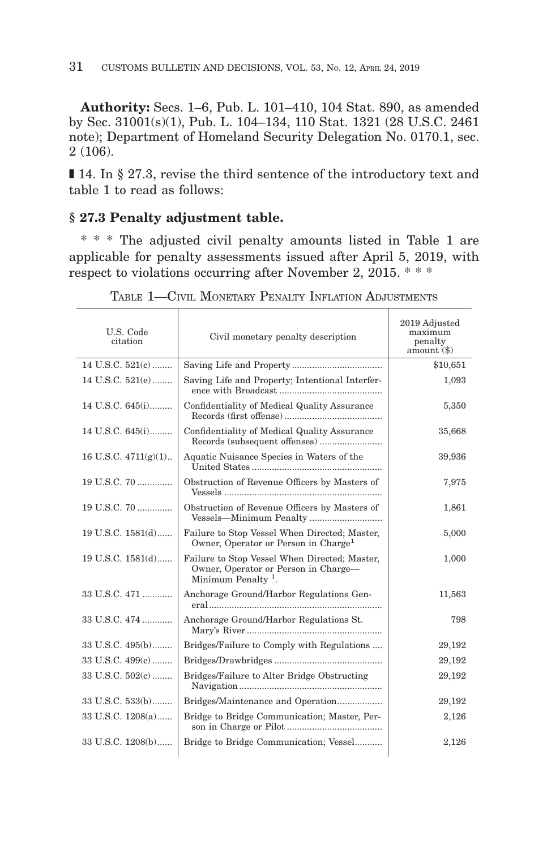**Authority:** Secs. 1–6, Pub. L. 101–410, 104 Stat. 890, as amended by Sec. 31001(s)(1), Pub. L. 104–134, 110 Stat. 1321 (28 U.S.C. 2461 note); Department of Homeland Security Delegation No. 0170.1, sec. 2 (106).

■ 14. In § 27.3, revise the third sentence of the introductory text and table 1 to read as follows:

# **§ 27.3 Penalty adjustment table.**

\* \* \* The adjusted civil penalty amounts listed in Table 1 are applicable for penalty assessments issued after April 5, 2019, with respect to violations occurring after November 2, 2015. \* \* \*

| U.S. Code<br>citation  | Civil monetary penalty description                                                                                      | 2019 Adjusted<br>maximum<br>penalty<br>$a$ mount $($ \$ $)$ |
|------------------------|-------------------------------------------------------------------------------------------------------------------------|-------------------------------------------------------------|
| 14 U.S.C. 521(c)       |                                                                                                                         | \$10,651                                                    |
| 14 U.S.C. $521(e)$     | Saving Life and Property; Intentional Interfer-                                                                         | 1,093                                                       |
| 14 U.S.C. 645(i)       | Confidentiality of Medical Quality Assurance                                                                            | 5,350                                                       |
| 14 U.S.C. 645(i)       | Confidentiality of Medical Quality Assurance                                                                            | 35,668                                                      |
| 16 U.S.C. $4711(g)(1)$ | Aquatic Nuisance Species in Waters of the                                                                               | 39,936                                                      |
| 19 U.S.C. 70           | Obstruction of Revenue Officers by Masters of                                                                           | 7,975                                                       |
| 19 U.S.C. 70           | Obstruction of Revenue Officers by Masters of<br>Vessels-Minimum Penalty                                                | 1,861                                                       |
| 19 U.S.C. 1581(d)      | Failure to Stop Vessel When Directed; Master,<br>Owner, Operator or Person in Charge <sup>1</sup>                       | 5,000                                                       |
| 19 U.S.C. $1581(d)$    | Failure to Stop Vessel When Directed; Master,<br>Owner, Operator or Person in Charge-<br>Minimum Penalty <sup>1</sup> . | 1,000                                                       |
| 33 U.S.C. 471          | Anchorage Ground/Harbor Regulations Gen-                                                                                | 11,563                                                      |
| 33 U.S.C. 474          | Anchorage Ground/Harbor Regulations St.                                                                                 | 798                                                         |
| 33 U.S.C. 495(b)       | Bridges/Failure to Comply with Regulations                                                                              | 29,192                                                      |
| 33 U.S.C. 499(c)       |                                                                                                                         | 29,192                                                      |
| 33 U.S.C. 502(c)       | Bridges/Failure to Alter Bridge Obstructing                                                                             | 29,192                                                      |
| 33 U.S.C. 533(b)       | Bridges/Maintenance and Operation                                                                                       | 29,192                                                      |
| 33 U.S.C. 1208(a)      | Bridge to Bridge Communication; Master, Per-                                                                            | 2,126                                                       |
| 33 U.S.C. 1208(b)      | Bridge to Bridge Communication; Vessel                                                                                  | 2,126                                                       |

TABLE 1—CIVIL MONETARY PENALTY INFLATION ADJUSTMENTS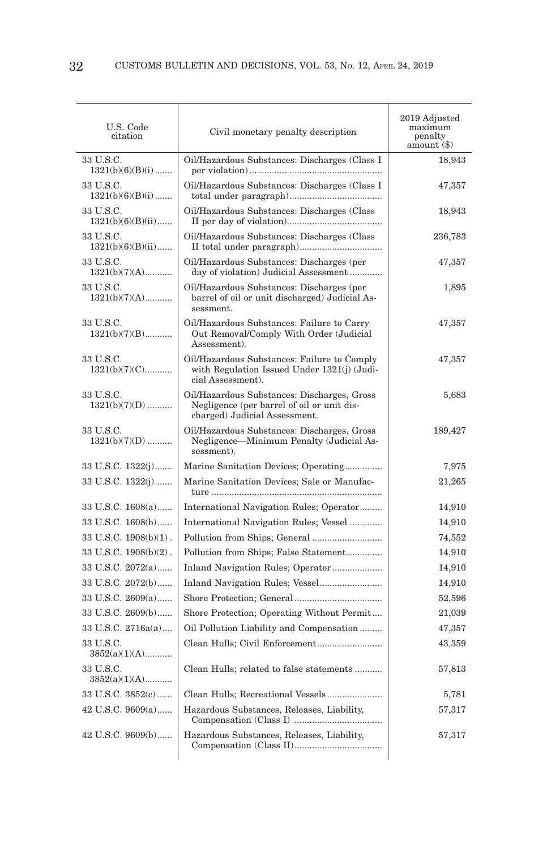| U.S. Code<br>citation            | Civil monetary penalty description                                                                                         | 2019 Adjusted<br>maximum<br>penalty<br>amount (\$) |
|----------------------------------|----------------------------------------------------------------------------------------------------------------------------|----------------------------------------------------|
| 33 U.S.C.<br>$1321(b)(6)(B)(i)$  | Oil/Hazardous Substances: Discharges (Class I                                                                              | 18,943                                             |
| 33 U.S.C.<br>$1321(b)(6)(B)(i)$  | Oil/Hazardous Substances: Discharges (Class I                                                                              | 47,357                                             |
| 33 U.S.C.<br>$1321(b)(6)(B)(ii)$ | Oil/Hazardous Substances: Discharges (Class)                                                                               | 18,943                                             |
| 33 U.S.C.<br>$1321(b)(6)(B)(ii)$ | Oil/Hazardous Substances: Discharges (Class                                                                                | 236,783                                            |
| 33 U.S.C.<br>$1321(b)(7)(A)$     | Oil/Hazardous Substances: Discharges (per<br>day of violation) Judicial Assessment                                         | 47,357                                             |
| 33 U.S.C.<br>$1321(b)(7)(A)$     | Oil/Hazardous Substances: Discharges (per<br>barrel of oil or unit discharged) Judicial As-<br>sessment.                   | 1,895                                              |
| 33 U.S.C.<br>$1321(b)(7)(B)$     | Oil/Hazardous Substances: Failure to Carry<br>Out Removal/Comply With Order (Judicial<br>Assessment).                      | 47,357                                             |
| 33 U.S.C.<br>$1321(b)(7)(C)$     | Oil/Hazardous Substances: Failure to Comply<br>with Regulation Issued Under 1321(j) (Judi-<br>cial Assessment).            | 47,357                                             |
| 33 U.S.C.<br>$1321(b)(7)(D)$     | Oil/Hazardous Substances: Discharges, Gross<br>Negligence (per barrel of oil or unit dis-<br>charged) Judicial Assessment. | 5,683                                              |
| 33 U.S.C.<br>$1321(b)(7)(D)$     | Oil/Hazardous Substances: Discharges, Gross<br>Negligence—Minimum Penalty (Judicial As-<br>sessment).                      | 189,427                                            |
| 33 U.S.C. 1322(j)                | Marine Sanitation Devices; Operating                                                                                       | 7,975                                              |
| 33 U.S.C. 1322(j)                | Marine Sanitation Devices; Sale or Manufac-                                                                                | 21,265                                             |
| 33 U.S.C. 1608(a)                | International Navigation Rules; Operator                                                                                   | 14,910                                             |
| 33 U.S.C. 1608(b)                | International Navigation Rules; Vessel                                                                                     | 14,910                                             |
| 33 U.S.C. 1908(b)(1).            |                                                                                                                            | 74,552                                             |
| 33 U.S.C. 1908(b)(2).            | Pollution from Ships; False Statement                                                                                      | 14,910                                             |
| 33 U.S.C. 2072(a)                |                                                                                                                            | 14,910                                             |
| 33 U.S.C. 2072(b)                | Inland Navigation Rules; Vessel                                                                                            | 14,910                                             |
| 33 U.S.C. 2609(a)                |                                                                                                                            | 52,596                                             |
| 33 U.S.C. 2609(b)                | Shore Protection; Operating Without Permit                                                                                 | 21,039                                             |
| 33 U.S.C. 2716a(a)               | Oil Pollution Liability and Compensation                                                                                   | 47,357                                             |
| 33 U.S.C.<br>$3852(a)(1)(A)$     | Clean Hulls; Civil Enforcement                                                                                             | 43,359                                             |
| 33 U.S.C.<br>$3852(a)(1)(A)$     | Clean Hulls; related to false statements                                                                                   | 57,813                                             |
| 33 U.S.C. 3852(c)                |                                                                                                                            | 5,781                                              |
| 42 U.S.C. 9609(a)                | Hazardous Substances, Releases, Liability,                                                                                 | 57,317                                             |
| 42 U.S.C. 9609(b)                | Hazardous Substances, Releases, Liability,                                                                                 | 57,317                                             |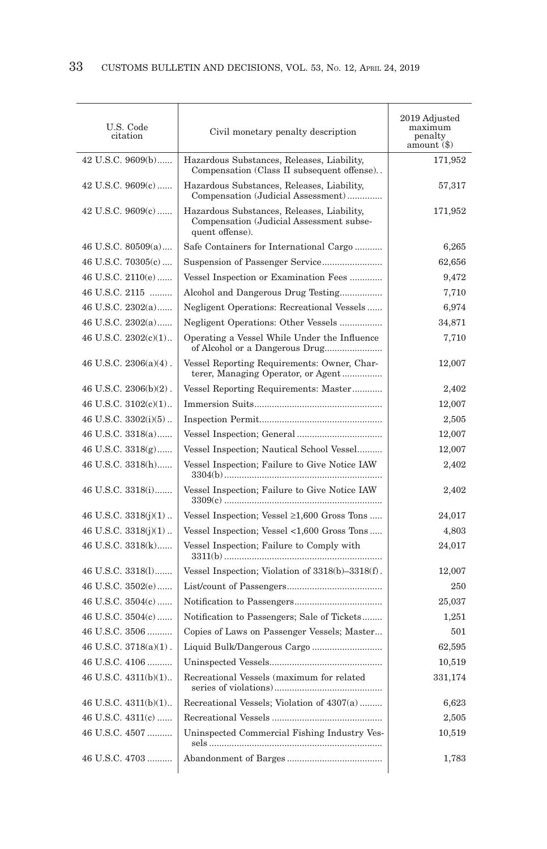| U.S. Code<br>citation      | Civil monetary penalty description                                                                        | 2019 Adjusted<br>maximum<br>penalty<br>$amount(8)$ |
|----------------------------|-----------------------------------------------------------------------------------------------------------|----------------------------------------------------|
| 42 U.S.C. 9609(b)          | Hazardous Substances, Releases, Liability,<br>Compensation (Class II subsequent offense)                  | 171,952                                            |
| 42 U.S.C. 9609(c)          | Hazardous Substances, Releases, Liability,<br>Compensation (Judicial Assessment)                          | 57,317                                             |
| $42$ U.S.C. $9609(c)$      | Hazardous Substances, Releases, Liability,<br>Compensation (Judicial Assessment subse-<br>quent offense). | 171,952                                            |
| 46 U.S.C. 80509(a)         | Safe Containers for International Cargo                                                                   | 6,265                                              |
| 46 U.S.C. 70305(c)         | Suspension of Passenger Service                                                                           | 62,656                                             |
| 46 U.S.C. 2110(e)          | Vessel Inspection or Examination Fees                                                                     | 9,472                                              |
| 46 U.S.C. 2115             | Alcohol and Dangerous Drug Testing                                                                        | 7,710                                              |
| 46 U.S.C. 2302(a)          | Negligent Operations: Recreational Vessels                                                                | 6,974                                              |
| 46 U.S.C. 2302(a)          | Negligent Operations: Other Vessels                                                                       | 34,871                                             |
| 46 U.S.C. 2302(c)(1)       | Operating a Vessel While Under the Influence<br>of Alcohol or a Dangerous Drug                            | 7,710                                              |
| $46$ U.S.C. $2306(a)(4)$ . | Vessel Reporting Requirements: Owner, Char-<br>terer, Managing Operator, or Agent                         | 12,007                                             |
| 46 U.S.C. 2306(b)(2).      | Vessel Reporting Requirements: Master                                                                     | 2,402                                              |
| 46 U.S.C. 3102(c)(1)       |                                                                                                           | 12,007                                             |
| 46 U.S.C. 3302(i)(5)       |                                                                                                           | 2,505                                              |
| 46 U.S.C. 3318(a)          |                                                                                                           | 12,007                                             |
| 46 U.S.C. $3318(g)$        | Vessel Inspection; Nautical School Vessel                                                                 | 12,007                                             |
| 46 U.S.C. 3318(h)          | Vessel Inspection; Failure to Give Notice IAW                                                             | 2,402                                              |
| 46 U.S.C. 3318(i)          | Vessel Inspection; Failure to Give Notice IAW                                                             | 2,402                                              |
| 46 U.S.C. $3318(j)(1)$     | Vessel Inspection; Vessel $\geq 1,600$ Gross Tons                                                         | 24,017                                             |
| 46 U.S.C. $3318(i)(1)$     | Vessel Inspection; Vessel <1,600 Gross Tons                                                               | 4,803                                              |
| 46 U.S.C. 3318(k)          | Vessel Inspection; Failure to Comply with                                                                 | 24,017                                             |
| 46 U.S.C. 3318(1)          | Vessel Inspection; Violation of $3318(b) - 3318(f)$ .                                                     | 12,007                                             |
| 46 U.S.C. 3502(e)          |                                                                                                           | 250                                                |
| 46 U.S.C. 3504(c)          |                                                                                                           | 25,037                                             |
| 46 U.S.C. 3504(c)          | Notification to Passengers; Sale of Tickets                                                               | 1,251                                              |
| 46 U.S.C. 3506             | Copies of Laws on Passenger Vessels; Master                                                               | 501                                                |
| 46 U.S.C. 3718(a)(1).      |                                                                                                           | 62,595                                             |
| 46 U.S.C. 4106             |                                                                                                           | 10,519                                             |
| 46 U.S.C. 4311(b)(1)       | Recreational Vessels (maximum for related                                                                 | 331,174                                            |
| 46 U.S.C. 4311(b)(1)       | Recreational Vessels; Violation of 4307(a)                                                                | 6,623                                              |
| 46 U.S.C. 4311(c)          |                                                                                                           | 2,505                                              |
| 46 U.S.C. 4507             | Uninspected Commercial Fishing Industry Ves-                                                              | 10,519                                             |
| 46 U.S.C. 4703             |                                                                                                           | 1,783                                              |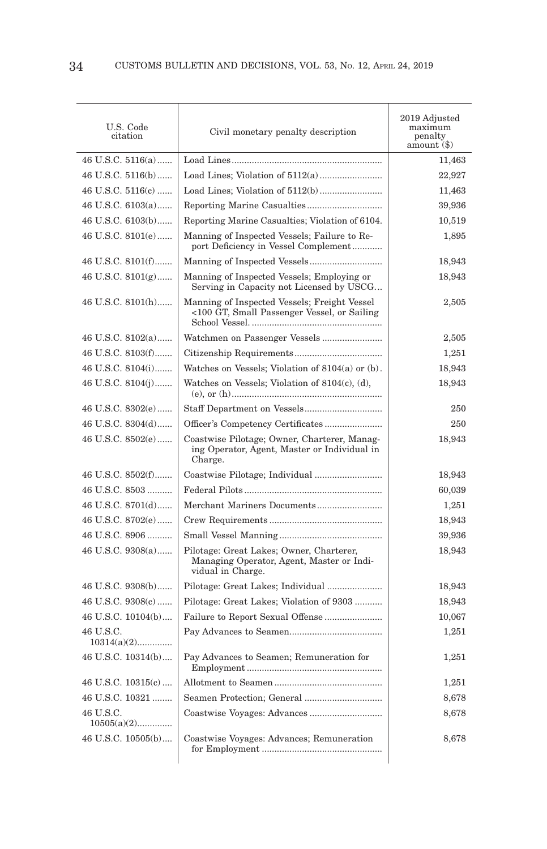| U.S. Code<br>citation      | Civil monetary penalty description                                                                         | 2019 Adjusted<br>maximum<br>penalty<br>amount $(\$)$ |
|----------------------------|------------------------------------------------------------------------------------------------------------|------------------------------------------------------|
| 46 U.S.C. 5116(a)          |                                                                                                            | 11,463                                               |
| 46 U.S.C. 5116(b)          |                                                                                                            | 22,927                                               |
| 46 U.S.C. $5116(c)$        |                                                                                                            | 11,463                                               |
| 46 U.S.C. 6103(a)          |                                                                                                            | 39,936                                               |
| 46 U.S.C. 6103(b)          | Reporting Marine Casualties; Violation of 6104.                                                            | 10,519                                               |
| 46 U.S.C. 8101(e)          | Manning of Inspected Vessels; Failure to Re-<br>port Deficiency in Vessel Complement                       | 1,895                                                |
| 46 U.S.C. 8101(f)          | Manning of Inspected Vessels                                                                               | 18,943                                               |
| 46 U.S.C. $8101(g)$        | Manning of Inspected Vessels; Employing or<br>Serving in Capacity not Licensed by USCG                     | 18,943                                               |
| 46 U.S.C. 8101(h)          | Manning of Inspected Vessels; Freight Vessel<br><100 GT, Small Passenger Vessel, or Sailing                | 2,505                                                |
| 46 U.S.C. 8102(a)          |                                                                                                            | 2,505                                                |
| 46 U.S.C. 8103(f)          |                                                                                                            | 1,251                                                |
| 46 U.S.C. 8104(i)          | Watches on Vessels; Violation of $8104(a)$ or (b).                                                         | 18,943                                               |
| 46 U.S.C. 8104(j)          | Watches on Vessels; Violation of 8104(c), (d),                                                             | 18,943                                               |
| 46 U.S.C. 8302(e)          |                                                                                                            | 250                                                  |
| 46 U.S.C. 8304(d)          |                                                                                                            | 250                                                  |
| 46 U.S.C. 8502(e)          | Coastwise Pilotage; Owner, Charterer, Manag-<br>ing Operator, Agent, Master or Individual in<br>Charge.    | 18,943                                               |
| 46 U.S.C. 8502(f)          |                                                                                                            | 18,943                                               |
| 46 U.S.C. 8503             |                                                                                                            | 60,039                                               |
| 46 U.S.C. 8701(d)          | Merchant Mariners Documents                                                                                | 1,251                                                |
| 46 U.S.C. 8702(e)          |                                                                                                            | 18,943                                               |
| 46 U.S.C. 8906             |                                                                                                            | 39,936                                               |
| 46 U.S.C. 9308(a)          | Pilotage: Great Lakes; Owner, Charterer,<br>Managing Operator, Agent, Master or Indi-<br>vidual in Charge. | 18,943                                               |
| 46 U.S.C. 9308(b)          |                                                                                                            | 18,943                                               |
| 46 U.S.C. 9308(c)          | Pilotage: Great Lakes; Violation of 9303                                                                   | 18,943                                               |
| 46 U.S.C. 10104(b)         | Failure to Report Sexual Offense                                                                           | 10,067                                               |
| 46 U.S.C.<br>$10314(a)(2)$ |                                                                                                            | 1,251                                                |
| 46 U.S.C. 10314(b)         | Pay Advances to Seamen; Remuneration for                                                                   | 1,251                                                |
| 46 U.S.C. $10315(c)$       |                                                                                                            | 1,251                                                |
| 46 U.S.C. 10321            |                                                                                                            | 8,678                                                |
| 46 U.S.C.<br>$10505(a)(2)$ |                                                                                                            | 8,678                                                |
| 46 U.S.C. 10505(b)         | Coastwise Voyages: Advances; Remuneration                                                                  | 8,678                                                |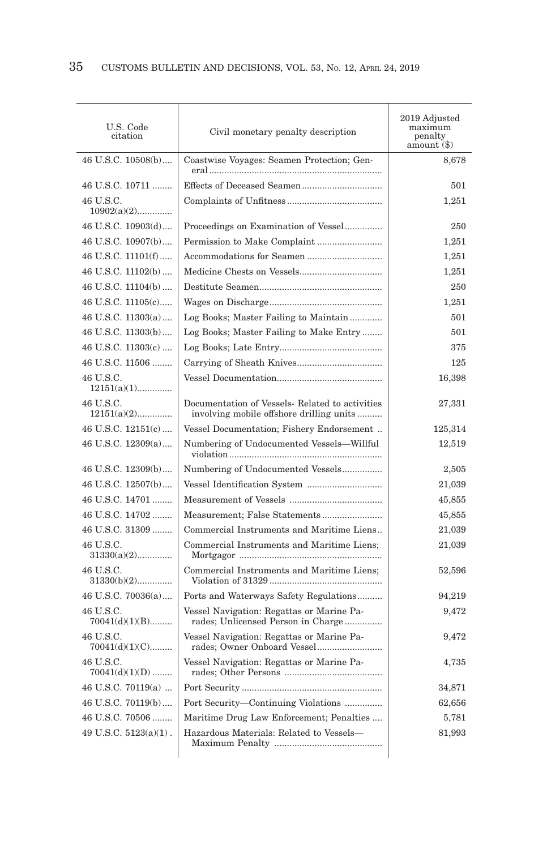| U.S. Code<br>citation         | Civil monetary penalty description                                                          | 2019 Adjusted<br>maximum<br>penalty<br>amount (\$) |
|-------------------------------|---------------------------------------------------------------------------------------------|----------------------------------------------------|
| 46 U.S.C. 10508(b)            | Coastwise Voyages: Seamen Protection; Gen-                                                  | 8,678                                              |
| 46 U.S.C. 10711               |                                                                                             | 501                                                |
| 46 U.S.C.<br>$10902(a)(2)$    |                                                                                             | 1,251                                              |
| 46 U.S.C. 10903(d)            | Proceedings on Examination of Vessel                                                        | 250                                                |
| 46 U.S.C. 10907(b)            | Permission to Make Complaint                                                                | 1,251                                              |
| 46 U.S.C. 11101(f)            |                                                                                             | 1,251                                              |
| 46 U.S.C. 11102(b)            |                                                                                             | 1,251                                              |
| 46 U.S.C. 11104(b)            |                                                                                             | 250                                                |
| 46 U.S.C. 11105(c)            |                                                                                             | 1,251                                              |
| 46 U.S.C. 11303(a)            | Log Books; Master Failing to Maintain                                                       | 501                                                |
| 46 U.S.C. 11303(b)            | Log Books; Master Failing to Make Entry                                                     | 501                                                |
| 46 U.S.C. 11303(c)            |                                                                                             | 375                                                |
| 46 U.S.C. 11506               |                                                                                             | 125                                                |
| 46 U.S.C.<br>$12151(a)(1)$    |                                                                                             | 16,398                                             |
| 46 U.S.C.<br>$12151(a)(2)$    | Documentation of Vessels- Related to activities<br>involving mobile offshore drilling units | 27,331                                             |
| 46 U.S.C. 12151(c)            | Vessel Documentation; Fishery Endorsement                                                   | 125,314                                            |
| 46 U.S.C. 12309(a)            | Numbering of Undocumented Vessels-Willful                                                   | 12,519                                             |
| 46 U.S.C. 12309(b)            | Numbering of Undocumented Vessels                                                           | 2,505                                              |
| 46 U.S.C. 12507(b)            |                                                                                             | 21,039                                             |
| 46 U.S.C. 14701               |                                                                                             | 45,855                                             |
| 46 U.S.C. 14702               | Measurement; False Statements                                                               | 45,855                                             |
| 46 U.S.C. 31309               | Commercial Instruments and Maritime Liens                                                   | 21,039                                             |
| 46 U.S.C.<br>$31330(a)(2)$    | Commercial Instruments and Maritime Liens;                                                  | 21,039                                             |
| 46 U.S.C.<br>$31330(b)(2)$    | Commercial Instruments and Maritime Liens:                                                  | 52,596                                             |
| 46 U.S.C. 70036(a)            | Ports and Waterways Safety Regulations                                                      | 94,219                                             |
| 46 U.S.C.<br>$70041(d)(1)(B)$ | Vessel Navigation: Regattas or Marine Pa-<br>rades; Unlicensed Person in Charge             | 9,472                                              |
| 46 U.S.C.<br>$70041(d)(1)(C)$ | Vessel Navigation: Regattas or Marine Pa-<br>rades; Owner Onboard Vessel                    | 9,472                                              |
| 46 U.S.C.<br>$70041(d)(1)(D)$ | Vessel Navigation: Regattas or Marine Pa-                                                   | 4,735                                              |
| 46 U.S.C. 70119(a)            |                                                                                             | 34,871                                             |
| 46 U.S.C. 70119(b)            | Port Security—Continuing Violations                                                         | 62,656                                             |
| 46 U.S.C. 70506               | Maritime Drug Law Enforcement; Penalties                                                    | 5,781                                              |
| 49 U.S.C. 5123(a)(1).         | Hazardous Materials: Related to Vessels-                                                    | 81,993                                             |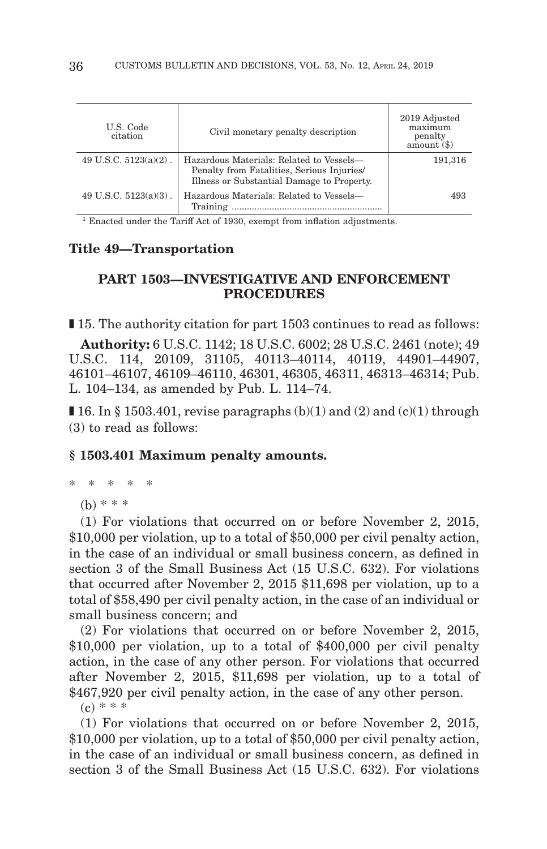| U.S. Code<br>citation    | Civil monetary penalty description                                                                                                   | 2019 Adjusted<br>maximum<br>penalty<br>amount() |
|--------------------------|--------------------------------------------------------------------------------------------------------------------------------------|-------------------------------------------------|
| 49 U.S.C. $5123(a)(2)$ . | Hazardous Materials: Related to Vessels-<br>Penalty from Fatalities, Serious Injuries/<br>Illness or Substantial Damage to Property. | 191,316                                         |
| 49 U.S.C. $5123(a)(3)$ . | Hazardous Materials: Related to Vessels-<br>Training                                                                                 | 493                                             |

1 Enacted under the Tariff Act of 1930, exempt from inflation adjustments.

### **Title 49—Transportation**

## **PART 1503—INVESTIGATIVE AND ENFORCEMENT PROCEDURES**

■ 15. The authority citation for part 1503 continues to read as follows:

**Authority:** 6 U.S.C. 1142; 18 U.S.C. 6002; 28 U.S.C. 2461 (note); 49 U.S.C. 114, 20109, 31105, 40113–40114, 40119, 44901–44907, 46101–46107, 46109–46110, 46301, 46305, 46311, 46313–46314; Pub. L. 104–134, as amended by Pub. L. 114–74.

**I** 16. In § 1503.401, revise paragraphs  $(b)(1)$  and  $(2)$  and  $(c)(1)$  through (3) to read as follows:

#### **§ 1503.401 Maximum penalty amounts.**

\* \* \* \* \*

(b) \* \* \*

(1) For violations that occurred on or before November 2, 2015, \$10,000 per violation, up to a total of \$50,000 per civil penalty action, in the case of an individual or small business concern, as defined in section 3 of the Small Business Act (15 U.S.C. 632). For violations that occurred after November 2, 2015 \$11,698 per violation, up to a total of \$58,490 per civil penalty action, in the case of an individual or small business concern; and

(2) For violations that occurred on or before November 2, 2015, \$10,000 per violation, up to a total of \$400,000 per civil penalty action, in the case of any other person. For violations that occurred after November 2, 2015, \$11,698 per violation, up to a total of \$467,920 per civil penalty action, in the case of any other person.  $(c) * * * *$ 

(1) For violations that occurred on or before November 2, 2015, \$10,000 per violation, up to a total of \$50,000 per civil penalty action, in the case of an individual or small business concern, as defined in section 3 of the Small Business Act (15 U.S.C. 632). For violations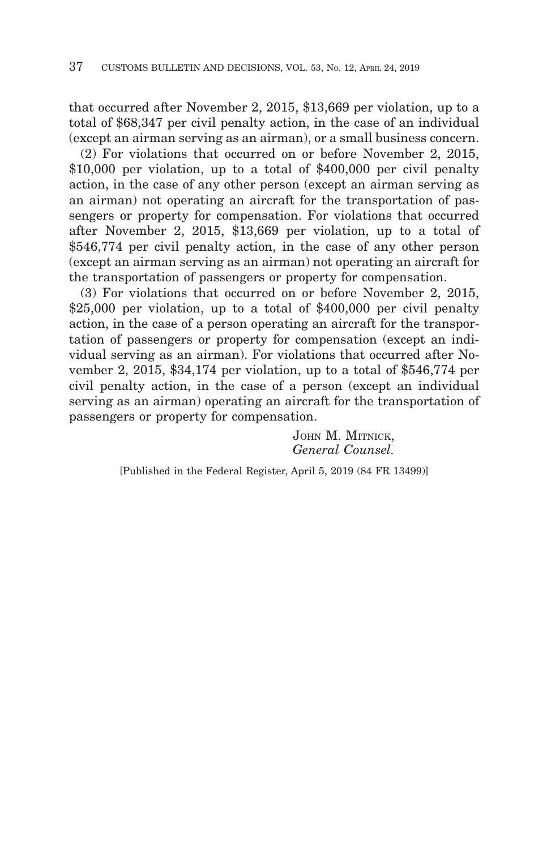that occurred after November 2, 2015, \$13,669 per violation, up to a total of \$68,347 per civil penalty action, in the case of an individual (except an airman serving as an airman), or a small business concern.

(2) For violations that occurred on or before November 2, 2015, \$10,000 per violation, up to a total of \$400,000 per civil penalty action, in the case of any other person (except an airman serving as an airman) not operating an aircraft for the transportation of passengers or property for compensation. For violations that occurred after November 2, 2015, \$13,669 per violation, up to a total of \$546,774 per civil penalty action, in the case of any other person (except an airman serving as an airman) not operating an aircraft for the transportation of passengers or property for compensation.

(3) For violations that occurred on or before November 2, 2015, \$25,000 per violation, up to a total of \$400,000 per civil penalty action, in the case of a person operating an aircraft for the transportation of passengers or property for compensation (except an individual serving as an airman). For violations that occurred after November 2, 2015, \$34,174 per violation, up to a total of \$546,774 per civil penalty action, in the case of a person (except an individual serving as an airman) operating an aircraft for the transportation of passengers or property for compensation.

> JOHN M. MITNICK, *General Counsel.*

[Published in the Federal Register, April 5, 2019 (84 FR 13499)]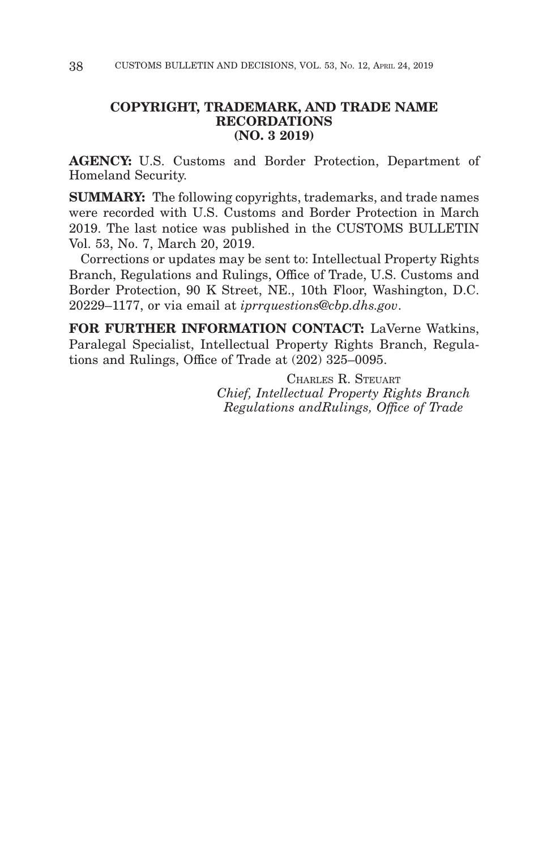# **COPYRIGHT, TRADEMARK, AND TRADE NAME RECORDATIONS (NO. 3 2019)**

**AGENCY:** U.S. Customs and Border Protection, Department of Homeland Security.

**SUMMARY:** The following copyrights, trademarks, and trade names were recorded with U.S. Customs and Border Protection in March 2019. The last notice was published in the CUSTOMS BULLETIN Vol. 53, No. 7, March 20, 2019.

Corrections or updates may be sent to: Intellectual Property Rights Branch, Regulations and Rulings, Office of Trade, U.S. Customs and Border Protection, 90 K Street, NE., 10th Floor, Washington, D.C. 20229–1177, or via email at *iprrquestions@cbp.dhs.gov*.

**FOR FURTHER INFORMATION CONTACT:** LaVerne Watkins, Paralegal Specialist, Intellectual Property Rights Branch, Regulations and Rulings, Office of Trade at (202) 325–0095.

> CHARLES R. STEUART *Chief, Intellectual Property Rights Branch Regulations andRulings, Office of Trade*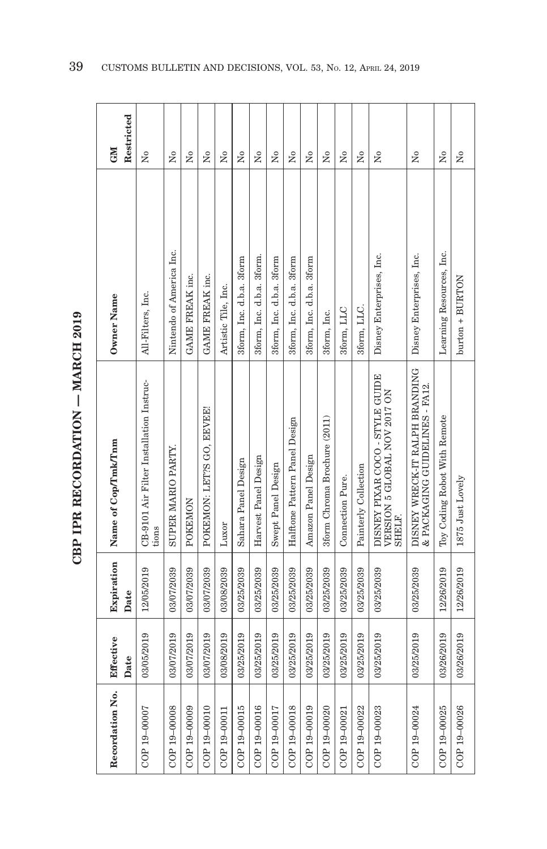| ć      |  |
|--------|--|
| j<br>j |  |
|        |  |
| くしょ    |  |
|        |  |
|        |  |

| Recordation No. | Effective<br>Date | Expiration<br>Date | Name of Cop/Tmk/Tnm                                                              | Owner Name                | Restricted<br><b>NEO</b> |
|-----------------|-------------------|--------------------|----------------------------------------------------------------------------------|---------------------------|--------------------------|
| COP 19-00007    | 03/05/2019        | 12/05/2019         | CB-9101 Air Filter Installation Instruc-<br>tions                                | All-Filters, Inc.         | ż                        |
| COP 19-00008    | 03/07/2019        | 03/07/2039         | SUPER MARIO PARTY.                                                               | Nintendo of America Inc.  | $\tilde{\mathbf{z}}$     |
| COP 19-00009    | 03/07/2019        | 03/07/2039         | POKEMON                                                                          | GAME FREAK inc.           | ż                        |
| COP 19-00010    | 03/07/2019        | 03/07/2039         | POKEMON: LET'S GO, EEVEE!                                                        | GAME FREAK inc.           | Σó                       |
| COP 19-00011    | 03/08/2019        | 03/08/2039         | Luxor                                                                            | Artistic Tile, Inc.       | ż                        |
| COP 19-00015    | 03/25/2019        | 03/25/2039         | Sahara Panel Design                                                              | 3form, Inc. d.b.a. 3form  | ż                        |
| COP 19-00016    | 03/25/2019        | 03/25/2039         | Harvest Panel Design                                                             | 3form, Inc. d.b.a. 3form. | $\tilde{\mathbf{X}}$     |
| COP 19-00017    | 03/25/2019        | 03/25/2039         | Swept Panel Design                                                               | 3form, Inc. d.b.a. 3form  | ż                        |
| COP 19-00018    | 03/25/2019        | 03/25/2039         | Halftone Pattern Panel Design                                                    | 3form, Inc. d.b.a. 3form  | Σó                       |
| COP 19-00019    | 03/25/2019        | 03/25/2039         | Amazon Panel Design                                                              | 3form, Inc. d.b.a. 3form  | ż                        |
| COP 19-00020    | 03/25/2019        | 03/25/2039         | 3form Chroma Brochure (2011)                                                     | 3form, Inc.               | $\tilde{\mathbf{z}}$     |
| COP 19-00021    | 03/25/2019        | 03/25/2039         | Connection Pure.                                                                 | 3form, LLC                | Σó                       |
| COP 19-00022    | 03/25/2019        | 03/25/2039         | Painterly Collection                                                             | 3form, LLC.               | $\tilde{X}^{\circ}$      |
| COP 19-00023    | 03/25/2019        | 03/25/2039         | DISNEY PIXAR COCO - STYLE GUIDE<br>VERSION 5 GLOBAL NOV 2017 ON<br><b>SHELF.</b> | Disney Enterprises, Inc.  | ż                        |
| COP 19-00024    | 03/25/2019        | 03/25/2039         | DISNEY WRECK-IT RALPH BRANDING<br>& PACKAGING GUIDELINES - FA12.                 | Disney Enterprises, Inc.  | $\tilde{\mathbf{z}}$     |
| COP 19-00025    | 03/26/2019        | 12/26/2019         | Toy Coding Robot With Remote                                                     | Learning Resources, Inc.  | Σó                       |
| COP 19-00026    | 03/26/2019        | 12/26/2019         | 1875 Just Lovely                                                                 | $burton + BURTON$         | ż                        |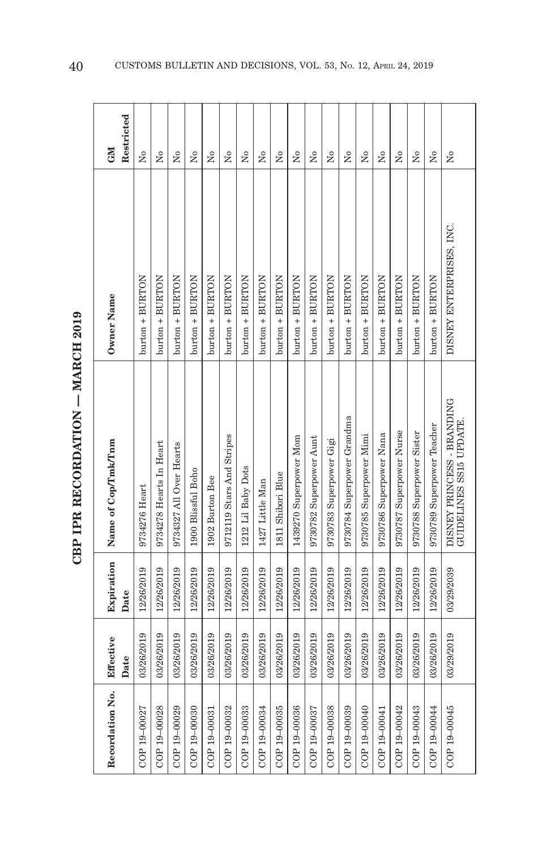| $\frac{1}{2}$<br><b>TADOL</b> |
|-------------------------------|
|                               |
|                               |
| TOP PECOPDATION               |
| Ì<br>í                        |
| $\frac{D}{D}$                 |

| Recordation No. | Effective<br>Date | Expiration<br>Date | Name of Cop/Tmk/Tnm                                   | Owner Name               | Restricted<br><b>GM</b> |
|-----------------|-------------------|--------------------|-------------------------------------------------------|--------------------------|-------------------------|
| COP 19-00027    | 03/26/2019        | 12/26/2019         | 9734276 Heart                                         | burton + BURTON          | Σó                      |
| COP 19-00028    | 03/26/2019        | 12/26/2019         | 9734278 Hearts In Heart                               | burton + BURTON          | $\tilde{X}^{\circ}$     |
| COP 19-00029    | 03/26/2019        | 12/26/2019         | 9734327 All Over Hearts                               | burton + BURTON          | Σó                      |
| COP 19-00030    | 03/26/2019        | 12/26/2019         | 1900 Blissful Boho                                    | burton + BURTON          | Σó                      |
| COP 19-00031    | 03/26/2019        | 12/26/2019         | 1902 Burton Bee                                       | burton + BURTON          | Σó                      |
| COP 19-00032    | 03/26/2019        | 12/26/2019         | 9712119 Stars And Stripes                             | burton + BURTON          | Σó                      |
| COP 19-00033    | 03/26/2019        | 12/26/2019         | 1212 Lil Baby Dots                                    | burton + BURTON          | Σó                      |
| COP 19-00034    | 03/26/2019        | 12/26/2019         | 1427 Little Man                                       | $burton + BURTON$        | $\tilde{X}^{\circ}$     |
| COP 19-00035    | 03/26/2019        | 12/26/2019         | 1811 Shibori Blue                                     | burton + BURTON          | å                       |
| COP 19-00036    | 03/26/2019        | 12/26/2019         | 1439270 Superpower Mom                                | burton + BURTON          | Σó                      |
| COP 19-00037    | 03/26/2019        | 12/26/2019         | 9730782 Superpower Aunt                               | $burton + BURTON$        | Σó                      |
| COP 19-00038    | 03/26/2019        | 12/26/2019         | 9730783 Superpower Gigi                               | burton + BURTON          | å                       |
| COP 19-00039    | 03/26/2019        | 12/26/2019         | 9730784 Superpower Grandma                            | $b$ urt $on + BURTON$    | Σo                      |
| COP 19-00040    | 03/26/2019        | 12/26/2019         | 9730785 Superpower Mimi                               | $burton + BURTON$        | $\frac{1}{2}$           |
| COP 19-00041    | 03/26/2019        | 12/26/2019         | 9730786 Superpower Nana                               | burton + BURTON          | $\frac{1}{2}$           |
| COP 19-00042    | 03/26/2019        | 12/26/2019         | 9730787 Superpower Nurse                              | burton + BURTON          | $\frac{1}{2}$           |
| COP 19-00043    | 03/26/2019        | 12/26/2019         | 9730788 Superpower Sister                             | burton + BURTON          | $_{\rm N_0}$            |
| COP 19-00044    | 03/26/2019        | 12/26/2019         | 9730789 Superpower Teacher                            | burton + BURTON          | $\tilde{X}^{\circ}$     |
| COP 19-00045    | 03/29/2019        | 03/29/2039         | DISNEY PRINCESS - BRANDING<br>GUIDELINES SS15 UPDATE. | DISNEY ENTERPRISES, INC. | Σó                      |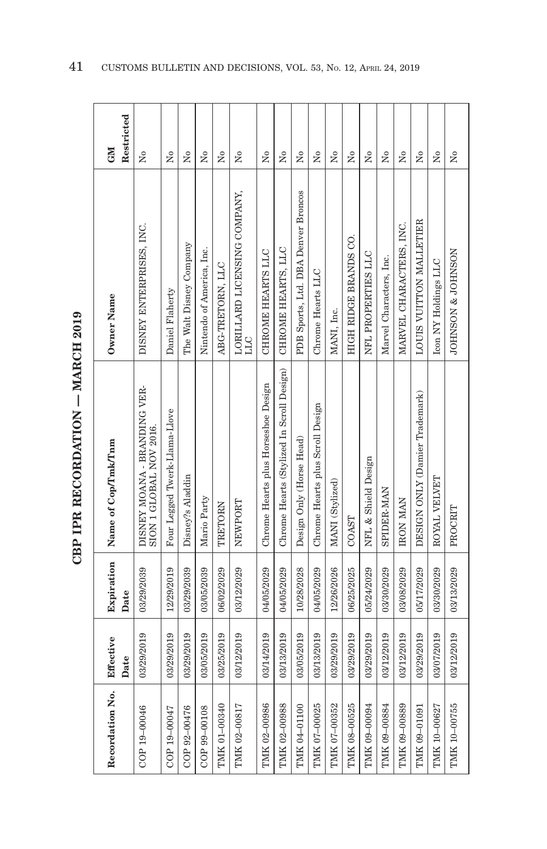| ١            |
|--------------|
| J<br>j<br>۱. |
|              |
| てくり          |
|              |
|              |

| Recordation No.     | Effective<br>Date | Expiration<br>Date | Name of Cop/Tmk/Tnm                                     | Owner Name                          | Restricted<br><b>NE</b> |
|---------------------|-------------------|--------------------|---------------------------------------------------------|-------------------------------------|-------------------------|
| COP 19-00046        | 03/29/2019        | 03/29/2039         | DISNEY MOANA - BRANDING VER-<br>SION 1 GLOBAL NOV 2016. | DISNEY ENTERPRISES, INC.            | Σó                      |
| COP 19-00047        | 03/29/2019        | 12/29/2019         | Four Legged Twerk-Llama-Llove                           | Daniel Flaherty                     | Σó                      |
| COP 92-00476        | 03/29/2019        | 03/29/2039         | Disney?s Aladdin                                        | The Walt Disney Company             | Σó                      |
| COP 99-00108        | 03/05/2019        | 03/05/2039         | Mario Party                                             | Nintendo of America, Inc.           | ż                       |
| TMK 01-00340        | 03/25/2019        | 06/02/2029         | TRETORN                                                 | ABG-TRETORN, LLC                    | Σó                      |
| TMK 02-00817        | 03/12/2019        | 03/12/2029         | NEWPORT                                                 | LORILLARD LICENSING COMPANY,<br>ЛП  | Σó                      |
| TMK 02-00986        | 03/14/2019        | 04/05/2029         | Chrome Hearts plus Horseshoe Design                     | CHROME HEARTS LLC                   | Σó                      |
| TMK 02-00988        | 03/13/2019        | 04/05/2029         | Chrome Hearts (Stylized In Scroll Design)               | CHROME HEARTS, LLC                  | Σó                      |
| TMK 04-01100        | 03/05/2019        | 10/28/2028         | Design Only (Horse Head)                                | PDB Sports, Ltd. DBA Denver Broncos | ž                       |
| TMK 07-00025        | 03/13/2019        | 04/05/2029         | Chrome Hearts plus Scroll Design                        | Chrome Hearts LLC                   | å                       |
| TMK 07-00352        | 03/29/2019        | 12/26/2026         | MANI (Stylized)                                         | MANI, Inc.                          | Σó                      |
| TMK 08-00525        | 03/29/2019        | 06/25/2025         | COAST                                                   | HIGH RIDGE BRANDS CO.               | Σó                      |
| TMK 09-00094        | 03/29/2019        | 05/24/2029         | NFL & Shield Design                                     | NFL PROPERTIES LLC                  | Σó                      |
| TMK 09-00884        | 03/12/2019        | 03/30/2029         | <b>SPIDER-MAN</b>                                       | Marvel Characters, Inc.             | ż                       |
| <b>TMK 09-00889</b> | 03/12/2019        | 03/08/2029         | <b>IRON MAN</b>                                         | MARVEL CHARACTERS, INC.             | Σó                      |
| TMK 09-01091        | 03/29/2019        | 05/17/2029         | DESIGN ONLY (Damier Trademark)                          | LOUIS VUITTON MALLETIER             | $_{\rm N_0}$            |
| TMK 10-00627        | 03/07/2019        | 03/30/2029         | ROYAL VELVET                                            | Icon NY Holdings LLC                | $\tilde{X}^{\circ}$     |
| TMK 10-00755        | 03/12/2019        | 03/13/2029         | PROCRIT                                                 | JOHNSON & JOHNSON                   | $\overline{N}$          |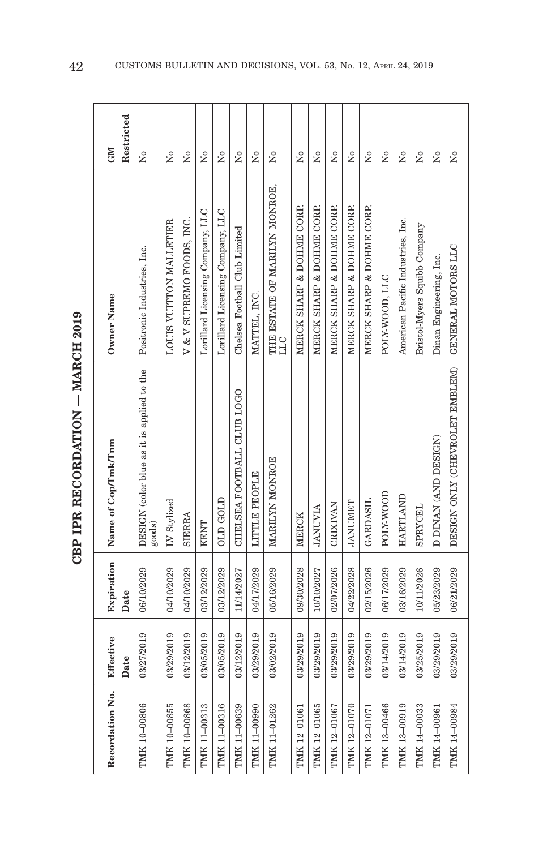| ć               |  |
|-----------------|--|
| i<br>i          |  |
|                 |  |
| Ì<br>・・・・・・・・・・ |  |
| l               |  |
|                 |  |

| Recordation No. | Effective<br>Date | Expiration<br>Date | Name of Cop/Tmk/Tnm                                  | Owner Name                           | Restricted<br><b>GM</b> |
|-----------------|-------------------|--------------------|------------------------------------------------------|--------------------------------------|-------------------------|
| TMK 10-00806    | 03/27/2019        | 06/10/2029         | DESIGN (color blue as it is applied to the<br>goods) | Positronic Industries, Inc.          | å                       |
| TMK 10-00855    | 03/29/2019        | 04/10/2029         | LV Stylized                                          | LOUIS VUITTON MALLETIER              | Χo                      |
| TMK 10-00868    | 03/12/2019        | 04/10/2029         | SIERRA                                               | V & V SUPREMO FOODS, INC.            | $\tilde{X}^{\circ}$     |
| TMK 11-00313    | 03/05/2019        | 03/12/2029         | KENT                                                 | Lorillard Licensing Company, LLC     | $\overline{R}$          |
| TMK 11-00316    | 03/05/2019        | 03/12/2029         | OLD GOLD                                             | Lorillard Licensing Company, LLC     | Σó                      |
| TMK 11-00639    | 03/12/2019        | 11/14/2027         | CHELSEA FOOTBALL CLUB LOGO                           | Chelsea Football Club Limited        | Σó                      |
| TMK 11-00990    | 03/29/2019        | 04/17/2029         | <b>LITTLE PEOPLE</b>                                 | MATTEL, INC.                         | Σó                      |
| TMK 11-01262    | 03/02/2019        | 05/16/2029         | MARILYN MONROE                                       | THE ESTATE OF MARILYN MONROE,<br>DТГ | Σó                      |
| TMK 12-01061    | 03/29/2019        | 09/30/2028         | MERCK                                                | MERCK SHARP & DOHME CORP.            | $\tilde{X}^{\circ}$     |
| TMK 12-01065    | 03/29/2019        | 10/10/2027         | <b>ANUVIA</b>                                        | MERCK SHARP & DOHME CORP.            | Σó                      |
| TMK 12-01067    | 03/29/2019        | 02/07/2026         | <b>CRIXIVAN</b>                                      | MERCK SHARP & DOHME CORP.            | Σó                      |
| TMK 12-01070    | 03/29/2019        | 04/22/2028         | <b><i>TANUMET</i></b>                                | MERCK SHARP & DOHME CORP.            | Σó                      |
| TMK 12-01071    | 03/29/2019        | 02/15/2026         | <b>GARDASIL</b>                                      | MERCK SHARP & DOHME CORP.            | $\tilde{X}^{\circ}$     |
| TMK 13-00466    | 03/14/2019        | 06/17/2029         | POLY-WOOD                                            | POLY-WOOD, LLC                       | $\overline{N}$          |
| TMK 13-00919    | 03/14/2019        | 03/16/2029         | HARTLAND                                             | American Pacific Industries, Inc.    | $\tilde{\mathbf{X}}$    |
| TMK 14-00033    | 03/25/2019        | 10/11/2026         | SPRYCEL                                              | Bristol-Myers Squibb Company         | Σó                      |
| TMK 14-00961    | 03/29/2019        | 05/23/2029         | D DINAN (AND DESIGN)                                 | Dinan Engineering, Inc.              | $\tilde{\rm x}^{\rm o}$ |
| TMK 14-00984    | 03/29/2019        | 06/21/2029         | DESIGN ONLY (CHEVROLET EMBLEM) GENERAL MOTORS LLC    |                                      | $\tilde{\mathbf{X}}$    |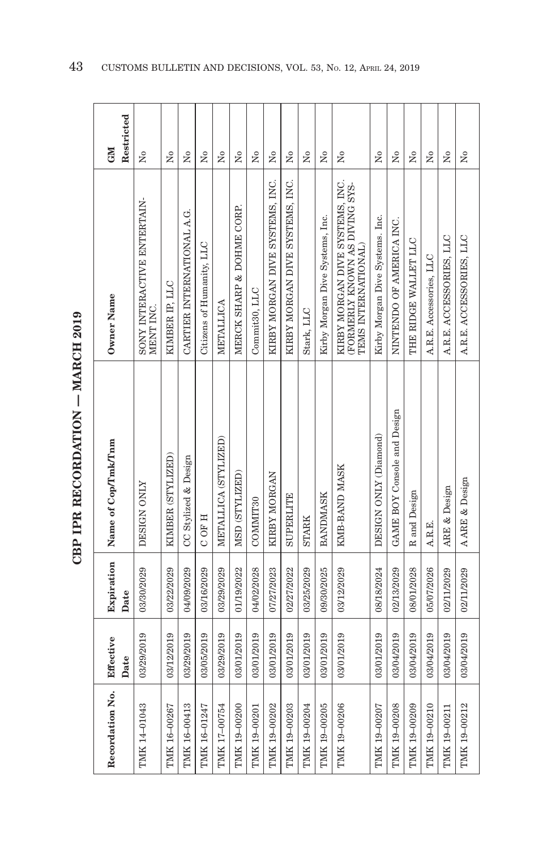| Š       |  |
|---------|--|
| トロペスドード |  |
|         |  |

| Recordation No. | Effective<br>Date | Expiration<br>Date | Name of Cop/Tmk/Tnm         | Owner Name                                                                               | Restricted<br><b>GM</b> |
|-----------------|-------------------|--------------------|-----------------------------|------------------------------------------------------------------------------------------|-------------------------|
| TMK 14-01043    | 03/29/2019        | 03/30/2029         | DESIGN ONLY                 | SONY INTERACTIVE ENTERTAIN-<br>MENT INC.                                                 | $\tilde{\mathbf{z}}$    |
| TMK 16-00267    | 03/12/2019        | 03/22/2029         | KIMBER (STYLIZED)           | KIMBER IP, LLC                                                                           | Σó                      |
| TMK 16-00413    | 03/29/2019        | 04/09/2029         | CC Stylized & Design        | CARTIER INTERNATIONAL A.G.                                                               | Σó                      |
| TMK 16-01247    | 03/05/2019        | 03/16/2029         | C OF H                      | Citizens of Humanity, LLC                                                                | $\tilde{\mathbf{z}}$    |
| TMK 17-00754    | 03/29/2019        | 03/29/2029         | METALLICA (STYLIZED)        | METALLICA                                                                                | $\tilde{\rm X}^0$       |
| TMK 19-00200    | 03/01/2019        | 01/19/2022         | MSD (STYLIZED)              | MERCK SHARP & DOHME CORP.                                                                | Σó                      |
| TMK 19-00201    | 03/01/2019        | 04/02/2028         | COMMIT <sub>30</sub>        | Commit <sub>30</sub> , LLC                                                               | $\tilde{\mathbf{z}}$    |
| TMK 19-00202    | 03/01/2019        | 07/27/2023         | KIRBY MORGAN                | KIRBY MORGAN DIVE SYSTEMS, INC.                                                          | $\tilde{\mathbf{X}}$    |
| TMK 19-00203    | 03/01/2019        | 02/27/2022         | <b>SUPERLITE</b>            | KIRBY MORGAN DIVE SYSTEMS, INC.                                                          | Σò                      |
| TMK 19-00204    | 03/01/2019        | 03/25/2029         | <b>STARK</b>                | Stark, LLC                                                                               | Σó                      |
| TMK 19-00205    | 03/01/2019        | 09/30/2025         | <b>BANDMASK</b>             | Kirby Morgan Dive Systems, Inc.                                                          | Σó                      |
| TMK 19-00206    | 03/01/2019        | 03/12/2029         | KMB-BAND MASK               | KIRBY MORGAN DIVE SYSTEMS, INC.<br>(FORMERLY KNOWN AS DIVING SYS-<br>TEMS INTERNATIONAL) | ż                       |
| TMK 19-00207    | 03/01/2019        | 08/18/2024         | DESIGN ONLY (Diamond)       | Kirby Morgan Dive Systems. Inc.                                                          | Σó                      |
| TMK 19-00208    | 03/04/2019        | 02/13/2029         | GAME BOY Console and Design | NINTENDO OF AMERICA INC.                                                                 | Σò                      |
| TMK 19-00209    | 03/04/2019        | 08/01/2028         | R and Design                | THE RIDGE WALLET LLC                                                                     | $\tilde{X}^{\circ}$     |
| TMK 19-00210    | 03/04/2019        | 05/07/2026         | A.R.E.                      | A.R.E. Accessories, LLC                                                                  | $\tilde{\mathbf{z}}$    |
| TMK 19-00211    | 03/04/2019        | 02/11/2029         | ARE & Design                | A.R.E. ACCESSORIES, LLC                                                                  | Σò                      |
| TMK 19-00212    | 03/04/2019        | 02/11/2029         | A ARE & Design              | A.R.E. ACCESSORIES, LLC                                                                  | $\tilde{\rm X}^0$       |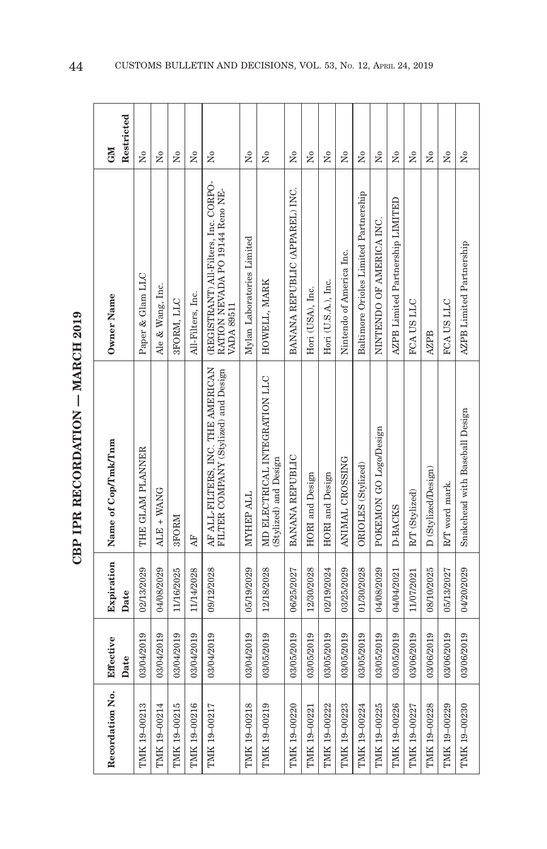|        | ć         |
|--------|-----------|
| i<br>: |           |
|        |           |
|        | くしょく<br>ŗ |
| Ì      |           |
|        |           |

| Recordation No. | Effective  | Expiration | Name of Cop/Tmk/Tnm                                                       | Owner Name                                                                                    | <b>NEO</b>           |
|-----------------|------------|------------|---------------------------------------------------------------------------|-----------------------------------------------------------------------------------------------|----------------------|
|                 | Date       | Date       |                                                                           |                                                                                               | Restricted           |
| TMK 19-00213    | 03/04/2019 | 02/13/2029 | THE GLAM PLANNER                                                          | Paper & Glam LLC                                                                              | Σò                   |
| TMK 19-00214    | 03/04/2019 | 04/08/2029 | ALE + WANG                                                                | Ale & Wang, Inc.                                                                              | Σò                   |
| TMK 19-00215    | 03/04/2019 | 11/16/2025 | 3FORM                                                                     | 3FORM, LLC                                                                                    | Σó                   |
| TMK 19-00216    | 03/04/2019 | 11/14/2028 | Æ                                                                         | All-Filters, Inc.                                                                             | Σó                   |
| TMK 19-00217    | 03/04/2019 | 09/12/2028 | AF ALL-FILTERS, INC. THE AMERICAN<br>FILTER COMPANY (Stylized) and Design | (REGISTRANT) All-Filters, Inc. CORPO-<br>RATION NEVADA PO 19144 Reno NE-<br><b>VADA 89511</b> | ż                    |
| TMK 19-00218    | 03/04/2019 | 05/19/2029 | MYHEP ALL                                                                 | Mylan Laboratories Limited                                                                    | Σó                   |
| TMK 19-00219    | 03/05/2019 | 12/18/2028 | MD ELECTRICAL INTEGRATION LLC<br>(Stylized) and Design                    | HOWELL, MARK                                                                                  | ż                    |
| TMK 19-00220    | 03/05/2019 | 06/25/2027 | <b>BANANA REPUBLIC</b>                                                    | BANANA REPUBLIC (APPAREL) INC.                                                                | Σó                   |
| TMK 19-00221    | 03/05/2019 | 12/30/2028 | HORI and Design                                                           | Hori (USA), Inc.                                                                              | ž                    |
| TMK 19-00222    | 03/05/2019 | 02/19/2024 | <b>HORI</b> and Design                                                    | Hori (U.S.A.), Inc.                                                                           | Σó                   |
| TMK 19-00223    | 03/05/2019 | 03/25/2029 | ANIMAL CROSSING                                                           | Nintendo of America Inc.                                                                      | ž                    |
| TMK 19-00224    | 03/05/2019 | 01/30/2028 | ORIOLES (Stylized)                                                        | Baltimore Orioles Limited Partnership                                                         | ž                    |
| TMK 19-00225    | 03/05/2019 | 04/08/2029 | POKEMON GO Logo/Design                                                    | NINTENDO OF AMERICA INC.                                                                      | Σó                   |
| TMK 19-00226    | 03/05/2019 | 04/04/2021 | D-BACKS                                                                   | AZPB Limited Partnership LIMITED                                                              | Σó                   |
| TMK 19-00227    | 03/06/2019 | 11/07/2021 | R/T (Stylized)                                                            | FCA US LLC                                                                                    | Σó                   |
| TMK 19-00228    | 03/06/2019 | 08/10/2025 | D (Stylized/Design)                                                       | <b>AZPB</b>                                                                                   | ž                    |
| TMK 19-00229    | 03/06/2019 | 05/13/2027 | R/T word mark.                                                            | FCA US LLC                                                                                    | $\tilde{\rm X}^0$    |
| TMK 19-00230    | 03/06/2019 | 04/20/2029 | Snakehead with Baseball Design                                            | AZPB Limited Partnership                                                                      | $\tilde{\mathsf{z}}$ |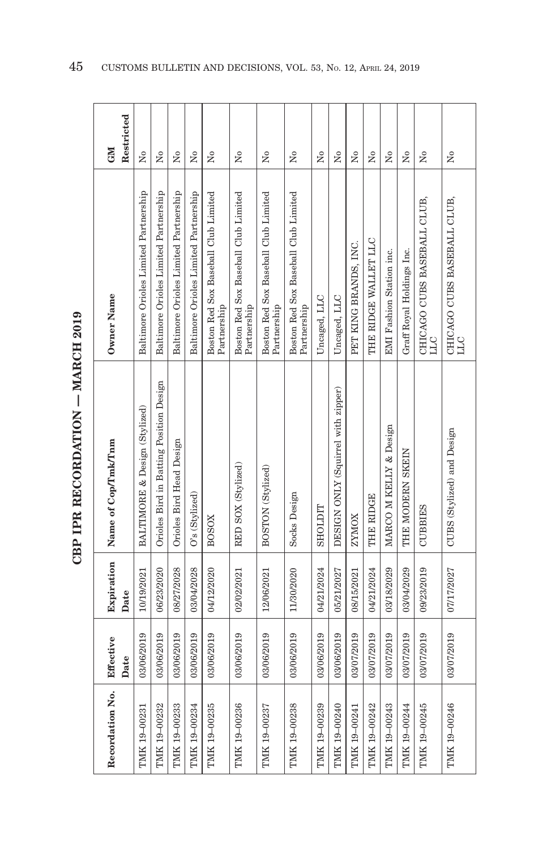| Recordation No.   |            |                    |                                         |                                                     |                          |
|-------------------|------------|--------------------|-----------------------------------------|-----------------------------------------------------|--------------------------|
| Effective<br>Date |            | Expiration<br>Date | Name of Cop/Tmk/Tnm                     | Owner Name                                          | Restricted<br><b>NEO</b> |
| 03/06/2019        |            | 10/19/2021         | BALTIMORE & Design (Stylized)           | Baltimore Orioles Limited Partnership               | ż                        |
| 03/06/2019        |            | 06/23/2020         | Orioles Bird in Batting Position Design | Baltimore Orioles Limited Partnership               | Σò                       |
| 03/06/2019        |            | 08/27/2028         | Orioles Bird Head Design                | Baltimore Orioles Limited Partnership               | $\overline{M}$           |
| 03/06/2019        |            | 03/04/2028         | O's (Stylized)                          | Baltimore Orioles Limited Partnership               | Σó                       |
| 03/06/2019        |            | 04/12/2020         | <b>BOSOX</b>                            | Boston Red Sox Baseball Club Limited<br>Partnership | $\tilde{\mathbf{z}}$     |
| 03/06/2019        |            | 02/02/2021         | RED SOX (Stylized)                      | Boston Red Sox Baseball Club Limited<br>Partnership | Σó                       |
| 03/06/2019        |            | 12/06/2021         | BOSTON (Stylized)                       | Boston Red Sox Baseball Club Limited<br>Partnership | ż                        |
| 03/06/2019        |            | 11/30/2020         | Socks Design                            | Boston Red Sox Baseball Club Limited<br>Partnership | Σò                       |
| 03/06/2019        |            | 04/21/2024         | <b>TICTOHS</b>                          | Uncaged, LLC                                        | Σó                       |
| 03/06/2019        |            | 05/21/2027         | DESIGN ONLY (Squirrel with zipper)      | Uncaged, LLC                                        | Σó                       |
| 03/07/2019        |            | 08/15/2021         | <b>ZYMOX</b>                            | PET KING BRANDS, INC.                               | Σó                       |
|                   | 03/07/2019 | 04/21/2024         | THE RIDGE                               | THE RIDGE WALLET LLC                                | Σó                       |
|                   | 03/07/2019 | 03/18/2029         | MARCO M KELLY & Design                  | <b>EMI</b> Fashion Station inc.                     | Χo                       |
|                   | 03/07/2019 | 03/04/2029         | THE MODERN SKEIN                        | Graff Royal Holdings Inc.                           | $\tilde{X}^{\circ}$      |
|                   | 03/07/2019 | 09/23/2019         | <b>CUBBIES</b>                          | CHICAGO CUBS BASEBALL CLUB,<br><b>TTT</b>           | $\tilde{X}^{\circ}$      |
|                   | 03/07/2019 | 07/17/2027         | CUBS (Stylized) and Design              | CHICAGO CUBS BASEBALL CLUB,<br><b>LLC</b>           | $\tilde{X}^{\circ}$      |
|                   |            |                    |                                         |                                                     |                          |

**CBP IPR RECORDATION - MARCH 2019 CBP IPR RECORDATION — MARCH 2019**

 $\overline{1}$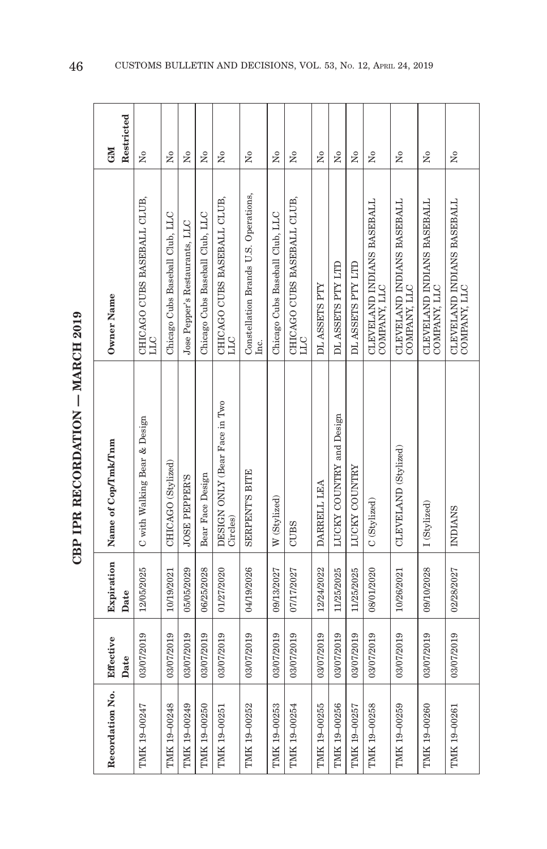| Š      |  |
|--------|--|
| くりょう   |  |
|        |  |
|        |  |
| トイストイド |  |
|        |  |
|        |  |
|        |  |

| Recordation No. | Effective  | Expiration | Name of Cop/Tmk/Tnm                       | Owner Name                                    | <b>CNI</b>           |  |
|-----------------|------------|------------|-------------------------------------------|-----------------------------------------------|----------------------|--|
|                 | Date       | Date       |                                           |                                               | Restricted           |  |
| TMK 19-00247    | 03/07/2019 | 12/05/2025 | C with Walking Bear & Design              | CHICAGO CUBS BASEBALL CLUB,<br>ЫC             | ż                    |  |
| TMK 19-00248    | 03/07/2019 | 10/19/2021 | CHICAGO (Stylized)                        | Chicago Cubs Baseball Club, LLC               | $\overline{N}$       |  |
| TMK 19-00249    | 03/07/2019 | 05/05/2029 | <b>JOSE PEPPER'S</b>                      | Jose Pepper's Restaurants, LLC                | ž                    |  |
| TMK 19-00250    | 03/07/2019 | 06/25/2028 | Bear Face Design                          | Chicago Cubs Baseball Club, LLC               | ž                    |  |
| TMK 19-00251    | 03/07/2019 | 01/27/2020 | DESIGN ONLY (Bear Face in Two<br>Circles) | CHICAGO CUBS BASEBALL CLUB,<br><b>TTI</b>     | ż                    |  |
| TMK 19-00252    | 03/07/2019 | 04/19/2026 | <b>SERPENT'S BITE</b>                     | Constellation Brands U.S. Operations,<br>Inc. | $\tilde{\mathbf{z}}$ |  |
| TMK 19-00253    | 03/07/2019 | 09/13/2027 | W (Stylized)                              | Chicago Cubs Baseball Club, LLC               | Σò                   |  |
| TMK 19-00254    | 03/07/2019 | 07/17/2027 | <b>CUBS</b>                               | CHICAGO CUBS BASEBALL CLUB,<br><b>LLC</b>     | Σó                   |  |
| TMK 19-00255    | 03/07/2019 | 12/24/2022 | DARRELL LEA                               | DL ASSETS PTY                                 | Σó                   |  |
| TMK 19-00256    | 03/07/2019 | 11/25/2025 | LUCKY COUNTRY and Design                  | DL ASSETS PTY LTD                             | Σò                   |  |
| TMK 19-00257    | 03/07/2019 | 11/25/2025 | LUCKY COUNTRY                             | DL ASSETS PTY LTD                             | ž                    |  |
| TMK 19-00258    | 03/07/2019 | 08/01/2020 | C (Stylized)                              | CLEVELAND INDIANS BASEBALL<br>COMPANY, LLC    | $\tilde{\mathbf{z}}$ |  |
| TMK 19-00259    | 03/07/2019 | 10/26/2021 | CLEVELAND (Stylized)                      | CLEVELAND INDIANS BASEBALL<br>COMPANY, LLC    | Σ°                   |  |
| TMK 19-00260    | 03/07/2019 | 09/10/2028 | I (Stylized)                              | CLEVELAND INDIANS BASEBALL COMPANY, LLC       | Σó                   |  |
| TMK 19-00261    | 03/07/2019 | 02/28/2027 | <b>INDIANS</b>                            | CLEVELAND INDIANS BASEBALL<br>COMPANY, LLC    | ż                    |  |
|                 |            |            |                                           |                                               |                      |  |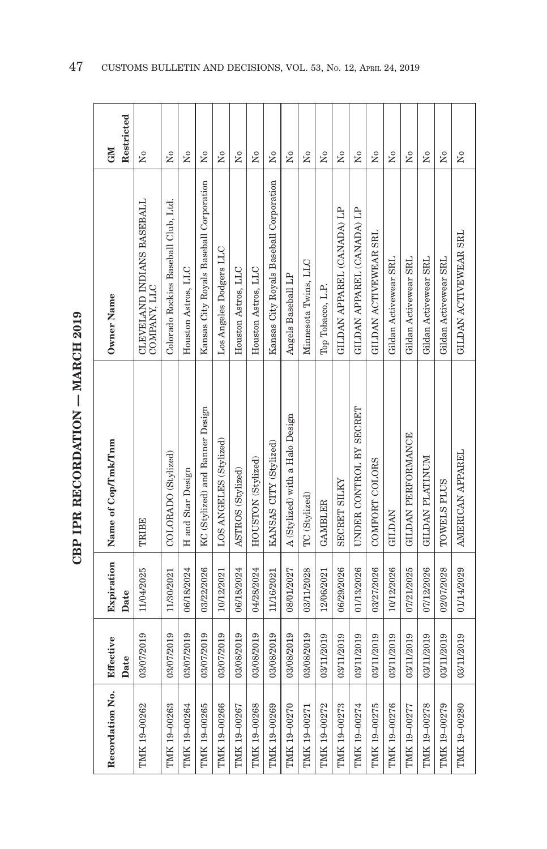|        | ć         |
|--------|-----------|
| i<br>: |           |
|        |           |
|        | くしょく<br>ŗ |
| Ì      |           |
|        |           |

| Recordation No. | Effective<br>Date | Expiration<br>Date | Name of Cop/Tmk/Tnm             | Owner Name                                 | Restricted<br><b>GM</b>              |
|-----------------|-------------------|--------------------|---------------------------------|--------------------------------------------|--------------------------------------|
| TMK 19-00262    | 03/07/2019        | 11/04/2025         | TRIBE                           | CLEVELAND INDIANS BASEBALL<br>COMPANY, LLC | ž                                    |
| TMK 19-00263    | 03/07/2019        | 11/30/2021         | COLORADO (Stylized)             | Colorado Rockies Baseball Club, Ltd.       | Σó                                   |
| TMK 19-00264    | 03/07/2019        | 06/18/2024         | H and Star Design               | Houston Astros, LLC                        | Σò                                   |
| TMK 19-00265    | 03/07/2019        | 03/22/2026         | KC (Stylized) and Banner Design | Kansas City Royals Baseball Corporation    | $\tilde{z}$                          |
| TMK 19-00266    | 03/07/2019        | 10/12/2021         | LOS ANGELES (Stylized)          | Los Angeles Dodgers LLC                    | Σò                                   |
| TMK 19-00267    | 03/08/2019        | 06/18/2024         | ASTROS (Stylized)               | Houston Astros, LLC                        | Σó                                   |
| TMK 19-00268    | 03/08/2019        | 04/28/2024         | HOUSTON (Stylized)              | Houston Astros, LLC                        | ž                                    |
| TMK 19-00269    | 03/08/2019        | 11/16/2021         | KANSAS CITY (Stylized)          | Kansas City Royals Baseball Corporation    | $\tilde{\mathbf{z}}$                 |
| TMK 19-00270    | 03/08/2019        | 08/01/2027         | A (Stylized) with a Halo Design | Angels Baseball LP                         | $\tilde{\mathbf{z}}$                 |
| TMK 19-00271    | 03/08/2019        | 03/11/2028         | TC (Stylized)                   | Minnesota Twins, LLC                       | Σó                                   |
| TMK 19-00272    | 03/11/2019        | 12/06/2021         | <b>GAMBLER</b>                  | Top Tobacco, L.P.                          | ż                                    |
| TMK 19-00273    | 03/11/2019        | 06/29/2026         | <b>SECRET SILKY</b>             | GILDAN APPAREL (CANADA) LP                 | Σò                                   |
| TMK 19-00274    | 03/11/2019        | 01/13/2026         | UNDER CONTROL BY SECRET         | GILDAN APPAREL (CANADA) LP                 | Σó                                   |
| TMK 19-00275    | 03/11/2019        | 03/27/2026         | COMFORT COLORS                  | GILDAN ACTIVEWEAR SRL                      | Σó                                   |
| TMK 19-00276    | 03/11/2019        | 10/12/2026         | <b>GILDAN</b>                   | Gildan Activewear SRL                      | $\overline{N}$                       |
| TMK 19-00277    | 03/11/2019        | 07/21/2025         | GILDAN PERFORMANCE              | Gildan Activewear SRL                      | Χo                                   |
| TMK 19-00278    | 03/11/2019        | 07/12/2026         | GILDAN PLATINUM                 | Gildan Activewear SRL                      | $\tilde{\rm z}$                      |
| TMK 19-00279    | 03/11/2019        | 02/07/2028         | TOWELS PLUS                     | Gildan Activewear SRL                      | $\overline{\mathsf{X}}^{\mathsf{o}}$ |
| TMK 19-00280    | 03/11/2019        | 01/14/2029         | AMERICAN APPAREL                | GILDAN ACTIVEWEAR SRL                      | Χo                                   |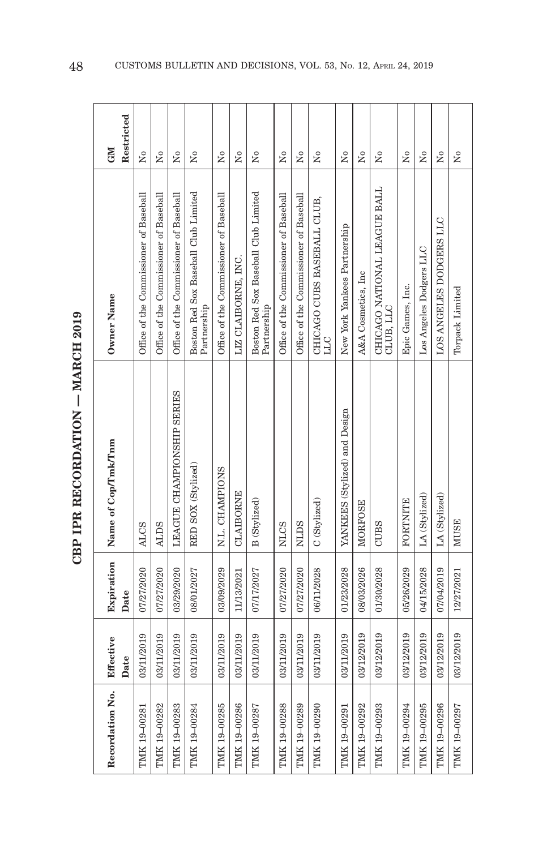| ć      |  |
|--------|--|
| i<br>I |  |
|        |  |
| くしょ    |  |
|        |  |
|        |  |

| Recordation No. | Effective<br>Date | Expiration<br>Date | Name of Cop/Tmk/Tnm           | Owner Name                                          | Restricted<br><b>NEO</b> |
|-----------------|-------------------|--------------------|-------------------------------|-----------------------------------------------------|--------------------------|
| TMK 19-00281    | 03/11/2019        | 07/27/2020         | <b>ALCS</b>                   | Office of the Commissioner of Baseball              | $\overline{M}$           |
| TMK 19-00282    | 03/11/2019        | 07/27/2020         | <b>ALDS</b>                   | Office of the Commissioner of Baseball              | $\overline{N}$           |
| TMK 19-00283    | 03/11/2019        | 03/29/2020         | LEAGUE CHAMPIONSHIP SERIES    | Office of the Commissioner of Baseball              | Σó                       |
| TMK 19-00284    | 03/11/2019        | 08/01/2027         | RED SOX (Stylized)            | Boston Red Sox Baseball Club Limited<br>Partnership | Σó                       |
| TMK 19-00285    | 03/11/2019        | 03/09/2029         | N.L. CHAMPIONS                | Office of the Commissioner of Baseball              | $\tilde{\mathbf{z}}$     |
| TMK 19-00286    | 03/11/2019        | 11/13/2021         | <b>CLAIBORNE</b>              | LIZ CLAIBORNE, INC.                                 | Σò                       |
| TMK 19-00287    | 03/11/2019        | 07/17/2027         | B (Stylized)                  | Boston Red Sox Baseball Club Limited<br>Partnership | Σò                       |
| TMK 19-00288    | 03/11/2019        | 07/27/2020         | <b>NLCS</b>                   | Office of the Commissioner of Baseball              | Σò                       |
| TMK 19-00289    | 03/11/2019        | 07/27/2020         | <b>NLDS</b>                   | Office of the Commissioner of Baseball              | Χo                       |
| TMK 19-00290    | 03/11/2019        | 06/11/2028         | C (Stylized)                  | CHICAGO CUBS BASEBALL CLUB,<br>PTT                  | Σò                       |
| TMK 19-00291    | 03/11/2019        | 01/23/2028         | YANKEES (Stylized) and Design | New York Yankees Partnership                        | ž                        |
| TMK 19-00292    | 03/12/2019        | 08/03/2026         | MORFOSE                       | A&A Cosmetics, Inc                                  | $\overline{R}$           |
| TMK 19-00293    | 03/12/2019        | 01/30/2028         | <b>CUBS</b>                   | CHICAGO NATIONAL LEAGUE BALL<br>CLUB, LLC           | $\tilde{\mathbf{z}}$     |
| TMK 19-00294    | 03/12/2019        | 05/26/2029         | <b>FORTNITE</b>               | Epic Games, Inc.                                    | $_{\rm N_0}$             |
| TMK 19-00295    | 03/12/2019        | 04/15/2028         | LA (Stylized)                 | Los Angeles Dodgers LLC                             | $_{\rm N_0}$             |
| TMK 19-00296    | 03/12/2019        | 07/04/2019         | LA (Stylized)                 | LOS ANGELES DODGERS LLC                             | $\tilde{X}^{\circ}$      |
| TMK 19-00297    | 03/12/2019        | 12/27/2021         | <b>MUSE</b>                   | Torpack Limited                                     | $\tilde{X}^{\circ}$      |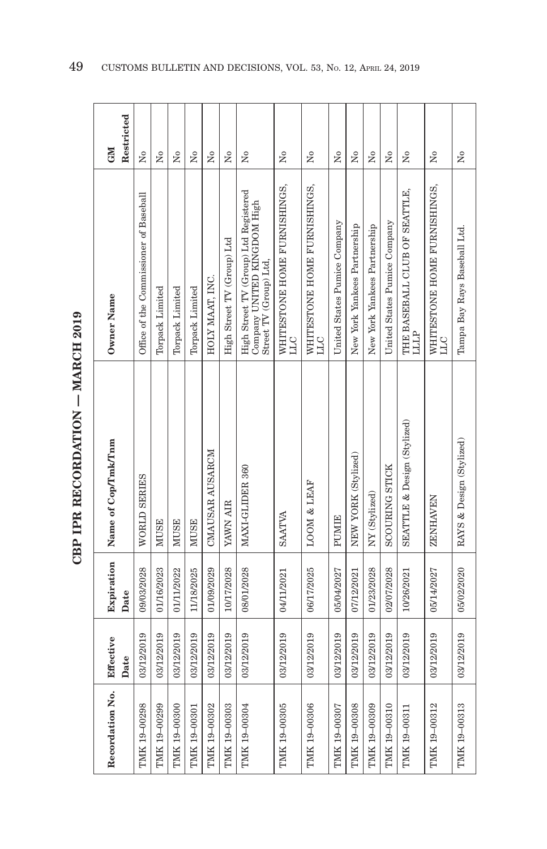| Recordation No. | Effective<br>Date | Expiration<br>Date | Name of Cop/Tmk/Tnm         | Owner Name                                                                                     | Restricted<br><b>NEO</b>             |
|-----------------|-------------------|--------------------|-----------------------------|------------------------------------------------------------------------------------------------|--------------------------------------|
| TMK 19-00298    | 03/12/2019        | 09/03/2028         | WORLD SERIES                | Office of the Commissioner of Baseball                                                         | Σó                                   |
| TMK 19-00299    | 03/12/2019        | 01/16/2023         | <b>MUSE</b>                 | Torpack Limited                                                                                | Σò                                   |
| TMK 19-00300    | 03/12/2019        | 01/11/2022         | <b>MUSE</b>                 | Torpack Limited                                                                                | $\tilde{X}^{\circ}$                  |
| TMK 19-00301    | 03/12/2019        | 11/18/2025         | <b>MUSE</b>                 | Torpack Limited                                                                                | Σó                                   |
| TMK 19-00302    | 03/12/2019        | 01/09/2029         | CMAUSAR AUSARCM             | HOLY MAAT, INC.                                                                                | $\tilde{\mathbf{z}}$                 |
| TMK 19-00303    | 03/12/2019        | 10/17/2028         | <b>YAWN AIR</b>             | High Street TV (Group) Ltd                                                                     | Σó                                   |
| TMK 19-00304    | 03/12/2019        | 08/01/2028         | MAXI-GLIDER 360             | High Street TV (Group) Ltd Registered<br>Company UNITED KINGDOM High<br>Street TV (Group) Ltd, | Σò                                   |
| TMK 19-00305    | 03/12/2019        | 04/11/2021         | <b>SAATVA</b>               | WHITESTONE HOME FURNISHINGS,<br><b>LLC</b>                                                     | ż                                    |
| TMK 19-00306    | 03/12/2019        | 06/17/2025         | LOOM & LEAF                 | WHITESTONE HOME FURNISHINGS,<br>ЛT                                                             | $\mathsf{S}^{\mathsf{o}}$            |
| TMK 19-00307    | 03/12/2019        | 05/04/2027         | PUMIE                       | United States Pumice Company                                                                   | Σó                                   |
| TMK 19-00308    | 03/12/2019        | 07/12/2021         | NEW YORK (Stylized)         | New York Yankees Partnership                                                                   | ż                                    |
| TMK 19-00309    | 03/12/2019        | 01/23/2028         | NY (Stylized)               | New York Yankees Partnership                                                                   | Σó                                   |
| TMK 19-00310    | 03/12/2019        | 02/07/2028         | <b>SCOURING STICK</b>       | United States Pumice Company                                                                   | $_{\rm N_0}$                         |
| TMK 19-00311    | 03/12/2019        | 10/26/2021         | SEATTLE & Design (Stylized) | THE BASEBALL CLUB OF SEATTLE,<br>LLLP                                                          | $\tilde{X}^{\circ}$                  |
| TMK 19-00312    | 03/12/2019        | 05/14/2027         | <b>ZENHAVEN</b>             | WHITESTONE HOME FURNISHINGS,<br>PTT                                                            | $\overline{N}$                       |
| TMK 19-00313    | 03/12/2019        | 05/02/2020         | RAYS & Design (Stylized)    | Tampa Bay Rays Baseball Ltd.                                                                   | $\overline{\mathsf{X}}^{\mathsf{o}}$ |

**CBP IPR RECORDATION - MARCH 2019 CBP IPR RECORDATION — MARCH 2019**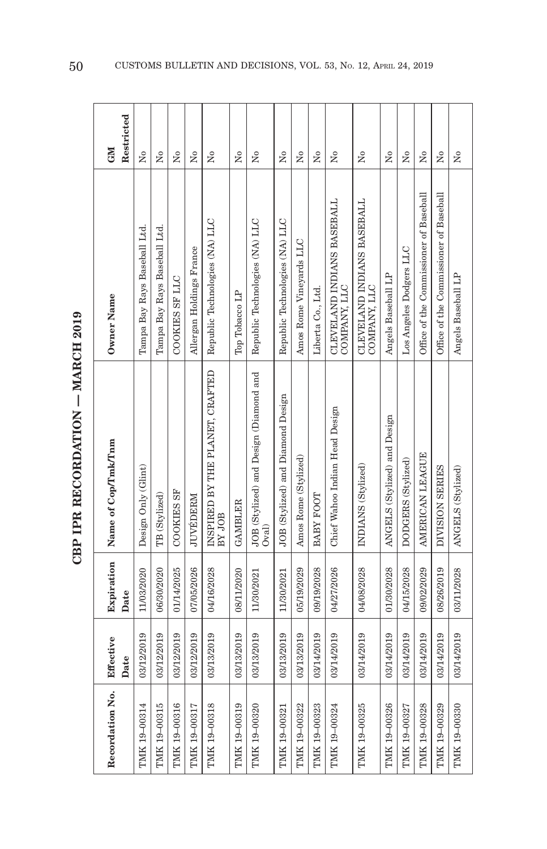| ć      |  |
|--------|--|
| i<br>I |  |
|        |  |
| くしょ    |  |
|        |  |
|        |  |

| Recordation No. | Effective<br>Date | Expiration<br>Date | Name of Cop/Tmk/Tnm                             | Owner Name                                 | Restricted<br><b>GM</b> |
|-----------------|-------------------|--------------------|-------------------------------------------------|--------------------------------------------|-------------------------|
| TMK 19-00314    | 03/12/2019        | 11/03/2020         | Design Only (Glint)                             | Tampa Bay Rays Baseball Ltd.               | Σò                      |
| TMK 19-00315    | 03/12/2019        | 06/30/2020         | TB (Stylized)                                   | Tampa Bay Rays Baseball Ltd.               | $\tilde{\mathbf{z}}$    |
| TMK 19-00316    | 03/12/2019        | 01/14/2025         | <b>COOKIES SF</b>                               | COOKIES SF LLC                             | Σò                      |
| TMK 19-00317    | 03/12/2019        | 07/05/2026         | JUVÉDERM                                        | Allergan Holdings France                   | Σò                      |
| TMK 19-00318    | 03/13/2019        | 04/16/2028         | INSPIRED BY THE PLANET, CRAFTED<br>BY JOB       | Republic Technologies (NA) LLC             | ż                       |
| TMK 19-00319    | 03/13/2019        | 08/11/2020         | <b>GAMBLER</b>                                  | Top Tobacco LP                             | Σò                      |
| TMK 19-00320    | 03/13/2019        | 11/30/2021         | JOB (Stylized) and Design (Diamond and<br>Oval) | Republic Technologies (NA) LLC             | ż                       |
| TMK 19-00321    | 03/13/2019        | 11/30/2021         | JOB (Stylized) and Diamond Design               | Republic Technologies (NA) LLC             | $\tilde{\mathbf{z}}$    |
| TMK 19-00322    | 03/13/2019        | 05/19/2029         | Amos Rome (Stylized)                            | Amos Rome Vineyards LLC                    | Σó                      |
| TMK 19-00323    | 03/14/2019        | 09/19/2028         | <b>BABY FOOT</b>                                | Liberta Co., Ltd.                          | Σó                      |
| TMK 19-00324    | 03/14/2019        | 04/27/2026         | Chief Wahoo Indian Head Design                  | CLEVELAND INDIANS BASEBALL<br>COMPANY, LLC | ż                       |
| TMK 19-00325    | 03/14/2019        | 04/08/2028         | INDIANS (Stylized)                              | CLEVELAND INDIANS BASEBALL<br>COMPANY, LLC | Σò                      |
| TMK 19-00326    | 03/14/2019        | 01/30/2028         | ANGELS (Stylized) and Design                    | Angels Baseball LP                         | $\tilde{\rm X}^0$       |
| TMK 19-00327    | 03/14/2019        | 04/15/2028         | DODGERS (Stylized)                              | Los Angeles Dodgers LLC                    | Χo                      |
| TMK 19-00328    | 03/14/2019        | 09/02/2029         | AMERICAN LEAGUE                                 | Office of the Commissioner of Baseball     | Σó                      |
| TMK 19-00329    | 03/14/2019        | 08/26/2019         | DIVISION SERIES                                 | Office of the Commissioner of Baseball     | $\tilde{\rm X}^0$       |
| TMK 19-00330    | 03/14/2019        | 03/11/2028         | ANGELS (Stylized)                               | Angels Baseball LP                         | $\tilde{z}$             |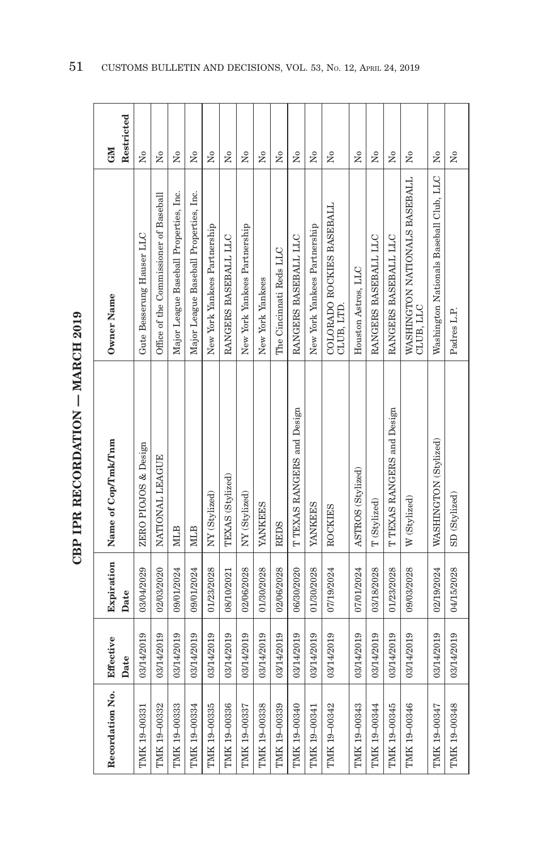| ć      |  |
|--------|--|
| i<br>I |  |
|        |  |
| くしょ    |  |
|        |  |
|        |  |

| Recordation No. | Effective<br>Date | Expiration<br>Date | Name of Cop/Tmk/Tnm        | Owner Name                                 | Restricted<br>GM     |
|-----------------|-------------------|--------------------|----------------------------|--------------------------------------------|----------------------|
| TMK 19-00331    | 03/14/2019        | 03/04/2029         | ZERO PIOJOS & Design       | Gute Besserung Hauser LLC                  | Σó                   |
| TMK 19-00332    | 03/14/2019        | 02/03/2020         | NATIONAL LEAGUE            | Office of the Commissioner of Baseball     | Σó                   |
| TMK 19-00333    | 03/14/2019        | 09/01/2024         | <b>NILB</b>                | Major League Baseball Properties, Inc.     | Σó                   |
| TMK 19-00334    | 03/14/2019        | 09/01/2024         | <b>NILB</b>                | Major League Baseball Properties, Inc.     | Σó                   |
| TMK 19-00335    | 03/14/2019        | 01/23/2028         | NY (Stylized)              | New York Yankees Partnership               | å                    |
| TMK 19-00336    | 03/14/2019        | 08/10/2021         | TEXAS (Stylized)           | RANGERS BASEBALL LLC                       | Σó                   |
| TMK 19-00337    | 03/14/2019        | 02/06/2028         | NY (Stylized)              | New York Yankees Partnership               | $\tilde{X}^{\circ}$  |
| TMK 19-00338    | 03/14/2019        | 01/30/2028         | <b>YANKEES</b>             | New York Yankees                           | Σó                   |
| TMK 19-00339    | 03/14/2019        | 02/06/2028         | <b>REDS</b>                | The Cincinnati Reds LLC                    | $\tilde{X}^{\circ}$  |
| TMK 19-00340    | 03/14/2019        | 06/30/2020         | T TEXAS RANGERS and Design | RANGERS BASEBALL LLC                       | $\tilde{\rm X}^0$    |
| TMK 19-00341    | 03/14/2019        | 01/30/2028         | <b>YANKEES</b>             | New York Yankees Partnership               | Χo                   |
| TMK 19-00342    | 03/14/2019        | 07/19/2024         | <b>ROCKIES</b>             | COLORADO ROCKIES BASEBALL<br>CLUB, LTD.    | Σó                   |
| TMK 19-00343    | 03/14/2019        | 07/01/2024         | ASTROS (Stylized)          | Houston Astros, LLC                        | Σó                   |
| TMK 19-00344    | 03/14/2019        | 03/18/2028         | T (Stylized)               | RANGERS BASEBALL LLC                       | Σó                   |
| TMK 19-00345    | 03/14/2019        | 01/23/2028         | T TEXAS RANGERS and Design | RANGERS BASEBALL LLC                       | $\overline{R}$       |
| TMK 19-00346    | 03/14/2019        | 09/03/2028         | W (Stylized)               | WASHINGTON NATIONALS BASEBALL<br>CLUB, LLC | $\tilde{\mathbf{X}}$ |
| TMK 19-00347    | 03/14/2019        | 02/19/2024         | WASHINGTON (Stylized)      | Washington Nationals Baseball Club, LLC    | $\Sigma$             |
| TMK 19-00348    | 03/14/2019        | 04/15/2028         | SD (Stylized)              | Padres L.P.                                | $\tilde{\mathbf{z}}$ |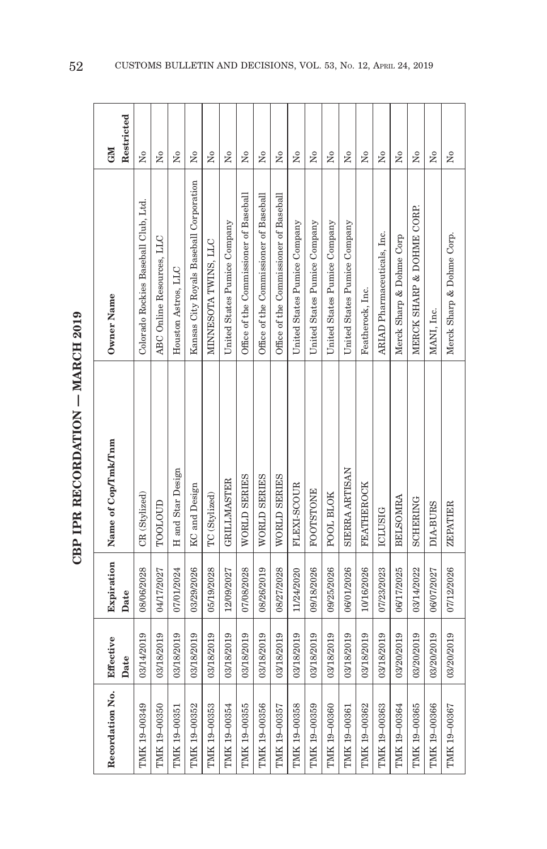| .001c<br><b>TADOL</b>                                                                      |
|--------------------------------------------------------------------------------------------|
|                                                                                            |
|                                                                                            |
| THE RECOPPATION<br>֚֚֓                                                                     |
| ֖֖֖֖֖֖֖֖֖֖֖֖֖֖֖֖֖֧֪֪֪֦֧֖֧֪֪֪֪֪֦֧֦֧֪֪֪֪֪֦֧֪֪֪֪֪֪֪֪֪֪֪֪֪֪֪֪֪֚֚֚֚֚֚֚֚֚֚֚֚֚֚֚֚֚֚֚֚֡֬֝֝֝֝֬<br>í |
| qRD                                                                                        |

 $\bullet$ 

| Recordation No. | Effective<br>Date | Date       | Expiration Name of Cop/Tmk/Tnm | Owner Name                              | Restricted<br><b>GMI</b> |
|-----------------|-------------------|------------|--------------------------------|-----------------------------------------|--------------------------|
| TMK 19-00349    | 03/14/2019        | 08/06/2028 | CR (Stylized)                  | Colorado Rockies Baseball Club, Ltd.    | $\overline{M}$           |
| TMK 19-00350    | 03/18/2019        | 04/17/2027 | TOOLOUD                        | ABC Online Resources, LLC               | Σó                       |
| TMK 19-00351    | 03/18/2019        | 07/01/2024 | H and Star Design              | Houston Astros, LLC                     | Σò                       |
| TMK 19-00352    | 03/18/2019        | 03/29/2026 | <b>KC</b> and Design           | Kansas City Royals Baseball Corporation | Σó                       |
| TMK 19-00353    | 03/18/2019        | 05/19/2028 | TC (Stylized)                  | MINNESOTA TWINS, LLC                    | Σó                       |
| TMK 19-00354    | 03/18/2019        | 12/09/2027 | <b>GRILLMASTER</b>             | United States Pumice Company            | Σó                       |
| TMK 19-00355    | 03/18/2019        | 07/08/2028 | WORLD SERIES                   | Office of the Commissioner of Baseball  | ż                        |
| TMK 19-00356    | 03/18/2019        | 08/26/2019 | WORLD SERIES                   | Office of the Commissioner of Baseball  | Σó                       |
| TMK 19-00357    | 03/18/2019        | 08/27/2028 | WORLD SERIES                   | Office of the Commissioner of Baseball  | å                        |
| TMK 19-00358    | 03/18/2019        | 11/24/2020 | FLEXI-SCOUR                    | United States Pumice Company            | $\tilde{X}^{\circ}$      |
| TMK 19-00359    | 03/18/2019        | 09/18/2026 | <b>FOOTSTONE</b>               | United States Pumice Company            | ż                        |
| TMK 19-00360    | 03/18/2019        | 09/25/2026 | POOL BLOK                      | United States Pumice Company            | $\tilde{\mathbf{z}}$     |
| TMK 19-00361    | 03/18/2019        | 06/01/2026 | SIERRA ARTISAN                 | United States Pumice Company            | $\tilde{X}^{\circ}$      |
| TMK 19-00362    | 03/18/2019        | 10/16/2026 | <b>FEATHEROCK</b>              | Featherock, Inc.                        | $\overline{N}$           |
| TMK 19-00363    | 03/18/2019        | 07/23/2023 | <b>ICLUSIG</b>                 | ARIAD Pharmaceuticals, Inc.             | $_{\rm N_0}$             |
| TMK 19-00364    | 03/20/2019        | 06/17/2025 | <b>BELSOMRA</b>                | Merck Sharp & Dohme Corp                | Σ°                       |
| TMK 19-00365    | 03/20/2019        | 03/14/2022 | <b>SCHERING</b>                | MERCK SHARP & DOHME CORP.               | $\overline{N}$           |
| TMK 19-00366    | 03/20/2019        | 06/07/2027 | DIA-BURS                       | MANI, Inc.                              | Σó                       |
| TMK 19-00367    | 03/20/2019        | 07/12/2026 | ZEPATIER                       | Merck Sharp & Dohme Corp.               | $\tilde{X}^{\circ}$      |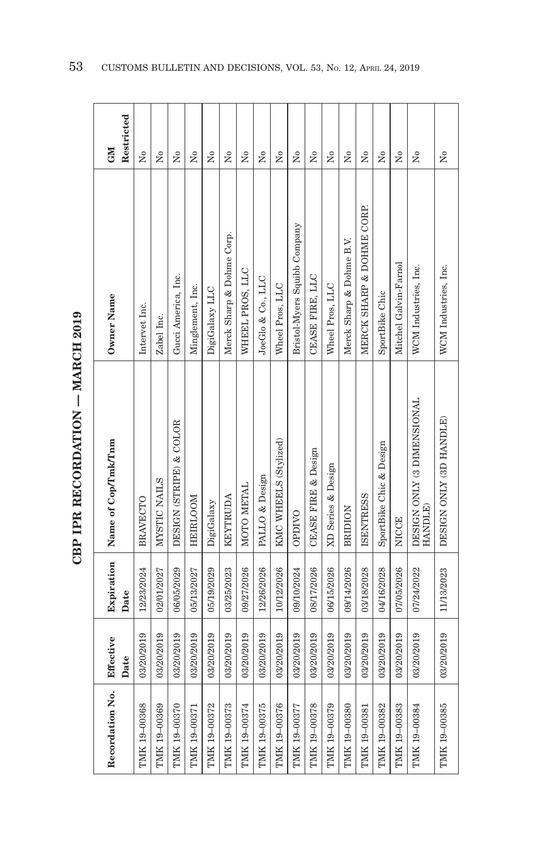| Recordation No. | Effective  | Expiration | Name of Cop/Tmk/Tnm                   | Owner Name                   | GM                      |
|-----------------|------------|------------|---------------------------------------|------------------------------|-------------------------|
|                 | Date       | Date       |                                       |                              | Restricted              |
| TMK 19-00368    | 03/20/2019 | 12/23/2024 | <b>BRAVECTO</b>                       | Intervet Inc.                | $\tilde{\mathbf{z}}$    |
| TMK 19-00369    | 03/20/2019 | 02/01/2027 | MYSTIC NAILS                          | Zabel Inc.                   | Σó                      |
| TMK 19-00370    | 03/20/2019 | 06/05/2029 | DESIGN (STRIPE) & COLOR               | Gucci America, Inc.          | Σó                      |
| TMK 19-00371    | 03/20/2019 | 05/13/2027 | HEIRLOOM                              | Minglement, Inc.             | Σó                      |
| TMK 19-00372    | 03/20/2019 | 05/19/2029 | DigiGalaxy                            | DigiGalaxy LLC               | $\tilde{\mathbf{z}}$    |
| TMK 19-00373    | 03/20/2019 | 03/25/2023 | KEYTRUDA                              | Merck Sharp & Dohme Corp.    | $\tilde{\mathbf{z}}$    |
| TMK 19-00374    | 03/20/2019 | 09/27/2026 | MOTO METAL                            | WHEEL PROS, LLC              | Σó                      |
| TMK 19-00375    | 03/20/2019 | 12/26/2026 | PALLO & Design                        | JoeGlo & Co., LLC            | $\overline{R}$          |
| TMK 19-00376    | 03/20/2019 | 10/12/2026 | KMC WHEELS (Stylized)                 | Wheel Pros, LLC              | $\tilde{\mathbf{z}}$    |
| TMK 19-00377    | 03/20/2019 | 09/10/2024 | <b>OPDIVO</b>                         | Bristol-Myers Squibb Company | $\tilde{\rm X}^{\rm o}$ |
| TMK 19-00378    | 03/20/2019 | 08/17/2026 | <b>CEASE FIRE &amp; Design</b>        | CEASE FIRE, LLC              | Σó                      |
| TMK 19-00379    | 03/20/2019 | 06/15/2026 | XD Series & Design                    | Wheel Pros, LLC              | Σó                      |
| TMK 19-00380    | 03/20/2019 | 09/14/2026 | <b>BRIDION</b>                        | Merck Sharp & Dohme B.V.     | $\tilde{\mathbf{X}}$    |
| TMK 19-00381    | 03/20/2019 | 03/18/2028 | <b>ISENTRESS</b>                      | MERCK SHARP & DOHME CORP.    | $\tilde{X}^{\circ}$     |
| TMK 19-00382    | 03/20/2019 | 04/16/2028 | SportBike Chic & Design               | SportBike Chic               | $\tilde{X}^{\circ}$     |
| TMK 19-00383    | 03/20/2019 | 07/05/2026 | <b>NICCE</b>                          | Mitchel Galvin-Farnol        | $\overline{N}$          |
| TMK 19-00384    | 03/20/2019 | 07/24/2022 | DESIGN ONLY (3 DIMENSIONAL<br>HANDLE) | WCM Industries, Inc.         | $\tilde{\mathbf{X}}$    |
| TMK 19-00385    | 03/20/2019 | 11/13/2023 | DESIGN ONLY (3D HANDLE)               | WCM Industries, Inc.         | Σó                      |

**CBP IPR RECORDATION - MARCH 2019 CBP IPR RECORDATION — MARCH 2019**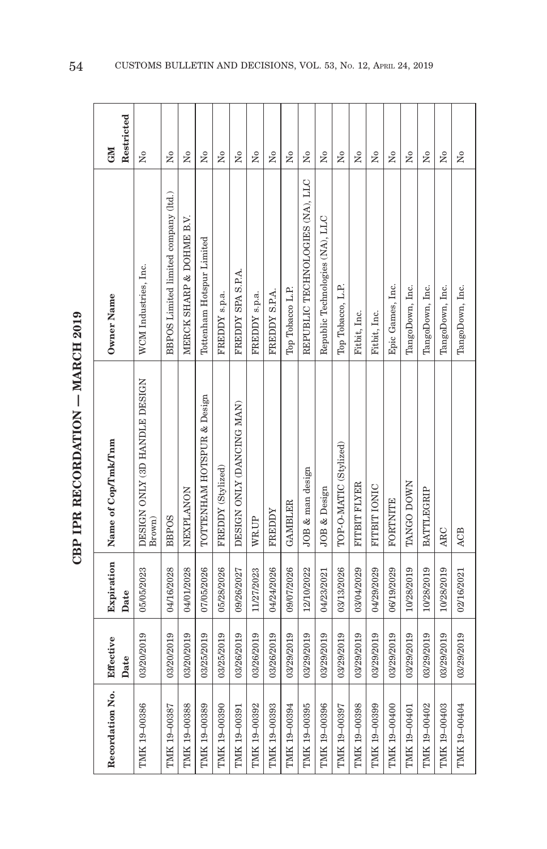| š       |  |
|---------|--|
|         |  |
|         |  |
| トー・スていし |  |
|         |  |
|         |  |

| Recordation No. | Effective<br>Date | Expiration<br>Date | Name of Cop/Tmk/Tnm                     | Owner Name                           | Restricted<br><b>NEO</b>             |
|-----------------|-------------------|--------------------|-----------------------------------------|--------------------------------------|--------------------------------------|
| TMK 19-00386    | 03/20/2019        | 05/05/2023         | DESIGN ONLY (3D HANDLE DESIGN<br>Brown) | WCM Industries, Inc.                 | $\tilde{\mathbf{z}}$                 |
| TMK 19-00387    | 03/20/2019        | 04/16/2028         | <b>BBPOS</b>                            | BBPOS Limited limited company (ltd.) | Χo                                   |
| TMK 19-00388    | 03/20/2019        | 04/01/2028         | NEXPLANON                               | MERCK SHARP & DOHME B.V.             | Σó                                   |
| TMK 19-00389    | 03/25/2019        | 07/05/2026         | TOTTENHAM HOTSPUR & Design              | Tottenham Hotspur Limited            | Χo                                   |
| TMK 19-00390    | 03/25/2019        | 05/28/2026         | FREDDY (Stylized)                       | FREDDY s.p.a.                        | $\overline{N}$                       |
| TMK 19-00391    | 03/26/2019        | 09/26/2027         | DESIGN ONLY (DANCING MAN)               | FREDDY SPA S.P.A.                    | Σó                                   |
| TMK 19-00392    | 03/26/2019        | 11/27/2023         | WR.UP                                   | FREDDY s.p.a.                        | Σó                                   |
| TMK 19-00393    | 03/26/2019        | 04/24/2026         | FREDDY                                  | FREDDY S.P.A.                        | Χo                                   |
| TMK 19-00394    | 03/29/2019        | 09/07/2026         | <b>GAMBLER</b>                          | Top Tobacco L.P.                     | $\overline{N}$                       |
| TMK 19-00395    | 03/29/2019        | 12/10/2022         | JOB & man design                        | REPUBLIC TECHNOLOGIES (NA), LLC      | Χo                                   |
| TMK 19-00396    | 03/29/2019        | 04/23/2021         | JOB & Design                            | Republic Technologies (NA), LLC      | Χo                                   |
| TMIK 19-00397   | 03/29/2019        | 03/13/2026         | TOP-O-MATIC (Stylized)                  | Top Tobacco, L.P.                    | Σó                                   |
| TMK 19-00398    | 03/29/2019        | 03/04/2029         | FITBIT FLYER                            | Fitbit, Inc.                         | $\tilde{X}^{\circ}$                  |
| TMK 19-00399    | 03/29/2019        | 04/29/2029         | FITBIT IONIC                            | Fitbit, Inc.                         | Σò                                   |
| TMK 19-00400    | 03/29/2019        | 06/19/2029         | FORTNITE                                | Epic Games, Inc.                     | $\overline{\mathsf{X}}^{\mathsf{o}}$ |
| TMK 19-00401    | 03/29/2019        | 10/28/2019         | TANGO DOWN                              | TangoDown, Inc.                      | $_{\rm N_0}$                         |
| TMK 19-00402    | 03/29/2019        | 10/28/2019         | <b>BATTLEGRIP</b>                       | TangoDown, Inc.                      | $\tilde{X}^{\circ}$                  |
| TMK 19-00403    | 03/29/2019        | 10/28/2019         | ARC                                     | TangoDown, Inc.                      | $\overline{N}$                       |
| TMK 19-00404    | 03/29/2019        | 02/16/2021         | ACB                                     | TangoDown, Inc.                      | $\tilde{X}^{\circ}$                  |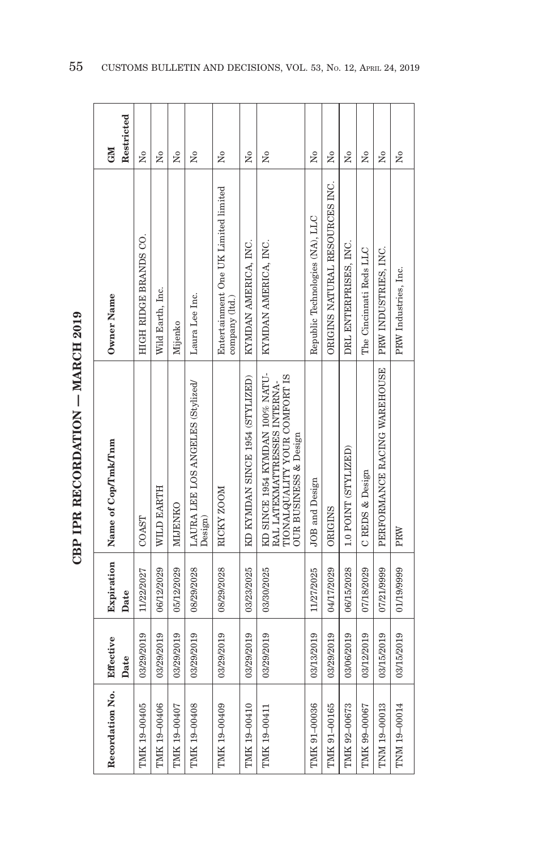| Recordation No. | Effective  | Expiration | Name of Cop/Tmk/Tnm                                                                                                              | Owner Name                                            | <b>GMI</b> |
|-----------------|------------|------------|----------------------------------------------------------------------------------------------------------------------------------|-------------------------------------------------------|------------|
|                 | Date       | Date       |                                                                                                                                  |                                                       | Restricted |
| TMK 19-00405    | 03/29/2019 | 11/22/2027 | COAST                                                                                                                            | HIGH RIDGE BRANDS CO.                                 | Σó         |
| TMK 19-00406    | 03/29/2019 | 06/12/2029 | WILD EARTH                                                                                                                       | Wild Earth, Inc.                                      | Σó         |
| TMK 19-00407    | 03/29/2019 | 05/12/2029 | NIJENKO                                                                                                                          | Mijenko                                               | Χo         |
| TMK 19-00408    | 03/29/2019 | 08/29/2028 | LAURA LEE LOS ANGELES (Stylized/<br>Design)                                                                                      | Laura Lee Inc.                                        | Χo         |
| TMK 19-00409    | 03/29/2019 | 08/29/2028 | RICKY ZOOM                                                                                                                       | Entertainment One UK Limited limited<br>company (Itd. | Σó         |
| TMK 19-00410    | 03/29/2019 | 03/23/2025 | KD KYMDAN SINCE 1954 (STYLIZED)                                                                                                  | KYMDAN AMERICA, INC.                                  | ż          |
| TMK 19-00411    | 03/29/2019 | 03/30/2025 | KD SINCE 1954 KYMDAN 100% NATU-<br><b>ITONALQUALITY YOUR COMFORT IS</b><br>RAL LATEXMATTRESSES INTERNA-<br>OUR BUSINESS & Design | KYMDAN AMERICA, INC.                                  | Σó         |
| TMK 91-00036    | 03/13/2019 | 11/27/2025 | JOB and Design                                                                                                                   | Republic Technologies (NA), LLC                       | Σó         |
| TMK 91-00165    | 03/29/2019 | 04/17/2029 | <b>ORIGINS</b>                                                                                                                   | ORIGINS NATURAL RESOURCES INC.                        | Σó         |
| TMK 92-00673    | 03/06/2019 | 06/15/2028 | 1.0 POINT (STYLIZED)                                                                                                             | DRL ENTERPRISES, INC.                                 | ż          |
| TMK 99-00067    | 03/12/2019 | 07/18/2029 | C REDS & Design                                                                                                                  | The Cincinnati Reds LLC                               | ż          |
| TNM 19-00013    | 03/15/2019 | 07/21/9999 | PERFORMANCE RACING WAREHOUSE                                                                                                     | PRW INDUSTRIES, INC.                                  | ż          |
| TNM 19-00014    | 03/15/2019 | 01/19/9999 | PRW                                                                                                                              | PRW Industries, Inc.                                  | ż          |

**CBP IPR RECORDATION - MARCH 2019 CBP IPR RECORDATION — MARCH 2019**

r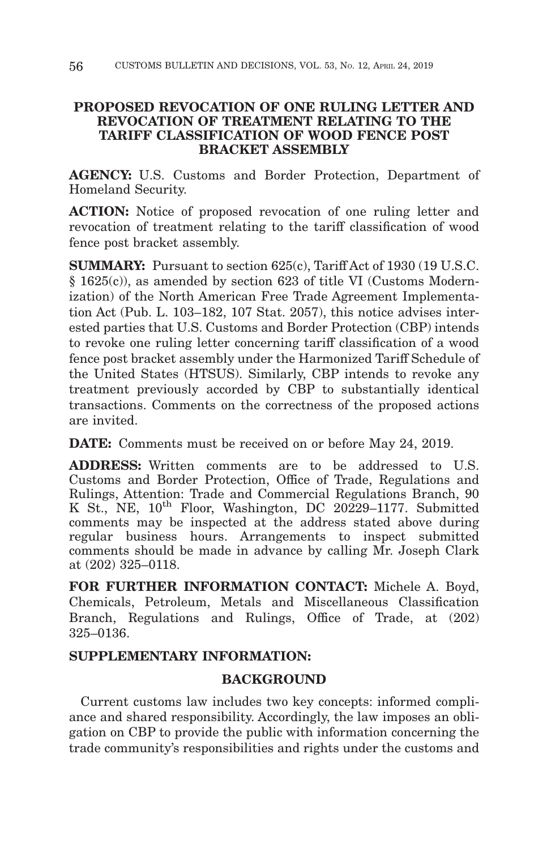# **PROPOSED REVOCATION OF ONE RULING LETTER AND REVOCATION OF TREATMENT RELATING TO THE TARIFF CLASSIFICATION OF WOOD FENCE POST BRACKET ASSEMBLY**

**AGENCY:** U.S. Customs and Border Protection, Department of Homeland Security.

**ACTION:** Notice of proposed revocation of one ruling letter and revocation of treatment relating to the tariff classification of wood fence post bracket assembly.

**SUMMARY:** Pursuant to section 625(c), Tariff Act of 1930 (19 U.S.C. § 1625(c)), as amended by section 623 of title VI (Customs Modernization) of the North American Free Trade Agreement Implementation Act (Pub. L. 103–182, 107 Stat. 2057), this notice advises interested parties that U.S. Customs and Border Protection (CBP) intends to revoke one ruling letter concerning tariff classification of a wood fence post bracket assembly under the Harmonized Tariff Schedule of the United States (HTSUS). Similarly, CBP intends to revoke any treatment previously accorded by CBP to substantially identical transactions. Comments on the correctness of the proposed actions are invited.

**DATE:** Comments must be received on or before May 24, 2019.

**ADDRESS:** Written comments are to be addressed to U.S. Customs and Border Protection, Office of Trade, Regulations and Rulings, Attention: Trade and Commercial Regulations Branch, 90 K St., NE,  $10^{th}$  Floor, Washington, DC 20229-1177. Submitted comments may be inspected at the address stated above during regular business hours. Arrangements to inspect submitted comments should be made in advance by calling Mr. Joseph Clark at (202) 325–0118.

**FOR FURTHER INFORMATION CONTACT:** Michele A. Boyd, Chemicals, Petroleum, Metals and Miscellaneous Classification Branch, Regulations and Rulings, Office of Trade, at (202) 325–0136.

# **SUPPLEMENTARY INFORMATION:**

# **BACKGROUND**

Current customs law includes two key concepts: informed compliance and shared responsibility. Accordingly, the law imposes an obligation on CBP to provide the public with information concerning the trade community's responsibilities and rights under the customs and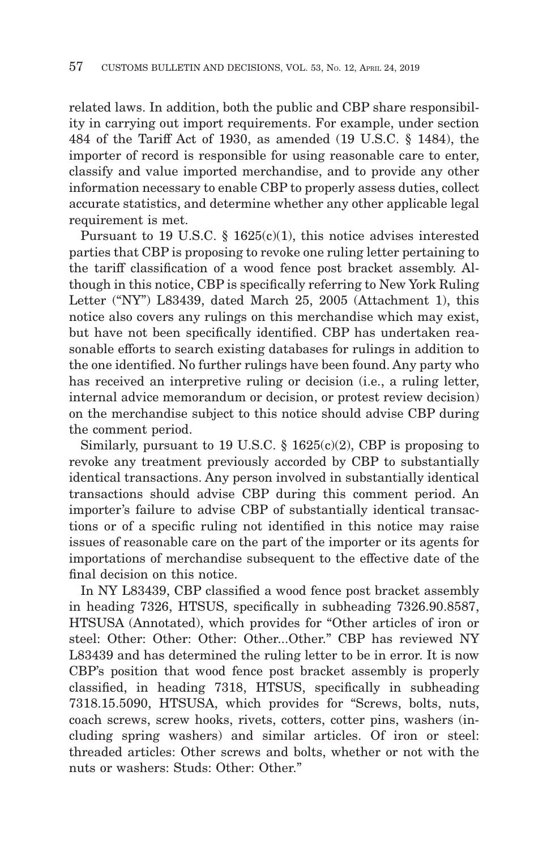related laws. In addition, both the public and CBP share responsibility in carrying out import requirements. For example, under section 484 of the Tariff Act of 1930, as amended (19 U.S.C. § 1484), the importer of record is responsible for using reasonable care to enter, classify and value imported merchandise, and to provide any other information necessary to enable CBP to properly assess duties, collect accurate statistics, and determine whether any other applicable legal requirement is met.

Pursuant to 19 U.S.C. § 1625(c)(1), this notice advises interested parties that CBP is proposing to revoke one ruling letter pertaining to the tariff classification of a wood fence post bracket assembly. Although in this notice, CBP is specifically referring to New York Ruling Letter ("NY") L83439, dated March 25, 2005 (Attachment 1), this notice also covers any rulings on this merchandise which may exist, but have not been specifically identified. CBP has undertaken reasonable efforts to search existing databases for rulings in addition to the one identified. No further rulings have been found. Any party who has received an interpretive ruling or decision (i.e., a ruling letter, internal advice memorandum or decision, or protest review decision) on the merchandise subject to this notice should advise CBP during the comment period.

Similarly, pursuant to 19 U.S.C.  $\S$  1625(c)(2), CBP is proposing to revoke any treatment previously accorded by CBP to substantially identical transactions. Any person involved in substantially identical transactions should advise CBP during this comment period. An importer's failure to advise CBP of substantially identical transactions or of a specific ruling not identified in this notice may raise issues of reasonable care on the part of the importer or its agents for importations of merchandise subsequent to the effective date of the final decision on this notice.

In NY L83439, CBP classified a wood fence post bracket assembly in heading 7326, HTSUS, specifically in subheading 7326.90.8587, HTSUSA (Annotated), which provides for "Other articles of iron or steel: Other: Other: Other: Other...Other." CBP has reviewed NY L83439 and has determined the ruling letter to be in error. It is now CBP's position that wood fence post bracket assembly is properly classified, in heading 7318, HTSUS, specifically in subheading 7318.15.5090, HTSUSA, which provides for "Screws, bolts, nuts, coach screws, screw hooks, rivets, cotters, cotter pins, washers (including spring washers) and similar articles. Of iron or steel: threaded articles: Other screws and bolts, whether or not with the nuts or washers: Studs: Other: Other."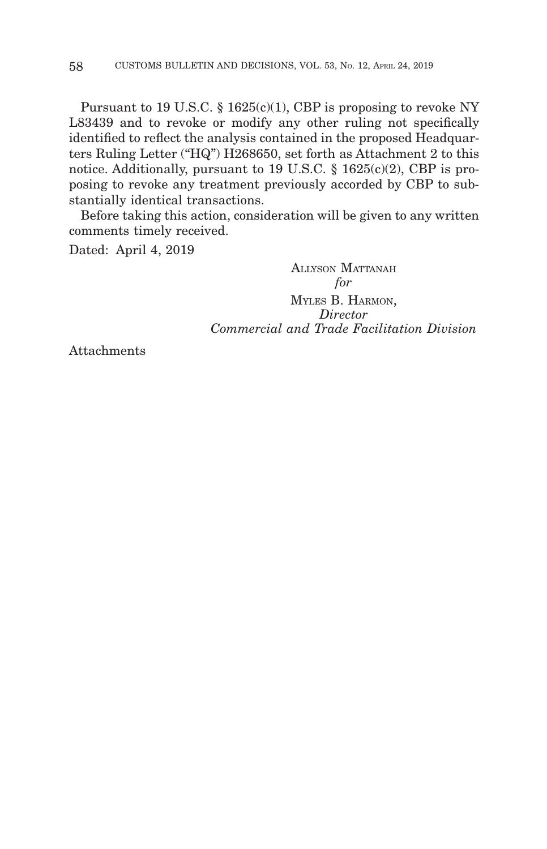Pursuant to 19 U.S.C.  $\S$  1625(c)(1), CBP is proposing to revoke NY L83439 and to revoke or modify any other ruling not specifically identified to reflect the analysis contained in the proposed Headquarters Ruling Letter ("HQ") H268650, set forth as Attachment 2 to this notice. Additionally, pursuant to 19 U.S.C. § 1625(c)(2), CBP is proposing to revoke any treatment previously accorded by CBP to substantially identical transactions.

Before taking this action, consideration will be given to any written comments timely received.

Dated: April 4, 2019

ALLYSON MATTANAH *for* MYLES B. HARMON, *Director Commercial and Trade Facilitation Division*

Attachments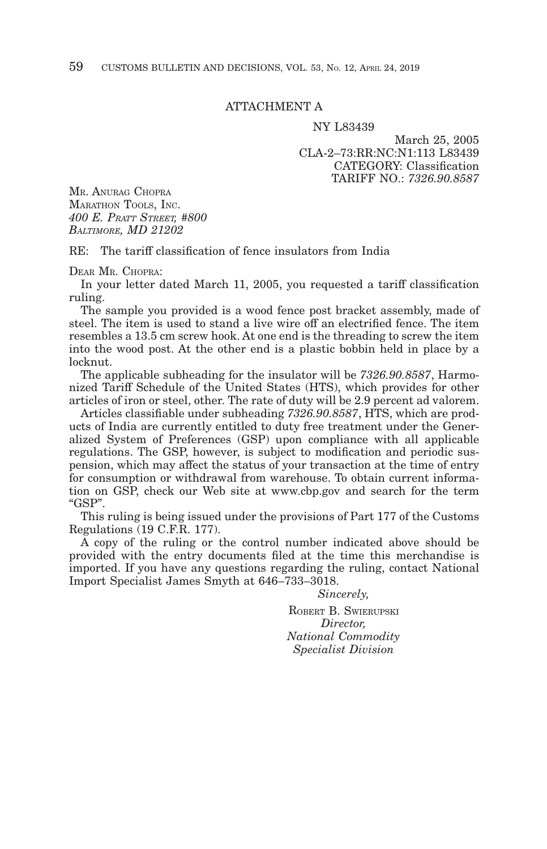## ATTACHMENT A

#### NY L83439

March 25, 2005 CLA-2–73:RR:NC:N1:113 L83439 CATEGORY: Classification TARIFF NO.: *7326.90.8587*

MR. ANURAG CHOPRA MARATHON TOOLS, INC. *400 E. PRATT STREET, #800 BALTIMORE, MD 21202*

 $RE:$  The tariff classification of fence insulators from India

DEAR MR. CHOPRA:

In your letter dated March 11, 2005, you requested a tariff classification ruling.

The sample you provided is a wood fence post bracket assembly, made of steel. The item is used to stand a live wire off an electrified fence. The item resembles a 13.5 cm screw hook. At one end is the threading to screw the item into the wood post. At the other end is a plastic bobbin held in place by a locknut.

The applicable subheading for the insulator will be *7326.90.8587*, Harmonized Tariff Schedule of the United States (HTS), which provides for other articles of iron or steel, other. The rate of duty will be 2.9 percent ad valorem.

Articles classifiable under subheading *7326.90.8587*, HTS, which are products of India are currently entitled to duty free treatment under the Generalized System of Preferences (GSP) upon compliance with all applicable regulations. The GSP, however, is subject to modification and periodic suspension, which may affect the status of your transaction at the time of entry for consumption or withdrawal from warehouse. To obtain current information on GSP, check our Web site at www.cbp.gov and search for the term "GSP".

This ruling is being issued under the provisions of Part 177 of the Customs Regulations (19 C.F.R. 177).

A copy of the ruling or the control number indicated above should be provided with the entry documents filed at the time this merchandise is imported. If you have any questions regarding the ruling, contact National Import Specialist James Smyth at 646–733–3018.

> *Sincerely,* ROBERT B. SWIERUPSKI *Director, National Commodity Specialist Division*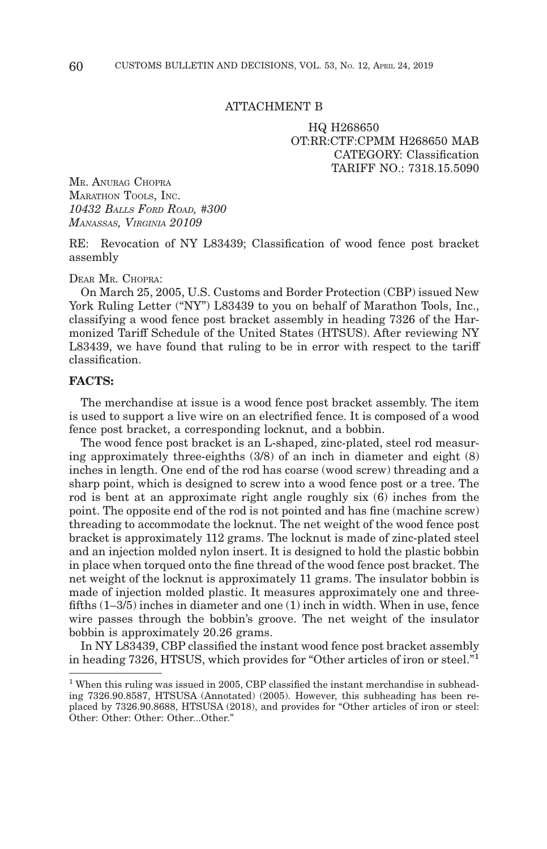### ATTACHMENT B

HQ H268650 OT:RR:CTF:CPMM H268650 MAB CATEGORY: Classification TARIFF NO.: 7318.15.5090

MR. ANURAG CHOPRA MARATHON TOOLS, INC. *10432 BALLS FORD ROAD, #300 MANASSAS, VIRGINIA 20109*

RE: Revocation of NY L83439; Classification of wood fence post bracket assembly

DEAR MR. CHOPRA:

On March 25, 2005, U.S. Customs and Border Protection (CBP) issued New York Ruling Letter ("NY") L83439 to you on behalf of Marathon Tools, Inc., classifying a wood fence post bracket assembly in heading 7326 of the Harmonized Tariff Schedule of the United States (HTSUS). After reviewing NY L83439, we have found that ruling to be in error with respect to the tariff classification.

## **FACTS:**

The merchandise at issue is a wood fence post bracket assembly. The item is used to support a live wire on an electrified fence. It is composed of a wood fence post bracket, a corresponding locknut, and a bobbin.

The wood fence post bracket is an L-shaped, zinc-plated, steel rod measuring approximately three-eighths (3/8) of an inch in diameter and eight (8) inches in length. One end of the rod has coarse (wood screw) threading and a sharp point, which is designed to screw into a wood fence post or a tree. The rod is bent at an approximate right angle roughly six (6) inches from the point. The opposite end of the rod is not pointed and has fine (machine screw) threading to accommodate the locknut. The net weight of the wood fence post bracket is approximately 112 grams. The locknut is made of zinc-plated steel and an injection molded nylon insert. It is designed to hold the plastic bobbin in place when torqued onto the fine thread of the wood fence post bracket. The net weight of the locknut is approximately 11 grams. The insulator bobbin is made of injection molded plastic. It measures approximately one and threefifths (1–3/5) inches in diameter and one (1) inch in width. When in use, fence wire passes through the bobbin's groove. The net weight of the insulator bobbin is approximately 20.26 grams.

In NY L83439, CBP classified the instant wood fence post bracket assembly in heading 7326, HTSUS, which provides for "Other articles of iron or steel."1

<sup>&</sup>lt;sup>1</sup> When this ruling was issued in 2005, CBP classified the instant merchandise in subheading 7326.90.8587, HTSUSA (Annotated) (2005). However, this subheading has been replaced by 7326.90.8688, HTSUSA (2018), and provides for "Other articles of iron or steel: Other: Other: Other: Other...Other."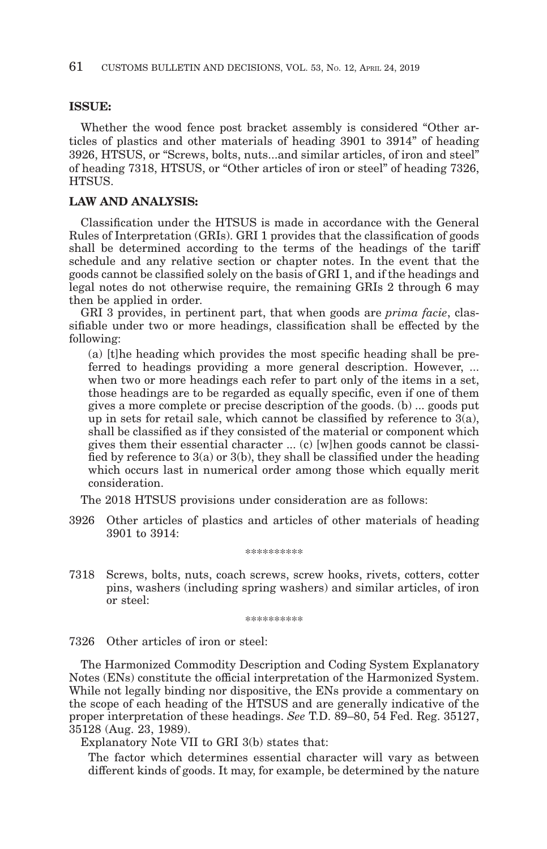## **ISSUE:**

Whether the wood fence post bracket assembly is considered "Other articles of plastics and other materials of heading 3901 to 3914" of heading 3926, HTSUS, or "Screws, bolts, nuts...and similar articles, of iron and steel" of heading 7318, HTSUS, or "Other articles of iron or steel" of heading 7326, HTSUS.

## **LAW AND ANALYSIS:**

Classification under the HTSUS is made in accordance with the General Rules of Interpretation (GRIs). GRI 1 provides that the classification of goods shall be determined according to the terms of the headings of the tariff schedule and any relative section or chapter notes. In the event that the goods cannot be classified solely on the basis of GRI 1, and if the headings and legal notes do not otherwise require, the remaining GRIs 2 through 6 may then be applied in order.

GRI 3 provides, in pertinent part, that when goods are *prima facie*, classifiable under two or more headings, classification shall be effected by the following:

(a) [t]he heading which provides the most specific heading shall be preferred to headings providing a more general description. However, ... when two or more headings each refer to part only of the items in a set, those headings are to be regarded as equally specific, even if one of them gives a more complete or precise description of the goods. (b) ... goods put up in sets for retail sale, which cannot be classified by reference to  $3(a)$ , shall be classified as if they consisted of the material or component which gives them their essential character ... (c) [w]hen goods cannot be classified by reference to  $3(a)$  or  $3(b)$ , they shall be classified under the heading which occurs last in numerical order among those which equally merit consideration.

The 2018 HTSUS provisions under consideration are as follows:

3926 Other articles of plastics and articles of other materials of heading 3901 to 3914:

#### \*\*\*\*\*\*\*\*\*\*

7318 Screws, bolts, nuts, coach screws, screw hooks, rivets, cotters, cotter pins, washers (including spring washers) and similar articles, of iron or steel:

\*\*\*\*\*\*\*\*\*\*

7326 Other articles of iron or steel:

The Harmonized Commodity Description and Coding System Explanatory Notes (ENs) constitute the official interpretation of the Harmonized System. While not legally binding nor dispositive, the ENs provide a commentary on the scope of each heading of the HTSUS and are generally indicative of the proper interpretation of these headings. *See* T.D. 89–80, 54 Fed. Reg. 35127, 35128 (Aug. 23, 1989).

Explanatory Note VII to GRI 3(b) states that:

The factor which determines essential character will vary as between different kinds of goods. It may, for example, be determined by the nature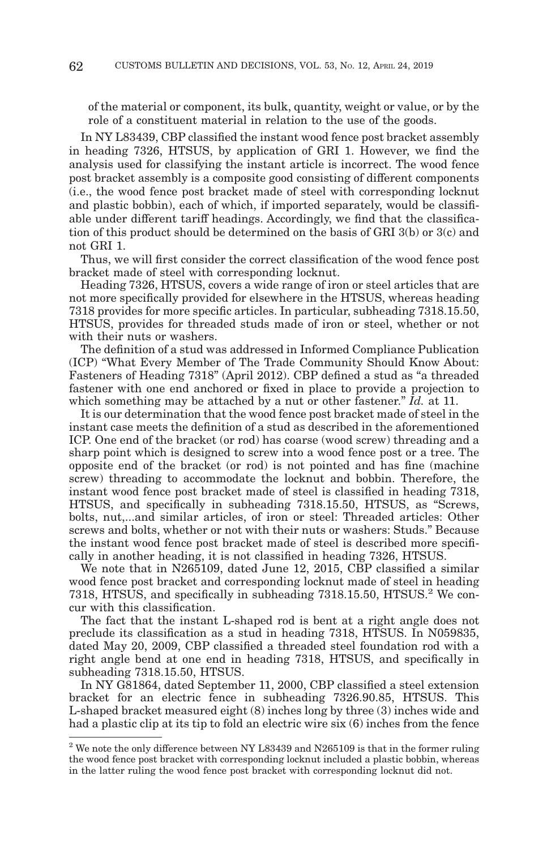of the material or component, its bulk, quantity, weight or value, or by the role of a constituent material in relation to the use of the goods.

In NY L83439, CBP classified the instant wood fence post bracket assembly in heading 7326, HTSUS, by application of GRI 1. However, we find the analysis used for classifying the instant article is incorrect. The wood fence post bracket assembly is a composite good consisting of different components (i.e., the wood fence post bracket made of steel with corresponding locknut and plastic bobbin), each of which, if imported separately, would be classifiable under different tariff headings. Accordingly, we find that the classification of this product should be determined on the basis of GRI 3(b) or 3(c) and not GRI 1.

Thus, we will first consider the correct classification of the wood fence post bracket made of steel with corresponding locknut.

Heading 7326, HTSUS, covers a wide range of iron or steel articles that are not more specifically provided for elsewhere in the HTSUS, whereas heading 7318 provides for more specific articles. In particular, subheading 7318.15.50, HTSUS, provides for threaded studs made of iron or steel, whether or not with their nuts or washers.

The definition of a stud was addressed in Informed Compliance Publication (ICP) "What Every Member of The Trade Community Should Know About: Fasteners of Heading 7318" (April 2012). CBP defined a stud as "a threaded fastener with one end anchored or fixed in place to provide a projection to which something may be attached by a nut or other fastener." *Id.* at 11.

It is our determination that the wood fence post bracket made of steel in the instant case meets the definition of a stud as described in the aforementioned ICP. One end of the bracket (or rod) has coarse (wood screw) threading and a sharp point which is designed to screw into a wood fence post or a tree. The opposite end of the bracket (or rod) is not pointed and has fine (machine screw) threading to accommodate the locknut and bobbin. Therefore, the instant wood fence post bracket made of steel is classified in heading 7318, HTSUS, and specifically in subheading 7318.15.50, HTSUS, as "Screws, bolts, nut,...and similar articles, of iron or steel: Threaded articles: Other screws and bolts, whether or not with their nuts or washers: Studs." Because the instant wood fence post bracket made of steel is described more specifically in another heading, it is not classified in heading 7326, HTSUS.

We note that in N265109, dated June 12, 2015, CBP classified a similar wood fence post bracket and corresponding locknut made of steel in heading 7318, HTSUS, and specifically in subheading 7318.15.50, HTSUS.2 We concur with this classification.

The fact that the instant L-shaped rod is bent at a right angle does not preclude its classification as a stud in heading 7318, HTSUS. In N059835, dated May 20, 2009, CBP classified a threaded steel foundation rod with a right angle bend at one end in heading 7318, HTSUS, and specifically in subheading 7318.15.50, HTSUS.

In NY G81864, dated September 11, 2000, CBP classified a steel extension bracket for an electric fence in subheading 7326.90.85, HTSUS. This L-shaped bracket measured eight (8) inches long by three (3) inches wide and had a plastic clip at its tip to fold an electric wire six (6) inches from the fence

 $2$  We note the only difference between NY L83439 and N265109 is that in the former ruling the wood fence post bracket with corresponding locknut included a plastic bobbin, whereas in the latter ruling the wood fence post bracket with corresponding locknut did not.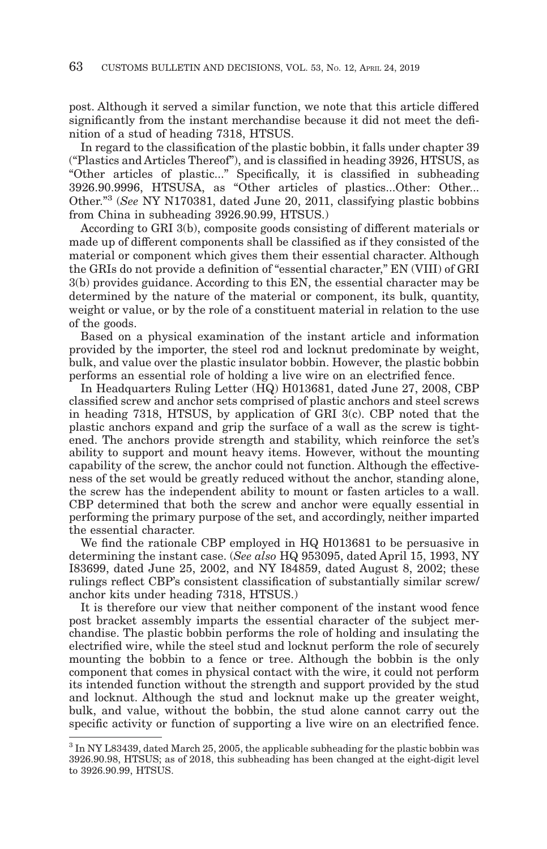post. Although it served a similar function, we note that this article differed significantly from the instant merchandise because it did not meet the definition of a stud of heading 7318, HTSUS.

In regard to the classification of the plastic bobbin, it falls under chapter 39 ("Plastics and Articles Thereof"), and is classified in heading 3926, HTSUS, as "Other articles of plastic..." Specifically, it is classified in subheading 3926.90.9996, HTSUSA, as "Other articles of plastics...Other: Other... Other."3 (*See* NY N170381, dated June 20, 2011, classifying plastic bobbins from China in subheading 3926.90.99, HTSUS.)

According to GRI 3(b), composite goods consisting of different materials or made up of different components shall be classified as if they consisted of the material or component which gives them their essential character. Although the GRIs do not provide a definition of "essential character," EN (VIII) of GRI 3(b) provides guidance. According to this EN, the essential character may be determined by the nature of the material or component, its bulk, quantity, weight or value, or by the role of a constituent material in relation to the use of the goods.

Based on a physical examination of the instant article and information provided by the importer, the steel rod and locknut predominate by weight, bulk, and value over the plastic insulator bobbin. However, the plastic bobbin performs an essential role of holding a live wire on an electrified fence.

In Headquarters Ruling Letter (HQ) H013681, dated June 27, 2008, CBP classified screw and anchor sets comprised of plastic anchors and steel screws in heading 7318, HTSUS, by application of GRI 3(c). CBP noted that the plastic anchors expand and grip the surface of a wall as the screw is tightened. The anchors provide strength and stability, which reinforce the set's ability to support and mount heavy items. However, without the mounting capability of the screw, the anchor could not function. Although the effectiveness of the set would be greatly reduced without the anchor, standing alone, the screw has the independent ability to mount or fasten articles to a wall. CBP determined that both the screw and anchor were equally essential in performing the primary purpose of the set, and accordingly, neither imparted the essential character.

We find the rationale CBP employed in HQ H013681 to be persuasive in determining the instant case. (*See also* HQ 953095, dated April 15, 1993, NY I83699, dated June 25, 2002, and NY I84859, dated August 8, 2002; these rulings reflect CBP's consistent classification of substantially similar screw/ anchor kits under heading 7318, HTSUS.)

It is therefore our view that neither component of the instant wood fence post bracket assembly imparts the essential character of the subject merchandise. The plastic bobbin performs the role of holding and insulating the electrified wire, while the steel stud and locknut perform the role of securely mounting the bobbin to a fence or tree. Although the bobbin is the only component that comes in physical contact with the wire, it could not perform its intended function without the strength and support provided by the stud and locknut. Although the stud and locknut make up the greater weight, bulk, and value, without the bobbin, the stud alone cannot carry out the specific activity or function of supporting a live wire on an electrified fence.

<sup>3</sup> In NY L83439, dated March 25, 2005, the applicable subheading for the plastic bobbin was 3926.90.98, HTSUS; as of 2018, this subheading has been changed at the eight-digit level to 3926.90.99, HTSUS.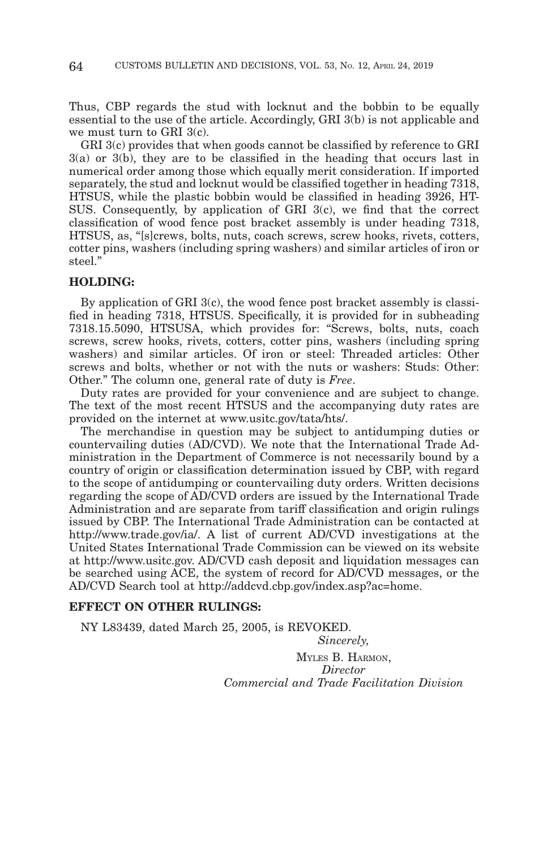Thus, CBP regards the stud with locknut and the bobbin to be equally essential to the use of the article. Accordingly, GRI 3(b) is not applicable and we must turn to GRI 3(c).

GRI 3(c) provides that when goods cannot be classified by reference to GRI 3(a) or 3(b), they are to be classified in the heading that occurs last in numerical order among those which equally merit consideration. If imported separately, the stud and locknut would be classified together in heading 7318, HTSUS, while the plastic bobbin would be classified in heading 3926, HT-SUS. Consequently, by application of GRI 3(c), we find that the correct classification of wood fence post bracket assembly is under heading 7318, HTSUS, as, "[s]crews, bolts, nuts, coach screws, screw hooks, rivets, cotters, cotter pins, washers (including spring washers) and similar articles of iron or steel."

### **HOLDING:**

By application of GRI 3(c), the wood fence post bracket assembly is classified in heading 7318, HTSUS. Specifically, it is provided for in subheading 7318.15.5090, HTSUSA, which provides for: "Screws, bolts, nuts, coach screws, screw hooks, rivets, cotters, cotter pins, washers (including spring washers) and similar articles. Of iron or steel: Threaded articles: Other screws and bolts, whether or not with the nuts or washers: Studs: Other: Other." The column one, general rate of duty is *Free*.

Duty rates are provided for your convenience and are subject to change. The text of the most recent HTSUS and the accompanying duty rates are provided on the internet at www.usitc.gov/tata/hts/.

The merchandise in question may be subject to antidumping duties or countervailing duties (AD/CVD). We note that the International Trade Administration in the Department of Commerce is not necessarily bound by a country of origin or classification determination issued by CBP, with regard to the scope of antidumping or countervailing duty orders. Written decisions regarding the scope of AD/CVD orders are issued by the International Trade Administration and are separate from tariff classification and origin rulings issued by CBP. The International Trade Administration can be contacted at http://www.trade.gov/ia/. A list of current AD/CVD investigations at the United States International Trade Commission can be viewed on its website at http://www.usitc.gov. AD/CVD cash deposit and liquidation messages can be searched using ACE, the system of record for AD/CVD messages, or the AD/CVD Search tool at http://addcvd.cbp.gov/index.asp?ac=home.

# **EFFECT ON OTHER RULINGS:**

NY L83439, dated March 25, 2005, is REVOKED.

*Sincerely,* MYLES B. HARMON, *Director Commercial and Trade Facilitation Division*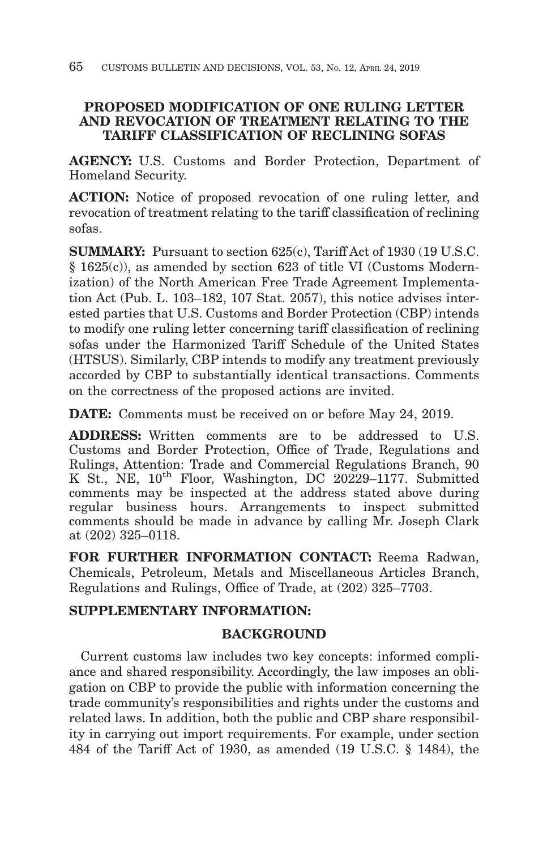# **PROPOSED MODIFICATION OF ONE RULING LETTER AND REVOCATION OF TREATMENT RELATING TO THE TARIFF CLASSIFICATION OF RECLINING SOFAS**

**AGENCY:** U.S. Customs and Border Protection, Department of Homeland Security.

**ACTION:** Notice of proposed revocation of one ruling letter, and revocation of treatment relating to the tariff classification of reclining sofas.

**SUMMARY:** Pursuant to section 625(c), Tariff Act of 1930 (19 U.S.C. § 1625(c)), as amended by section 623 of title VI (Customs Modernization) of the North American Free Trade Agreement Implementation Act (Pub. L. 103–182, 107 Stat. 2057), this notice advises interested parties that U.S. Customs and Border Protection (CBP) intends to modify one ruling letter concerning tariff classification of reclining sofas under the Harmonized Tariff Schedule of the United States (HTSUS). Similarly, CBP intends to modify any treatment previously accorded by CBP to substantially identical transactions. Comments on the correctness of the proposed actions are invited.

**DATE:** Comments must be received on or before May 24, 2019.

**ADDRESS:** Written comments are to be addressed to U.S. Customs and Border Protection, Office of Trade, Regulations and Rulings, Attention: Trade and Commercial Regulations Branch, 90 K St., NE, 10<sup>th</sup> Floor, Washington, DC 20229-1177. Submitted comments may be inspected at the address stated above during regular business hours. Arrangements to inspect submitted comments should be made in advance by calling Mr. Joseph Clark at (202) 325–0118.

**FOR FURTHER INFORMATION CONTACT:** Reema Radwan, Chemicals, Petroleum, Metals and Miscellaneous Articles Branch, Regulations and Rulings, Office of Trade, at (202) 325–7703.

# **SUPPLEMENTARY INFORMATION:**

# **BACKGROUND**

Current customs law includes two key concepts: informed compliance and shared responsibility. Accordingly, the law imposes an obligation on CBP to provide the public with information concerning the trade community's responsibilities and rights under the customs and related laws. In addition, both the public and CBP share responsibility in carrying out import requirements. For example, under section 484 of the Tariff Act of 1930, as amended (19 U.S.C. § 1484), the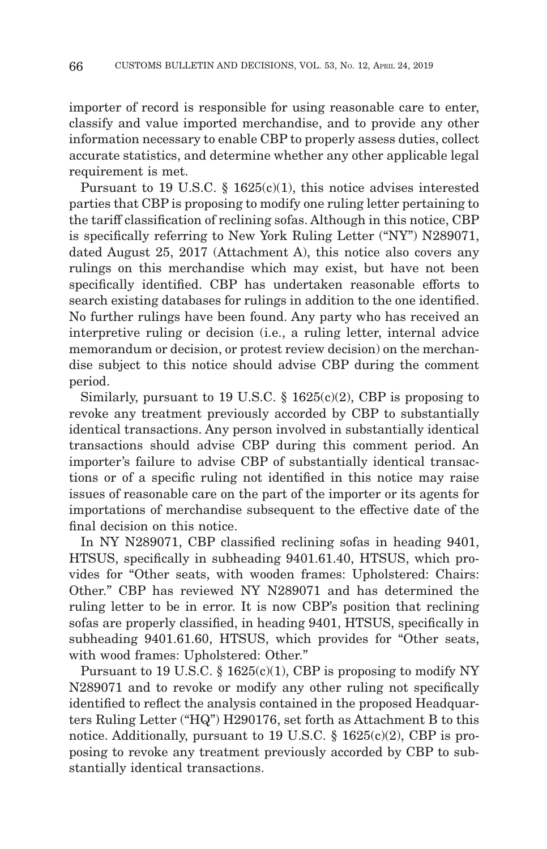importer of record is responsible for using reasonable care to enter, classify and value imported merchandise, and to provide any other information necessary to enable CBP to properly assess duties, collect accurate statistics, and determine whether any other applicable legal requirement is met.

Pursuant to 19 U.S.C.  $\S$  1625(c)(1), this notice advises interested parties that CBP is proposing to modify one ruling letter pertaining to the tariff classification of reclining sofas. Although in this notice, CBP is specifically referring to New York Ruling Letter ("NY") N289071, dated August 25, 2017 (Attachment A), this notice also covers any rulings on this merchandise which may exist, but have not been specifically identified. CBP has undertaken reasonable efforts to search existing databases for rulings in addition to the one identified. No further rulings have been found. Any party who has received an interpretive ruling or decision (i.e., a ruling letter, internal advice memorandum or decision, or protest review decision) on the merchandise subject to this notice should advise CBP during the comment period.

Similarly, pursuant to 19 U.S.C.  $\S$  1625(c)(2), CBP is proposing to revoke any treatment previously accorded by CBP to substantially identical transactions. Any person involved in substantially identical transactions should advise CBP during this comment period. An importer's failure to advise CBP of substantially identical transactions or of a specific ruling not identified in this notice may raise issues of reasonable care on the part of the importer or its agents for importations of merchandise subsequent to the effective date of the final decision on this notice.

In NY N289071, CBP classified reclining sofas in heading 9401, HTSUS, specifically in subheading 9401.61.40, HTSUS, which provides for "Other seats, with wooden frames: Upholstered: Chairs: Other." CBP has reviewed NY N289071 and has determined the ruling letter to be in error. It is now CBP's position that reclining sofas are properly classified, in heading 9401, HTSUS, specifically in subheading 9401.61.60, HTSUS, which provides for "Other seats, with wood frames: Upholstered: Other."

Pursuant to 19 U.S.C.  $\S 1625(c)(1)$ , CBP is proposing to modify NY N289071 and to revoke or modify any other ruling not specifically identified to reflect the analysis contained in the proposed Headquarters Ruling Letter ("HQ") H290176, set forth as Attachment B to this notice. Additionally, pursuant to 19 U.S.C. § 1625(c)(2), CBP is proposing to revoke any treatment previously accorded by CBP to substantially identical transactions.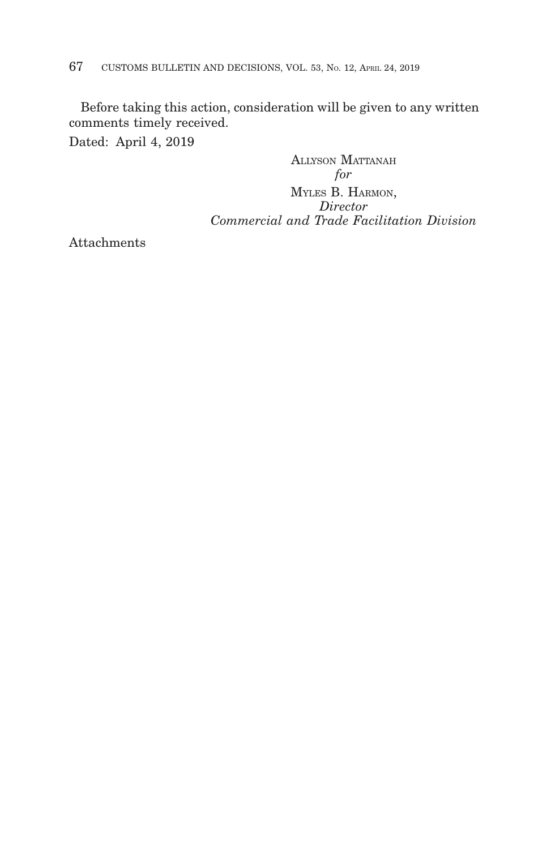Before taking this action, consideration will be given to any written comments timely received.

Dated: April 4, 2019

ALLYSON MATTANAH *for* MYLES B. HARMON, *Director Commercial and Trade Facilitation Division*

Attachments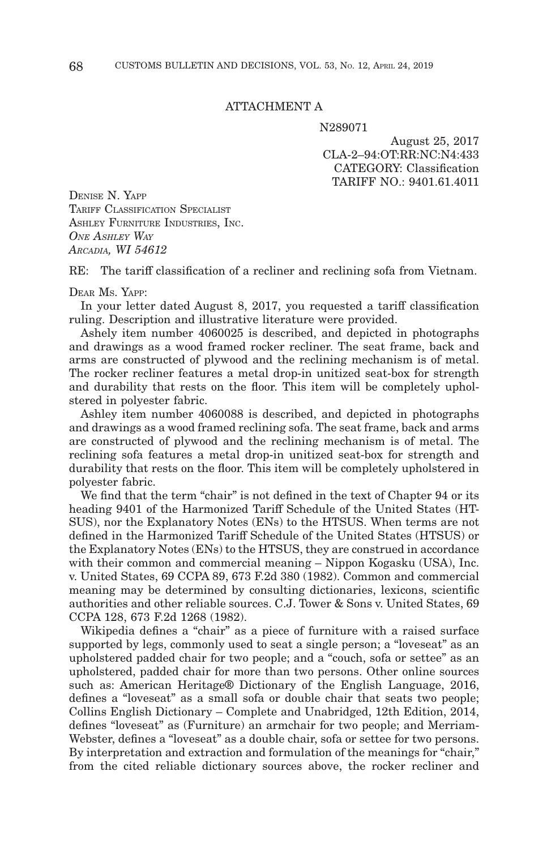### ATTACHMENT A

N289071

August 25, 2017 CLA-2–94:OT:RR:NC:N4:433 CATEGORY: Classification TARIFF NO.: 9401.61.4011

DENISE N. YAPP TARIFF CLASSIFICATION SPECIALIST ASHLEY FURNITURE INDUSTRIES, INC. *ONE ASHLEY WAY ARCADIA, WI 54612*

RE: The tariff classification of a recliner and reclining sofa from Vietnam.

#### DEAR MS. YAPP:

In your letter dated August 8, 2017, you requested a tariff classification ruling. Description and illustrative literature were provided.

Ashely item number 4060025 is described, and depicted in photographs and drawings as a wood framed rocker recliner. The seat frame, back and arms are constructed of plywood and the reclining mechanism is of metal. The rocker recliner features a metal drop-in unitized seat-box for strength and durability that rests on the floor. This item will be completely upholstered in polyester fabric.

Ashley item number 4060088 is described, and depicted in photographs and drawings as a wood framed reclining sofa. The seat frame, back and arms are constructed of plywood and the reclining mechanism is of metal. The reclining sofa features a metal drop-in unitized seat-box for strength and durability that rests on the floor. This item will be completely upholstered in polyester fabric.

We find that the term "chair" is not defined in the text of Chapter 94 or its heading 9401 of the Harmonized Tariff Schedule of the United States (HT-SUS), nor the Explanatory Notes (ENs) to the HTSUS. When terms are not defined in the Harmonized Tariff Schedule of the United States (HTSUS) or the Explanatory Notes (ENs) to the HTSUS, they are construed in accordance with their common and commercial meaning – Nippon Kogasku (USA), Inc. v. United States, 69 CCPA 89, 673 F.2d 380 (1982). Common and commercial meaning may be determined by consulting dictionaries, lexicons, scientific authorities and other reliable sources. C.J. Tower & Sons v. United States, 69 CCPA 128, 673 F.2d 1268 (1982).

Wikipedia defines a "chair" as a piece of furniture with a raised surface supported by legs, commonly used to seat a single person; a "loveseat" as an upholstered padded chair for two people; and a "couch, sofa or settee" as an upholstered, padded chair for more than two persons. Other online sources such as: American Heritage® Dictionary of the English Language, 2016, defines a "loveseat" as a small sofa or double chair that seats two people; Collins English Dictionary – Complete and Unabridged, 12th Edition, 2014, defines "loveseat" as (Furniture) an armchair for two people; and Merriam-Webster, defines a "loveseat" as a double chair, sofa or settee for two persons. By interpretation and extraction and formulation of the meanings for "chair," from the cited reliable dictionary sources above, the rocker recliner and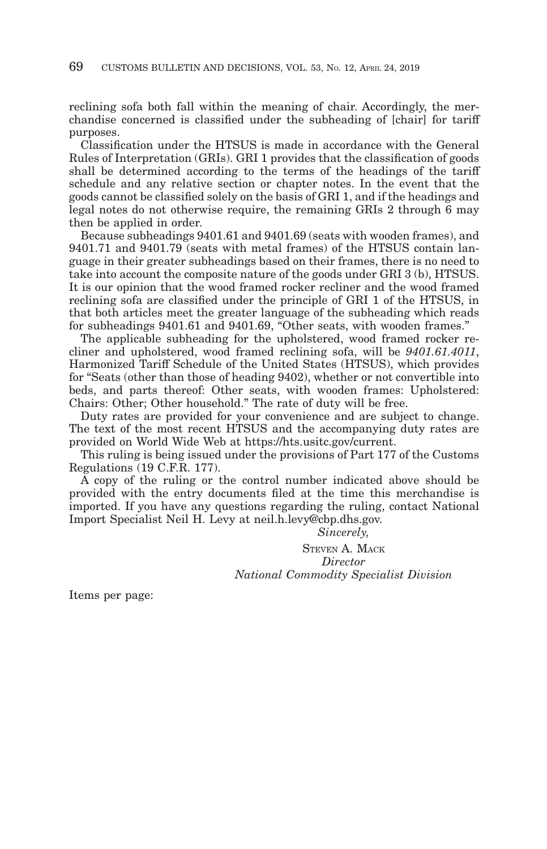reclining sofa both fall within the meaning of chair. Accordingly, the merchandise concerned is classified under the subheading of [chair] for tariff purposes.

Classification under the HTSUS is made in accordance with the General Rules of Interpretation (GRIs). GRI 1 provides that the classification of goods shall be determined according to the terms of the headings of the tariff schedule and any relative section or chapter notes. In the event that the goods cannot be classified solely on the basis of GRI 1, and if the headings and legal notes do not otherwise require, the remaining GRIs 2 through 6 may then be applied in order.

Because subheadings 9401.61 and 9401.69 (seats with wooden frames), and 9401.71 and 9401.79 (seats with metal frames) of the HTSUS contain language in their greater subheadings based on their frames, there is no need to take into account the composite nature of the goods under GRI 3 (b), HTSUS. It is our opinion that the wood framed rocker recliner and the wood framed reclining sofa are classified under the principle of GRI 1 of the HTSUS, in that both articles meet the greater language of the subheading which reads for subheadings 9401.61 and 9401.69, "Other seats, with wooden frames."

The applicable subheading for the upholstered, wood framed rocker recliner and upholstered, wood framed reclining sofa, will be *9401.61.4011*, Harmonized Tariff Schedule of the United States (HTSUS), which provides for "Seats (other than those of heading 9402), whether or not convertible into beds, and parts thereof: Other seats, with wooden frames: Upholstered: Chairs: Other; Other household." The rate of duty will be free.

Duty rates are provided for your convenience and are subject to change. The text of the most recent HTSUS and the accompanying duty rates are provided on World Wide Web at https://hts.usitc.gov/current.

This ruling is being issued under the provisions of Part 177 of the Customs Regulations (19 C.F.R. 177).

A copy of the ruling or the control number indicated above should be provided with the entry documents filed at the time this merchandise is imported. If you have any questions regarding the ruling, contact National Import Specialist Neil H. Levy at neil.h.levy@cbp.dhs.gov.

*Sincerely,*

STEVEN A. MACK *Director National Commodity Specialist Division*

Items per page: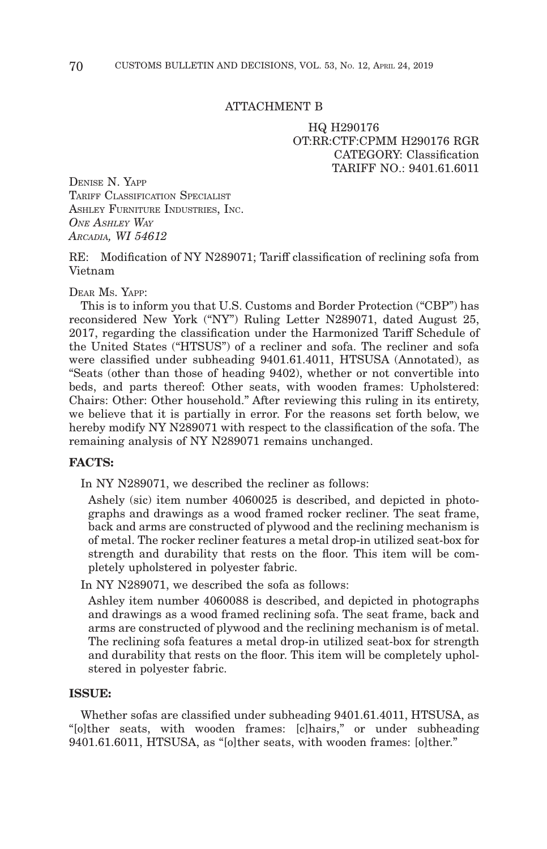### ATTACHMENT B

HQ H290176 OT:RR:CTF:CPMM H290176 RGR CATEGORY: Classification TARIFF NO · 9401 61 6011

DENISE N. YAPP TARIFF CLASSIFICATION SPECIALIST ASHLEY FURNITURE INDUSTRIES, INC. *ONE ASHLEY WAY ARCADIA, WI 54612*

RE: Modification of NY N289071; Tariff classification of reclining sofa from Vietnam

DEAR MS. YAPP:

This is to inform you that U.S. Customs and Border Protection ("CBP") has reconsidered New York ("NY") Ruling Letter N289071, dated August 25, 2017, regarding the classification under the Harmonized Tariff Schedule of the United States ("HTSUS") of a recliner and sofa. The recliner and sofa were classified under subheading 9401.61.4011, HTSUSA (Annotated), as "Seats (other than those of heading 9402), whether or not convertible into beds, and parts thereof: Other seats, with wooden frames: Upholstered: Chairs: Other: Other household." After reviewing this ruling in its entirety, we believe that it is partially in error. For the reasons set forth below, we hereby modify NY N289071 with respect to the classification of the sofa. The remaining analysis of NY N289071 remains unchanged.

## **FACTS:**

In NY N289071, we described the recliner as follows:

Ashely (sic) item number 4060025 is described, and depicted in photographs and drawings as a wood framed rocker recliner. The seat frame, back and arms are constructed of plywood and the reclining mechanism is of metal. The rocker recliner features a metal drop-in utilized seat-box for strength and durability that rests on the floor. This item will be completely upholstered in polyester fabric.

In NY N289071, we described the sofa as follows:

Ashley item number 4060088 is described, and depicted in photographs and drawings as a wood framed reclining sofa. The seat frame, back and arms are constructed of plywood and the reclining mechanism is of metal. The reclining sofa features a metal drop-in utilized seat-box for strength and durability that rests on the floor. This item will be completely upholstered in polyester fabric.

### **ISSUE:**

Whether sofas are classified under subheading 9401.61.4011, HTSUSA, as "[o]ther seats, with wooden frames: [c]hairs," or under subheading 9401.61.6011, HTSUSA, as "[o]ther seats, with wooden frames: [o]ther."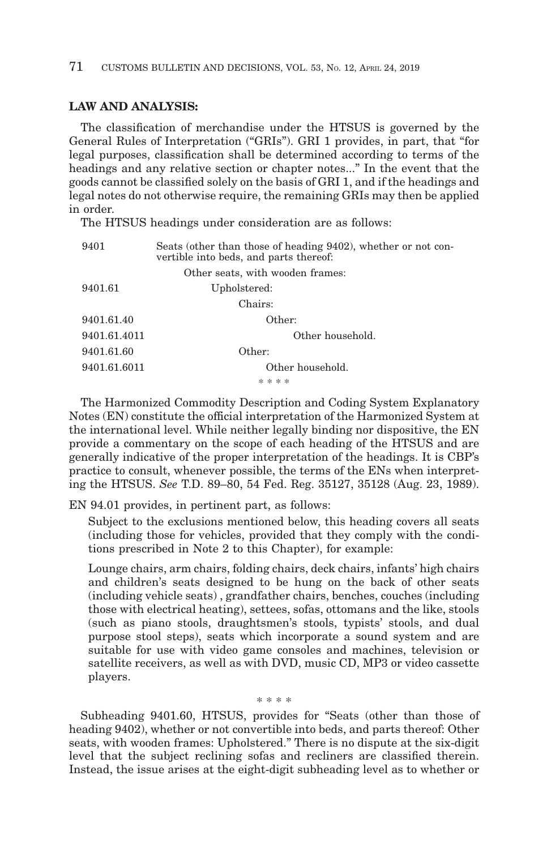## **LAW AND ANALYSIS:**

The classification of merchandise under the HTSUS is governed by the General Rules of Interpretation ("GRIs"). GRI 1 provides, in part, that "for legal purposes, classification shall be determined according to terms of the headings and any relative section or chapter notes..." In the event that the goods cannot be classified solely on the basis of GRI 1, and if the headings and legal notes do not otherwise require, the remaining GRIs may then be applied in order.

The HTSUS headings under consideration are as follows:

| 9401         | Seats (other than those of heading 9402), whether or not con-<br>vertible into beds, and parts thereof: |
|--------------|---------------------------------------------------------------------------------------------------------|
|              | Other seats, with wooden frames:                                                                        |
| 9401.61      | Upholstered:                                                                                            |
|              | Chairs:                                                                                                 |
| 9401.61.40   | Other:                                                                                                  |
| 9401.61.4011 | Other household.                                                                                        |
| 9401.61.60   | Other:                                                                                                  |
| 9401.61.6011 | Other household.                                                                                        |
|              | * * * *                                                                                                 |

The Harmonized Commodity Description and Coding System Explanatory Notes (EN) constitute the official interpretation of the Harmonized System at the international level. While neither legally binding nor dispositive, the EN provide a commentary on the scope of each heading of the HTSUS and are generally indicative of the proper interpretation of the headings. It is CBP's practice to consult, whenever possible, the terms of the ENs when interpreting the HTSUS. *See* T.D. 89–80, 54 Fed. Reg. 35127, 35128 (Aug. 23, 1989).

EN 94.01 provides, in pertinent part, as follows:

Subject to the exclusions mentioned below, this heading covers all seats (including those for vehicles, provided that they comply with the conditions prescribed in Note 2 to this Chapter), for example:

Lounge chairs, arm chairs, folding chairs, deck chairs, infants' high chairs and children's seats designed to be hung on the back of other seats (including vehicle seats) , grandfather chairs, benches, couches (including those with electrical heating), settees, sofas, ottomans and the like, stools (such as piano stools, draughtsmen's stools, typists' stools, and dual purpose stool steps), seats which incorporate a sound system and are suitable for use with video game consoles and machines, television or satellite receivers, as well as with DVD, music CD, MP3 or video cassette players.

Subheading 9401.60, HTSUS, provides for "Seats (other than those of heading 9402), whether or not convertible into beds, and parts thereof: Other seats, with wooden frames: Upholstered." There is no dispute at the six-digit level that the subject reclining sofas and recliners are classified therein. Instead, the issue arises at the eight-digit subheading level as to whether or

\* \* \* \*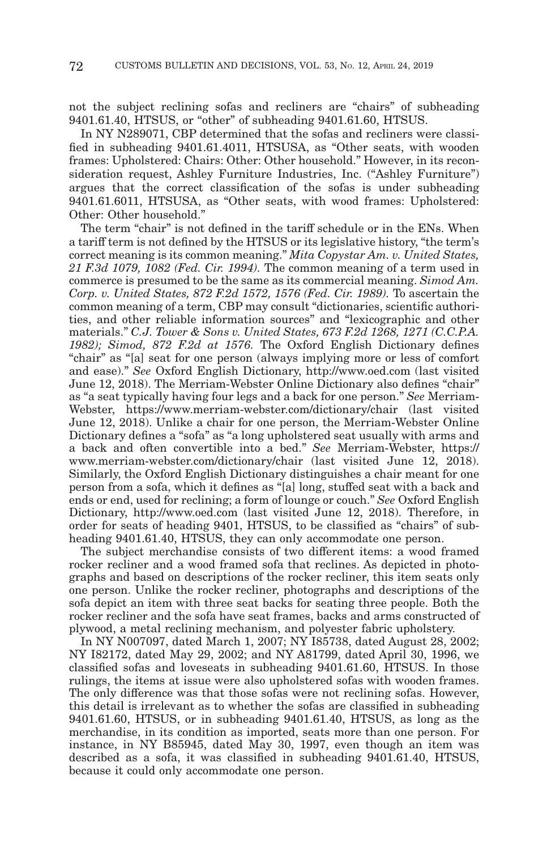not the subject reclining sofas and recliners are "chairs" of subheading 9401.61.40, HTSUS, or "other" of subheading 9401.61.60, HTSUS.

In NY N289071, CBP determined that the sofas and recliners were classified in subheading 9401.61.4011, HTSUSA, as "Other seats, with wooden frames: Upholstered: Chairs: Other: Other household." However, in its reconsideration request, Ashley Furniture Industries, Inc. ("Ashley Furniture") argues that the correct classification of the sofas is under subheading 9401.61.6011, HTSUSA, as "Other seats, with wood frames: Upholstered: Other: Other household."

The term "chair" is not defined in the tariff schedule or in the ENs. When a tariff term is not defined by the HTSUS or its legislative history, "the term's correct meaning is its common meaning." *Mita Copystar Am. v. United States, 21 F.3d 1079, 1082 (Fed. Cir. 1994).* The common meaning of a term used in commerce is presumed to be the same as its commercial meaning. *Simod Am. Corp. v. United States, 872 F.2d 1572, 1576 (Fed. Cir. 1989).* To ascertain the common meaning of a term, CBP may consult "dictionaries, scientific authorities, and other reliable information sources" and "lexicographic and other materials." *C.J. Tower & Sons v. United States, 673 F.2d 1268, 1271 (C.C.P.A. 1982); Simod, 872 F.2d at 1576.* The Oxford English Dictionary defines "chair" as "[a] seat for one person (always implying more or less of comfort and ease)." *See* Oxford English Dictionary, http://www.oed.com (last visited June 12, 2018). The Merriam-Webster Online Dictionary also defines "chair" as "a seat typically having four legs and a back for one person." *See* Merriam-Webster, https://www.merriam-webster.com/dictionary/chair (last visited June 12, 2018). Unlike a chair for one person, the Merriam-Webster Online Dictionary defines a "sofa" as "a long upholstered seat usually with arms and a back and often convertible into a bed." *See* Merriam-Webster, https:// www.merriam-webster.com/dictionary/chair (last visited June 12, 2018). Similarly, the Oxford English Dictionary distinguishes a chair meant for one person from a sofa, which it defines as "[a] long, stuffed seat with a back and ends or end, used for reclining; a form of lounge or couch." *See* Oxford English Dictionary, http://www.oed.com (last visited June 12, 2018). Therefore, in order for seats of heading 9401, HTSUS, to be classified as "chairs" of subheading 9401.61.40, HTSUS, they can only accommodate one person.

The subject merchandise consists of two different items: a wood framed rocker recliner and a wood framed sofa that reclines. As depicted in photographs and based on descriptions of the rocker recliner, this item seats only one person. Unlike the rocker recliner, photographs and descriptions of the sofa depict an item with three seat backs for seating three people. Both the rocker recliner and the sofa have seat frames, backs and arms constructed of plywood, a metal reclining mechanism, and polyester fabric upholstery.

In NY N007097, dated March 1, 2007; NY I85738, dated August 28, 2002; NY I82172, dated May 29, 2002; and NY A81799, dated April 30, 1996, we classified sofas and loveseats in subheading 9401.61.60, HTSUS. In those rulings, the items at issue were also upholstered sofas with wooden frames. The only difference was that those sofas were not reclining sofas. However, this detail is irrelevant as to whether the sofas are classified in subheading 9401.61.60, HTSUS, or in subheading 9401.61.40, HTSUS, as long as the merchandise, in its condition as imported, seats more than one person. For instance, in NY B85945, dated May 30, 1997, even though an item was described as a sofa, it was classified in subheading 9401.61.40, HTSUS, because it could only accommodate one person.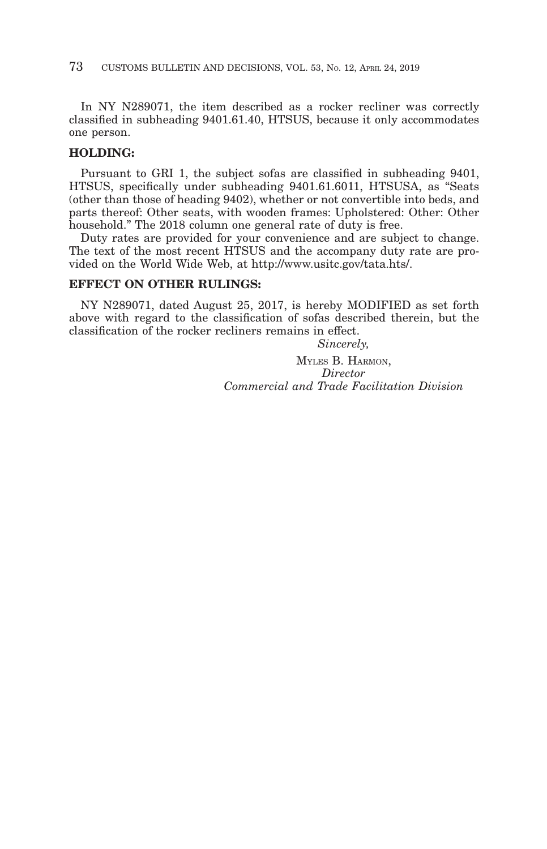In NY N289071, the item described as a rocker recliner was correctly classified in subheading 9401.61.40, HTSUS, because it only accommodates one person.

## **HOLDING:**

Pursuant to GRI 1, the subject sofas are classified in subheading 9401, HTSUS, specifically under subheading 9401.61.6011, HTSUSA, as "Seats (other than those of heading 9402), whether or not convertible into beds, and parts thereof: Other seats, with wooden frames: Upholstered: Other: Other household." The 2018 column one general rate of duty is free.

Duty rates are provided for your convenience and are subject to change. The text of the most recent HTSUS and the accompany duty rate are provided on the World Wide Web, at http://www.usitc.gov/tata.hts/.

## **EFFECT ON OTHER RULINGS:**

NY N289071, dated August 25, 2017, is hereby MODIFIED as set forth above with regard to the classification of sofas described therein, but the classification of the rocker recliners remains in effect.

*Sincerely,*

MYLES B. HARMON, *Director Commercial and Trade Facilitation Division*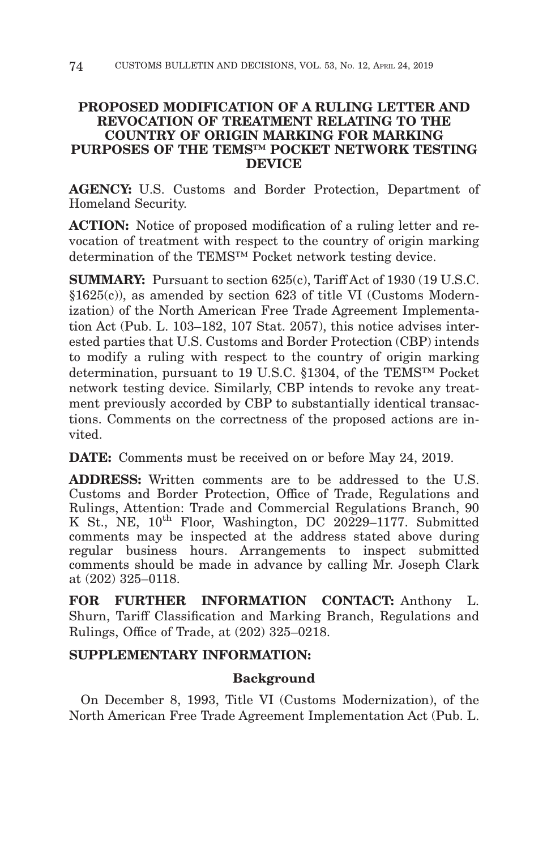# **PROPOSED MODIFICATION OF A RULING LETTER AND REVOCATION OF TREATMENT RELATING TO THE COUNTRY OF ORIGIN MARKING FOR MARKING PURPOSES OF THE TEMS™ POCKET NETWORK TESTING DEVICE**

**AGENCY:** U.S. Customs and Border Protection, Department of Homeland Security.

**ACTION:** Notice of proposed modification of a ruling letter and revocation of treatment with respect to the country of origin marking determination of the TEMS™ Pocket network testing device.

**SUMMARY:** Pursuant to section 625(c), Tariff Act of 1930 (19 U.S.C. §1625(c)), as amended by section 623 of title VI (Customs Modernization) of the North American Free Trade Agreement Implementation Act (Pub. L. 103–182, 107 Stat. 2057), this notice advises interested parties that U.S. Customs and Border Protection (CBP) intends to modify a ruling with respect to the country of origin marking determination, pursuant to 19 U.S.C. §1304, of the TEMS™ Pocket network testing device. Similarly, CBP intends to revoke any treatment previously accorded by CBP to substantially identical transactions. Comments on the correctness of the proposed actions are invited.

**DATE:** Comments must be received on or before May 24, 2019.

**ADDRESS:** Written comments are to be addressed to the U.S. Customs and Border Protection, Office of Trade, Regulations and Rulings, Attention: Trade and Commercial Regulations Branch, 90 K St., NE,  $10^{th}$  Floor, Washington, DC 20229-1177. Submitted comments may be inspected at the address stated above during regular business hours. Arrangements to inspect submitted comments should be made in advance by calling Mr. Joseph Clark at (202) 325–0118.

**FOR FURTHER INFORMATION CONTACT:** Anthony L. Shurn, Tariff Classification and Marking Branch, Regulations and Rulings, Office of Trade, at (202) 325–0218.

# **SUPPLEMENTARY INFORMATION:**

# **Background**

On December 8, 1993, Title VI (Customs Modernization), of the North American Free Trade Agreement Implementation Act (Pub. L.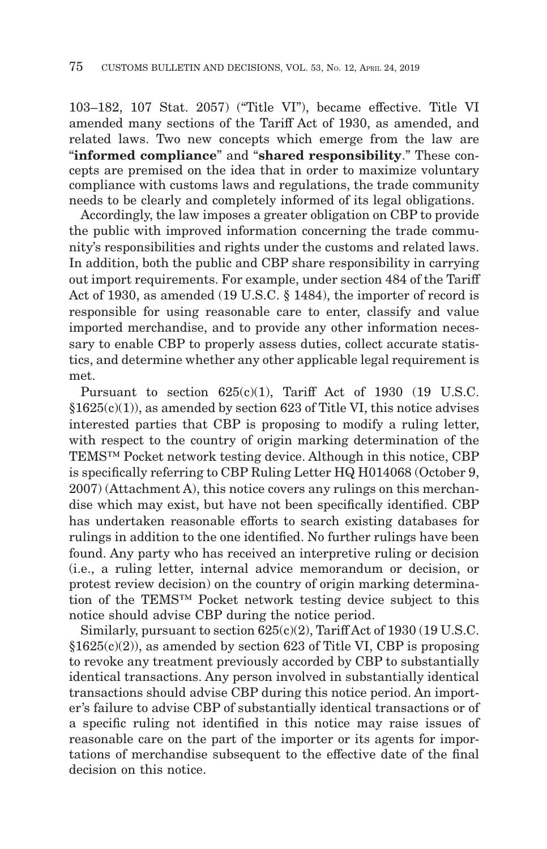103–182, 107 Stat. 2057) ("Title VI"), became effective. Title VI amended many sections of the Tariff Act of 1930, as amended, and related laws. Two new concepts which emerge from the law are "**informed compliance**" and "**shared responsibility**." These concepts are premised on the idea that in order to maximize voluntary compliance with customs laws and regulations, the trade community needs to be clearly and completely informed of its legal obligations.

Accordingly, the law imposes a greater obligation on CBP to provide the public with improved information concerning the trade community's responsibilities and rights under the customs and related laws. In addition, both the public and CBP share responsibility in carrying out import requirements. For example, under section 484 of the Tariff Act of 1930, as amended (19 U.S.C. § 1484), the importer of record is responsible for using reasonable care to enter, classify and value imported merchandise, and to provide any other information necessary to enable CBP to properly assess duties, collect accurate statistics, and determine whether any other applicable legal requirement is met.

Pursuant to section 625(c)(1), Tariff Act of 1930 (19 U.S.C.  $§1625(c)(1)$ , as amended by section 623 of Title VI, this notice advises interested parties that CBP is proposing to modify a ruling letter, with respect to the country of origin marking determination of the TEMS™ Pocket network testing device. Although in this notice, CBP is specifically referring to CBP Ruling Letter HQ H014068 (October 9, 2007) (Attachment A), this notice covers any rulings on this merchandise which may exist, but have not been specifically identified. CBP has undertaken reasonable efforts to search existing databases for rulings in addition to the one identified. No further rulings have been found. Any party who has received an interpretive ruling or decision (i.e., a ruling letter, internal advice memorandum or decision, or protest review decision) on the country of origin marking determination of the TEMS™ Pocket network testing device subject to this notice should advise CBP during the notice period.

Similarly, pursuant to section 625(c)(2), Tariff Act of 1930 (19 U.S.C.  $§1625(c)(2)$ , as amended by section 623 of Title VI, CBP is proposing to revoke any treatment previously accorded by CBP to substantially identical transactions. Any person involved in substantially identical transactions should advise CBP during this notice period. An importer's failure to advise CBP of substantially identical transactions or of a specific ruling not identified in this notice may raise issues of reasonable care on the part of the importer or its agents for importations of merchandise subsequent to the effective date of the final decision on this notice.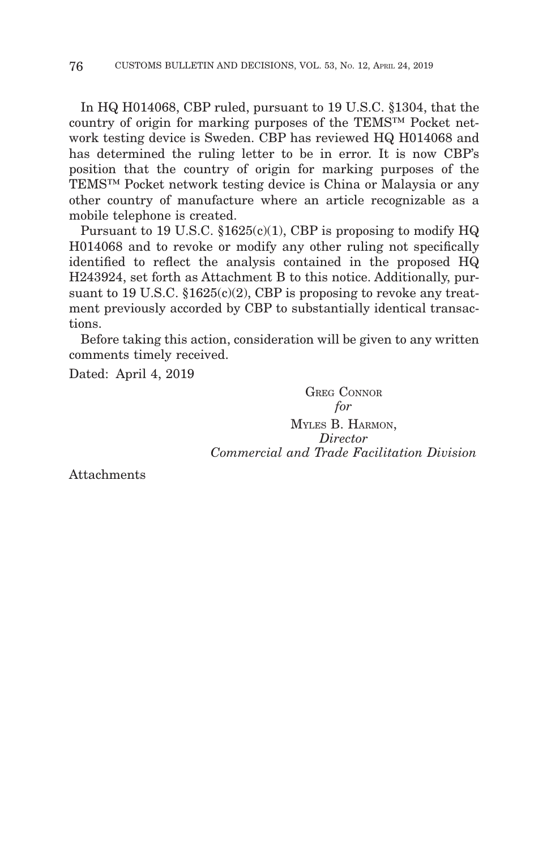In HQ H014068, CBP ruled, pursuant to 19 U.S.C. §1304, that the country of origin for marking purposes of the TEMS™ Pocket network testing device is Sweden. CBP has reviewed HQ H014068 and has determined the ruling letter to be in error. It is now CBP's position that the country of origin for marking purposes of the TEMS™ Pocket network testing device is China or Malaysia or any other country of manufacture where an article recognizable as a mobile telephone is created.

Pursuant to 19 U.S.C.  $$1625(c)(1)$ , CBP is proposing to modify HQ H014068 and to revoke or modify any other ruling not specifically identified to reflect the analysis contained in the proposed HQ H243924, set forth as Attachment B to this notice. Additionally, pursuant to 19 U.S.C.  $$1625(c)(2)$ , CBP is proposing to revoke any treatment previously accorded by CBP to substantially identical transactions.

Before taking this action, consideration will be given to any written comments timely received.

Dated: April 4, 2019

GREG CONNOR *for* MYLES B. HARMON, *Director Commercial and Trade Facilitation Division*

Attachments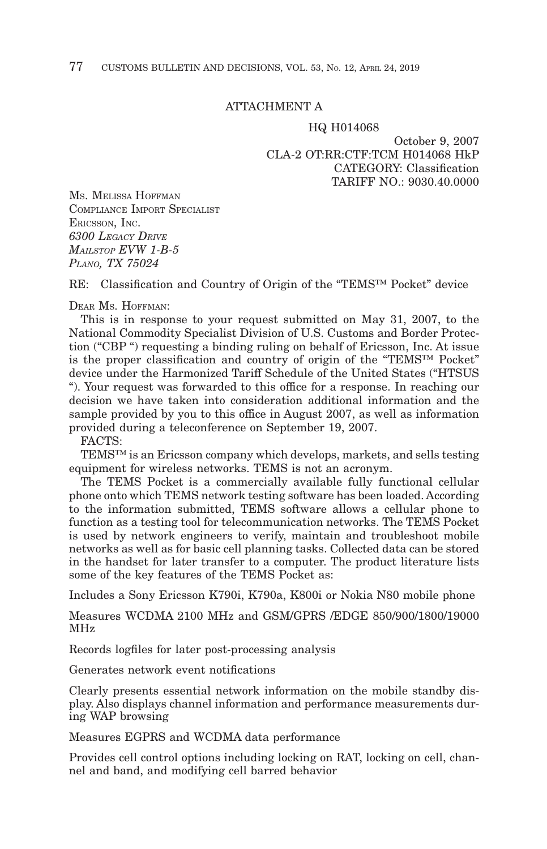## ATTACHMENT A

#### HQ H014068

October 9, 2007 CLA-2 OT:RR:CTF:TCM H014068 HkP CATEGORY: Classification TARIFF NO.: 9030.40.0000

MS. MELISSA HOFFMAN COMPLIANCE IMPORT SPECIALIST ERICSSON, INC. *6300 LEGACY DRIVE MAILSTOP EVW 1-B-5 PLANO, TX 75024*

RE: Classification and Country of Origin of the "TEMS™ Pocket" device

DEAR MS. HOFFMAN:

This is in response to your request submitted on May 31, 2007, to the National Commodity Specialist Division of U.S. Customs and Border Protection ("CBP ") requesting a binding ruling on behalf of Ericsson, Inc. At issue is the proper classification and country of origin of the "TEMS™ Pocket" device under the Harmonized Tariff Schedule of the United States ("HTSUS "). Your request was forwarded to this office for a response. In reaching our decision we have taken into consideration additional information and the sample provided by you to this office in August 2007, as well as information provided during a teleconference on September 19, 2007.

FACTS:

TEMS™ is an Ericsson company which develops, markets, and sells testing equipment for wireless networks. TEMS is not an acronym.

The TEMS Pocket is a commercially available fully functional cellular phone onto which TEMS network testing software has been loaded. According to the information submitted, TEMS software allows a cellular phone to function as a testing tool for telecommunication networks. The TEMS Pocket is used by network engineers to verify, maintain and troubleshoot mobile networks as well as for basic cell planning tasks. Collected data can be stored in the handset for later transfer to a computer. The product literature lists some of the key features of the TEMS Pocket as:

Includes a Sony Ericsson K790i, K790a, K800i or Nokia N80 mobile phone

Measures WCDMA 2100 MHz and GSM/GPRS /EDGE 850/900/1800/19000 MHz

Records logfiles for later post-processing analysis

Generates network event notifications

Clearly presents essential network information on the mobile standby display. Also displays channel information and performance measurements during WAP browsing

Measures EGPRS and WCDMA data performance

Provides cell control options including locking on RAT, locking on cell, channel and band, and modifying cell barred behavior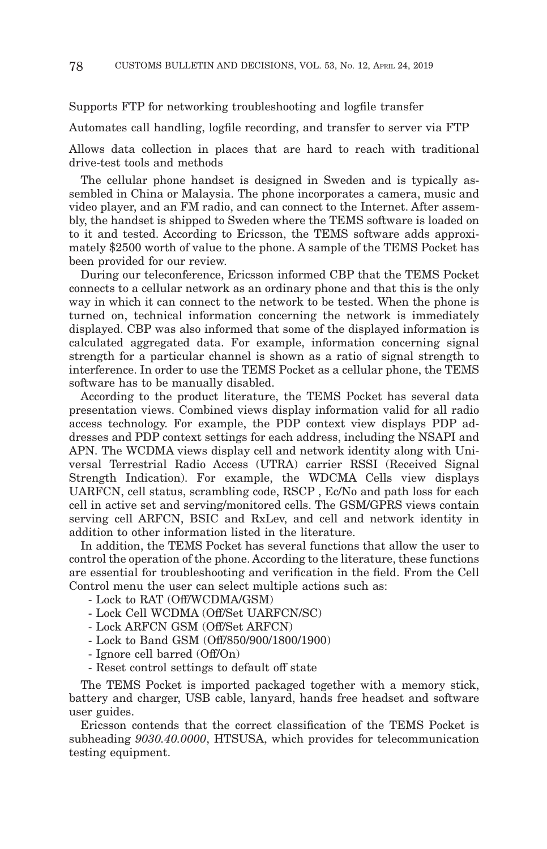#### Supports FTP for networking troubleshooting and logfile transfer

Automates call handling, logfile recording, and transfer to server via FTP

Allows data collection in places that are hard to reach with traditional drive-test tools and methods

The cellular phone handset is designed in Sweden and is typically assembled in China or Malaysia. The phone incorporates a camera, music and video player, and an FM radio, and can connect to the Internet. After assembly, the handset is shipped to Sweden where the TEMS software is loaded on to it and tested. According to Ericsson, the TEMS software adds approximately \$2500 worth of value to the phone. A sample of the TEMS Pocket has been provided for our review.

During our teleconference, Ericsson informed CBP that the TEMS Pocket connects to a cellular network as an ordinary phone and that this is the only way in which it can connect to the network to be tested. When the phone is turned on, technical information concerning the network is immediately displayed. CBP was also informed that some of the displayed information is calculated aggregated data. For example, information concerning signal strength for a particular channel is shown as a ratio of signal strength to interference. In order to use the TEMS Pocket as a cellular phone, the TEMS software has to be manually disabled.

According to the product literature, the TEMS Pocket has several data presentation views. Combined views display information valid for all radio access technology. For example, the PDP context view displays PDP addresses and PDP context settings for each address, including the NSAPI and APN. The WCDMA views display cell and network identity along with Universal Terrestrial Radio Access (UTRA) carrier RSSI (Received Signal Strength Indication). For example, the WDCMA Cells view displays UARFCN, cell status, scrambling code, RSCP , Ec/No and path loss for each cell in active set and serving/monitored cells. The GSM/GPRS views contain serving cell ARFCN, BSIC and RxLev, and cell and network identity in addition to other information listed in the literature.

In addition, the TEMS Pocket has several functions that allow the user to control the operation of the phone. According to the literature, these functions are essential for troubleshooting and verification in the field. From the Cell Control menu the user can select multiple actions such as:

- Lock to RAT (Off/WCDMA/GSM)
- Lock Cell WCDMA (Off/Set UARFCN/SC)
- Lock ARFCN GSM (Off/Set ARFCN)
- Lock to Band GSM (Off/850/900/1800/1900)
- Ignore cell barred (Off/On)
- Reset control settings to default off state

The TEMS Pocket is imported packaged together with a memory stick, battery and charger, USB cable, lanyard, hands free headset and software user guides.

Ericsson contends that the correct classification of the TEMS Pocket is subheading *9030.40.0000*, HTSUSA, which provides for telecommunication testing equipment.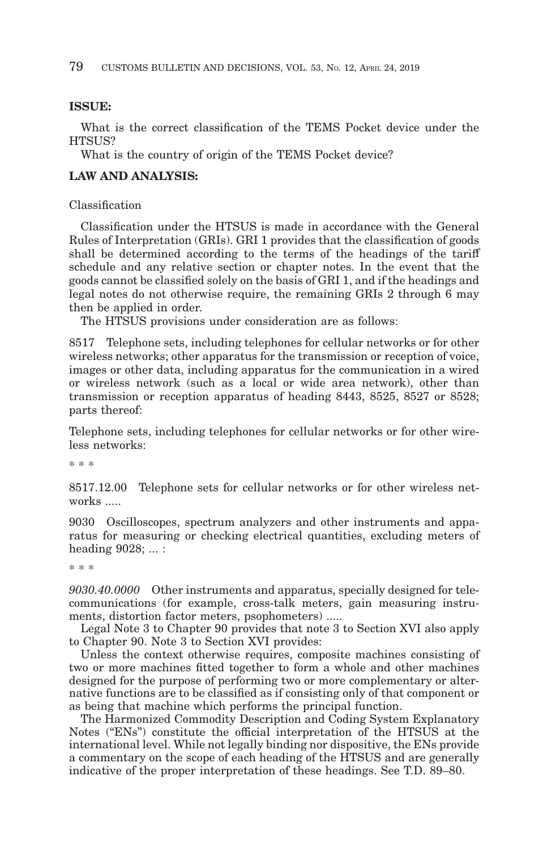#### **ISSUE:**

What is the correct classification of the TEMS Pocket device under the HTSUS?

What is the country of origin of the TEMS Pocket device?

# **LAW AND ANALYSIS:**

## Classification

Classification under the HTSUS is made in accordance with the General Rules of Interpretation (GRIs). GRI 1 provides that the classification of goods shall be determined according to the terms of the headings of the tariff schedule and any relative section or chapter notes. In the event that the goods cannot be classified solely on the basis of GRI 1, and if the headings and legal notes do not otherwise require, the remaining GRIs 2 through 6 may then be applied in order.

The HTSUS provisions under consideration are as follows:

8517 Telephone sets, including telephones for cellular networks or for other wireless networks; other apparatus for the transmission or reception of voice, images or other data, including apparatus for the communication in a wired or wireless network (such as a local or wide area network), other than transmission or reception apparatus of heading 8443, 8525, 8527 or 8528; parts thereof:

Telephone sets, including telephones for cellular networks or for other wireless networks:

\* \* \*

8517.12.00 Telephone sets for cellular networks or for other wireless networks .....

9030 Oscilloscopes, spectrum analyzers and other instruments and apparatus for measuring or checking electrical quantities, excluding meters of heading 9028; ... :

\* \* \*

*9030.40.0000* Other instruments and apparatus, specially designed for telecommunications (for example, cross-talk meters, gain measuring instruments, distortion factor meters, psophometers) .....

Legal Note 3 to Chapter 90 provides that note 3 to Section XVI also apply to Chapter 90. Note 3 to Section XVI provides:

Unless the context otherwise requires, composite machines consisting of two or more machines fitted together to form a whole and other machines designed for the purpose of performing two or more complementary or alternative functions are to be classified as if consisting only of that component or as being that machine which performs the principal function.

The Harmonized Commodity Description and Coding System Explanatory Notes ("ENs") constitute the official interpretation of the HTSUS at the international level. While not legally binding nor dispositive, the ENs provide a commentary on the scope of each heading of the HTSUS and are generally indicative of the proper interpretation of these headings. See T.D. 89–80.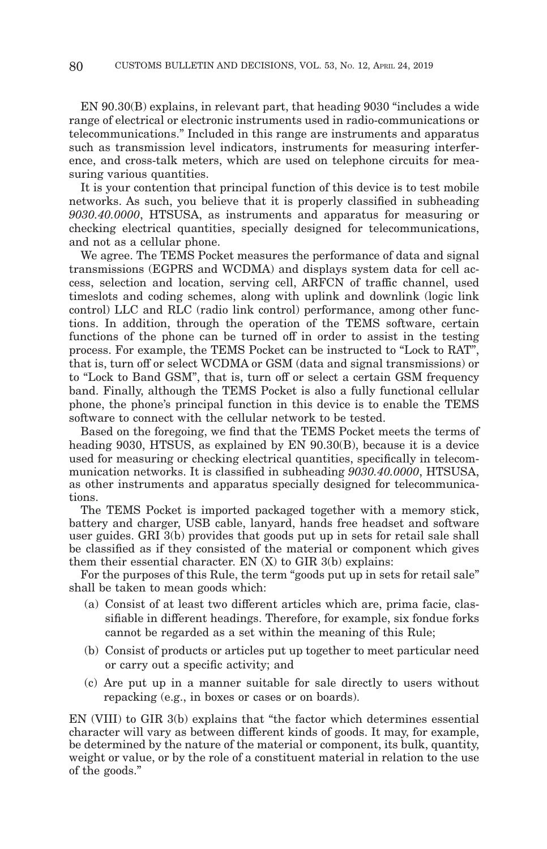EN 90.30(B) explains, in relevant part, that heading 9030 "includes a wide range of electrical or electronic instruments used in radio-communications or telecommunications." Included in this range are instruments and apparatus such as transmission level indicators, instruments for measuring interference, and cross-talk meters, which are used on telephone circuits for measuring various quantities.

It is your contention that principal function of this device is to test mobile networks. As such, you believe that it is properly classified in subheading *9030.40.0000*, HTSUSA, as instruments and apparatus for measuring or checking electrical quantities, specially designed for telecommunications, and not as a cellular phone.

We agree. The TEMS Pocket measures the performance of data and signal transmissions (EGPRS and WCDMA) and displays system data for cell access, selection and location, serving cell, ARFCN of traffic channel, used timeslots and coding schemes, along with uplink and downlink (logic link control) LLC and RLC (radio link control) performance, among other functions. In addition, through the operation of the TEMS software, certain functions of the phone can be turned off in order to assist in the testing process. For example, the TEMS Pocket can be instructed to "Lock to RAT", that is, turn off or select WCDMA or GSM (data and signal transmissions) or to "Lock to Band GSM", that is, turn off or select a certain GSM frequency band. Finally, although the TEMS Pocket is also a fully functional cellular phone, the phone's principal function in this device is to enable the TEMS software to connect with the cellular network to be tested.

Based on the foregoing, we find that the TEMS Pocket meets the terms of heading 9030, HTSUS, as explained by EN 90.30(B), because it is a device used for measuring or checking electrical quantities, specifically in telecommunication networks. It is classified in subheading *9030.40.0000*, HTSUSA, as other instruments and apparatus specially designed for telecommunications.

The TEMS Pocket is imported packaged together with a memory stick, battery and charger, USB cable, lanyard, hands free headset and software user guides. GRI 3(b) provides that goods put up in sets for retail sale shall be classified as if they consisted of the material or component which gives them their essential character. EN  $(X)$  to GIR  $3(b)$  explains:

For the purposes of this Rule, the term "goods put up in sets for retail sale" shall be taken to mean goods which:

- (a) Consist of at least two different articles which are, prima facie, classifiable in different headings. Therefore, for example, six fondue forks cannot be regarded as a set within the meaning of this Rule;
- (b) Consist of products or articles put up together to meet particular need or carry out a specific activity; and
- (c) Are put up in a manner suitable for sale directly to users without repacking (e.g., in boxes or cases or on boards).

EN (VIII) to GIR 3(b) explains that "the factor which determines essential character will vary as between different kinds of goods. It may, for example, be determined by the nature of the material or component, its bulk, quantity, weight or value, or by the role of a constituent material in relation to the use of the goods."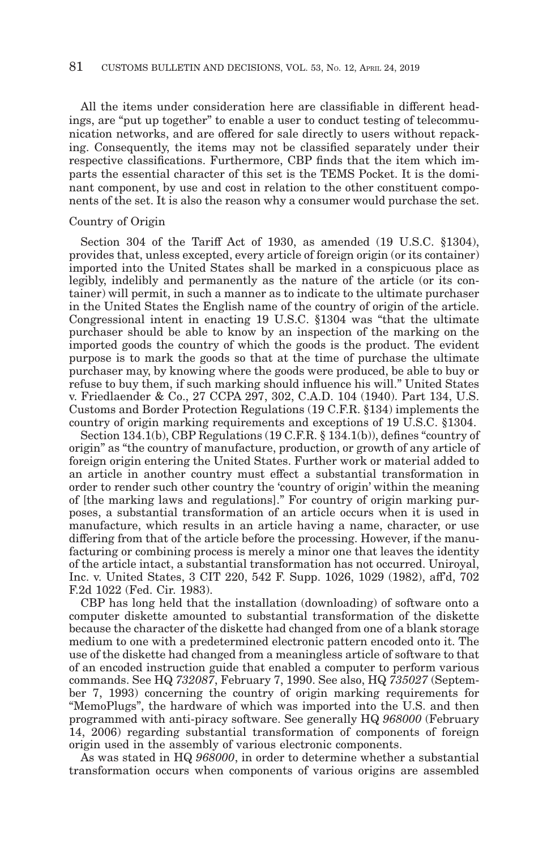All the items under consideration here are classifiable in different headings, are "put up together" to enable a user to conduct testing of telecommunication networks, and are offered for sale directly to users without repacking. Consequently, the items may not be classified separately under their respective classifications. Furthermore, CBP finds that the item which imparts the essential character of this set is the TEMS Pocket. It is the dominant component, by use and cost in relation to the other constituent components of the set. It is also the reason why a consumer would purchase the set.

#### Country of Origin

Section 304 of the Tariff Act of 1930, as amended (19 U.S.C. §1304), provides that, unless excepted, every article of foreign origin (or its container) imported into the United States shall be marked in a conspicuous place as legibly, indelibly and permanently as the nature of the article (or its container) will permit, in such a manner as to indicate to the ultimate purchaser in the United States the English name of the country of origin of the article. Congressional intent in enacting 19 U.S.C. §1304 was "that the ultimate purchaser should be able to know by an inspection of the marking on the imported goods the country of which the goods is the product. The evident purpose is to mark the goods so that at the time of purchase the ultimate purchaser may, by knowing where the goods were produced, be able to buy or refuse to buy them, if such marking should influence his will." United States v. Friedlaender & Co., 27 CCPA 297, 302, C.A.D. 104 (1940). Part 134, U.S. Customs and Border Protection Regulations (19 C.F.R. §134) implements the country of origin marking requirements and exceptions of 19 U.S.C. §1304.

Section 134.1(b), CBP Regulations (19 C.F.R. § 134.1(b)), defines "country of origin" as "the country of manufacture, production, or growth of any article of foreign origin entering the United States. Further work or material added to an article in another country must effect a substantial transformation in order to render such other country the 'country of origin' within the meaning of [the marking laws and regulations]." For country of origin marking purposes, a substantial transformation of an article occurs when it is used in manufacture, which results in an article having a name, character, or use differing from that of the article before the processing. However, if the manufacturing or combining process is merely a minor one that leaves the identity of the article intact, a substantial transformation has not occurred. Uniroyal, Inc. v. United States, 3 CIT 220, 542 F. Supp. 1026, 1029 (1982), aff'd, 702 F.2d 1022 (Fed. Cir. 1983).

CBP has long held that the installation (downloading) of software onto a computer diskette amounted to substantial transformation of the diskette because the character of the diskette had changed from one of a blank storage medium to one with a predetermined electronic pattern encoded onto it. The use of the diskette had changed from a meaningless article of software to that of an encoded instruction guide that enabled a computer to perform various commands. See HQ *732087*, February 7, 1990. See also, HQ *735027* (September 7, 1993) concerning the country of origin marking requirements for "MemoPlugs", the hardware of which was imported into the U.S. and then programmed with anti-piracy software. See generally HQ *968000* (February 14, 2006) regarding substantial transformation of components of foreign origin used in the assembly of various electronic components.

As was stated in HQ *968000*, in order to determine whether a substantial transformation occurs when components of various origins are assembled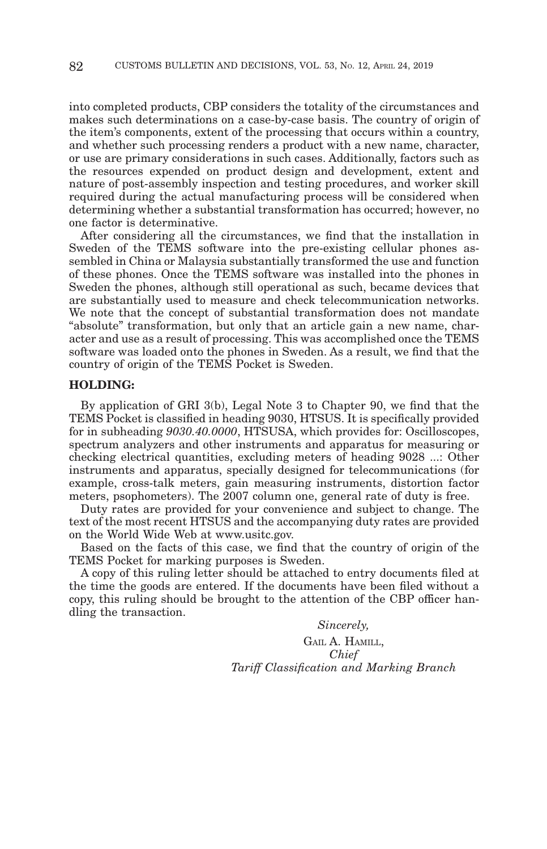into completed products, CBP considers the totality of the circumstances and makes such determinations on a case-by-case basis. The country of origin of the item's components, extent of the processing that occurs within a country, and whether such processing renders a product with a new name, character, or use are primary considerations in such cases. Additionally, factors such as the resources expended on product design and development, extent and nature of post-assembly inspection and testing procedures, and worker skill required during the actual manufacturing process will be considered when determining whether a substantial transformation has occurred; however, no one factor is determinative.

After considering all the circumstances, we find that the installation in Sweden of the TEMS software into the pre-existing cellular phones assembled in China or Malaysia substantially transformed the use and function of these phones. Once the TEMS software was installed into the phones in Sweden the phones, although still operational as such, became devices that are substantially used to measure and check telecommunication networks. We note that the concept of substantial transformation does not mandate "absolute" transformation, but only that an article gain a new name, character and use as a result of processing. This was accomplished once the TEMS software was loaded onto the phones in Sweden. As a result, we find that the country of origin of the TEMS Pocket is Sweden.

#### **HOLDING:**

By application of GRI 3(b), Legal Note 3 to Chapter 90, we find that the TEMS Pocket is classified in heading 9030, HTSUS. It is specifically provided for in subheading *9030.40.0000*, HTSUSA, which provides for: Oscilloscopes, spectrum analyzers and other instruments and apparatus for measuring or checking electrical quantities, excluding meters of heading 9028 ...: Other instruments and apparatus, specially designed for telecommunications (for example, cross-talk meters, gain measuring instruments, distortion factor meters, psophometers). The 2007 column one, general rate of duty is free.

Duty rates are provided for your convenience and subject to change. The text of the most recent HTSUS and the accompanying duty rates are provided on the World Wide Web at www.usitc.gov.

Based on the facts of this case, we find that the country of origin of the TEMS Pocket for marking purposes is Sweden.

A copy of this ruling letter should be attached to entry documents filed at the time the goods are entered. If the documents have been filed without a copy, this ruling should be brought to the attention of the CBP officer handling the transaction.

> *Sincerely,* GAIL A. HAMILL, *Chief Tariff Classification and Marking Branch*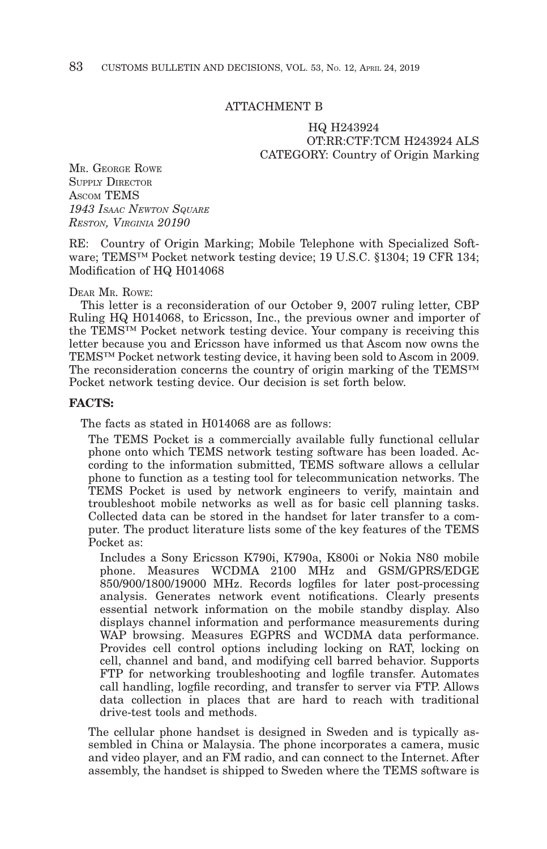#### ATTACHMENT B

## HQ H243924 OT:RR:CTF:TCM H243924 ALS CATEGORY: Country of Origin Marking

MR. GEORGE ROWE **SUPPLY DIRECTOR** ASCOM TEMS *1943 ISAAC NEWTON SQUARE RESTON, VIRGINIA 20190*

RE: Country of Origin Marking; Mobile Telephone with Specialized Software; TEMS™ Pocket network testing device; 19 U.S.C. §1304; 19 CFR 134; Modification of HQ H014068

#### DEAR MR. ROWE:

This letter is a reconsideration of our October 9, 2007 ruling letter, CBP Ruling HQ H014068, to Ericsson, Inc., the previous owner and importer of the TEMS™ Pocket network testing device. Your company is receiving this letter because you and Ericsson have informed us that Ascom now owns the TEMS™ Pocket network testing device, it having been sold to Ascom in 2009. The reconsideration concerns the country of origin marking of the TEMS™ Pocket network testing device. Our decision is set forth below.

#### **FACTS:**

The facts as stated in H014068 are as follows:

The TEMS Pocket is a commercially available fully functional cellular phone onto which TEMS network testing software has been loaded. According to the information submitted, TEMS software allows a cellular phone to function as a testing tool for telecommunication networks. The TEMS Pocket is used by network engineers to verify, maintain and troubleshoot mobile networks as well as for basic cell planning tasks. Collected data can be stored in the handset for later transfer to a computer. The product literature lists some of the key features of the TEMS Pocket as:

Includes a Sony Ericsson K790i, K790a, K800i or Nokia N80 mobile phone. Measures WCDMA 2100 MHz and GSM/GPRS/EDGE 850/900/1800/19000 MHz. Records logfiles for later post-processing analysis. Generates network event notifications. Clearly presents essential network information on the mobile standby display. Also displays channel information and performance measurements during WAP browsing. Measures EGPRS and WCDMA data performance. Provides cell control options including locking on RAT, locking on cell, channel and band, and modifying cell barred behavior. Supports FTP for networking troubleshooting and logfile transfer. Automates call handling, logfile recording, and transfer to server via FTP. Allows data collection in places that are hard to reach with traditional drive-test tools and methods.

The cellular phone handset is designed in Sweden and is typically assembled in China or Malaysia. The phone incorporates a camera, music and video player, and an FM radio, and can connect to the Internet. After assembly, the handset is shipped to Sweden where the TEMS software is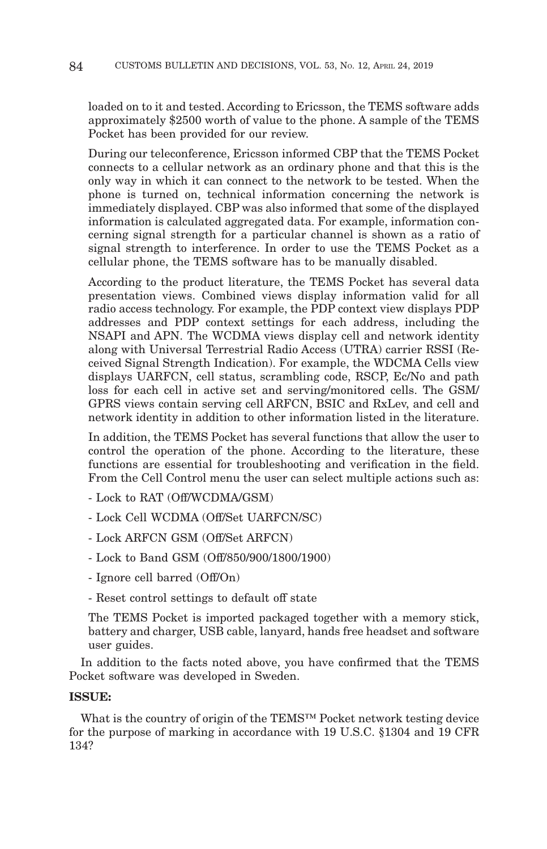loaded on to it and tested. According to Ericsson, the TEMS software adds approximately \$2500 worth of value to the phone. A sample of the TEMS Pocket has been provided for our review.

During our teleconference, Ericsson informed CBP that the TEMS Pocket connects to a cellular network as an ordinary phone and that this is the only way in which it can connect to the network to be tested. When the phone is turned on, technical information concerning the network is immediately displayed. CBP was also informed that some of the displayed information is calculated aggregated data. For example, information concerning signal strength for a particular channel is shown as a ratio of signal strength to interference. In order to use the TEMS Pocket as a cellular phone, the TEMS software has to be manually disabled.

According to the product literature, the TEMS Pocket has several data presentation views. Combined views display information valid for all radio access technology. For example, the PDP context view displays PDP addresses and PDP context settings for each address, including the NSAPI and APN. The WCDMA views display cell and network identity along with Universal Terrestrial Radio Access (UTRA) carrier RSSI (Received Signal Strength Indication). For example, the WDCMA Cells view displays UARFCN, cell status, scrambling code, RSCP, Ec/No and path loss for each cell in active set and serving/monitored cells. The GSM/ GPRS views contain serving cell ARFCN, BSIC and RxLev, and cell and network identity in addition to other information listed in the literature.

In addition, the TEMS Pocket has several functions that allow the user to control the operation of the phone. According to the literature, these functions are essential for troubleshooting and verification in the field. From the Cell Control menu the user can select multiple actions such as:

- Lock to RAT (Off/WCDMA/GSM)

- Lock Cell WCDMA (Off/Set UARFCN/SC)

- Lock ARFCN GSM (Off/Set ARFCN)

- Lock to Band GSM (Off/850/900/1800/1900)

- Ignore cell barred (Off/On)

- Reset control settings to default off state

The TEMS Pocket is imported packaged together with a memory stick, battery and charger, USB cable, lanyard, hands free headset and software user guides.

In addition to the facts noted above, you have confirmed that the TEMS Pocket software was developed in Sweden.

## **ISSUE:**

What is the country of origin of the TEMS™ Pocket network testing device for the purpose of marking in accordance with 19 U.S.C. §1304 and 19 CFR 134?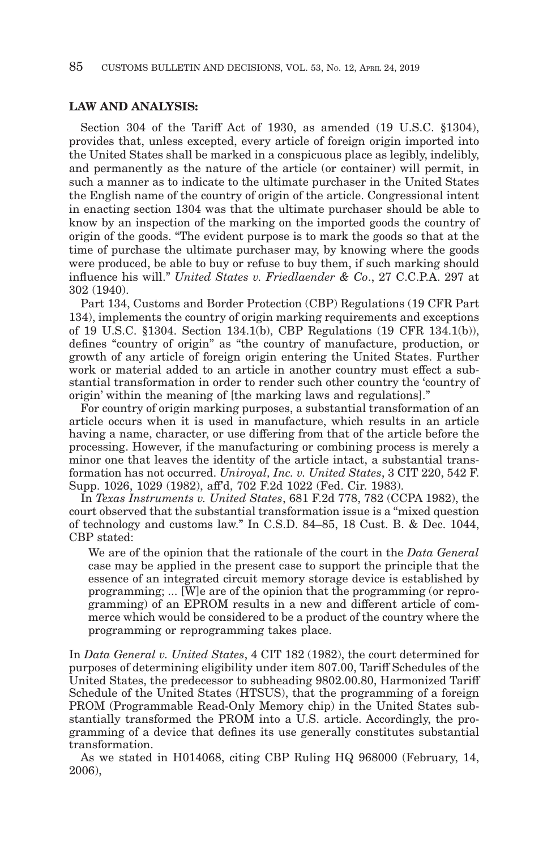## **LAW AND ANALYSIS:**

Section 304 of the Tariff Act of 1930, as amended (19 U.S.C. §1304), provides that, unless excepted, every article of foreign origin imported into the United States shall be marked in a conspicuous place as legibly, indelibly, and permanently as the nature of the article (or container) will permit, in such a manner as to indicate to the ultimate purchaser in the United States the English name of the country of origin of the article. Congressional intent in enacting section 1304 was that the ultimate purchaser should be able to know by an inspection of the marking on the imported goods the country of origin of the goods. "The evident purpose is to mark the goods so that at the time of purchase the ultimate purchaser may, by knowing where the goods were produced, be able to buy or refuse to buy them, if such marking should influence his will." *United States v. Friedlaender & Co*., 27 C.C.P.A. 297 at 302 (1940).

Part 134, Customs and Border Protection (CBP) Regulations (19 CFR Part 134), implements the country of origin marking requirements and exceptions of 19 U.S.C. §1304. Section 134.1(b), CBP Regulations (19 CFR 134.1(b)), defines "country of origin" as "the country of manufacture, production, or growth of any article of foreign origin entering the United States. Further work or material added to an article in another country must effect a substantial transformation in order to render such other country the 'country of origin' within the meaning of [the marking laws and regulations]."

For country of origin marking purposes, a substantial transformation of an article occurs when it is used in manufacture, which results in an article having a name, character, or use differing from that of the article before the processing. However, if the manufacturing or combining process is merely a minor one that leaves the identity of the article intact, a substantial transformation has not occurred. *Uniroyal, Inc. v. United States*, 3 CIT 220, 542 F. Supp. 1026, 1029 (1982), aff'd, 702 F.2d 1022 (Fed. Cir. 1983).

In *Texas Instruments v. United States*, 681 F.2d 778, 782 (CCPA 1982), the court observed that the substantial transformation issue is a "mixed question of technology and customs law." In C.S.D. 84–85, 18 Cust. B. & Dec. 1044, CBP stated:

We are of the opinion that the rationale of the court in the *Data General* case may be applied in the present case to support the principle that the essence of an integrated circuit memory storage device is established by programming; ... [W]e are of the opinion that the programming (or reprogramming) of an EPROM results in a new and different article of commerce which would be considered to be a product of the country where the programming or reprogramming takes place.

In *Data General v. United States*, 4 CIT 182 (1982), the court determined for purposes of determining eligibility under item 807.00, Tariff Schedules of the United States, the predecessor to subheading 9802.00.80, Harmonized Tariff Schedule of the United States (HTSUS), that the programming of a foreign PROM (Programmable Read-Only Memory chip) in the United States substantially transformed the PROM into a U.S. article. Accordingly, the programming of a device that defines its use generally constitutes substantial transformation.

As we stated in H014068, citing CBP Ruling HQ 968000 (February, 14, 2006),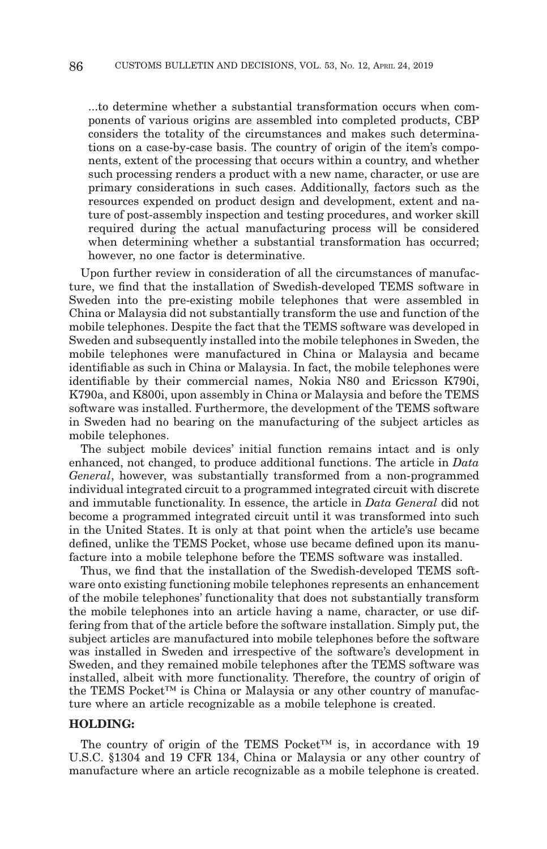...to determine whether a substantial transformation occurs when components of various origins are assembled into completed products, CBP considers the totality of the circumstances and makes such determinations on a case-by-case basis. The country of origin of the item's components, extent of the processing that occurs within a country, and whether such processing renders a product with a new name, character, or use are primary considerations in such cases. Additionally, factors such as the resources expended on product design and development, extent and nature of post-assembly inspection and testing procedures, and worker skill required during the actual manufacturing process will be considered when determining whether a substantial transformation has occurred; however, no one factor is determinative.

Upon further review in consideration of all the circumstances of manufacture, we find that the installation of Swedish-developed TEMS software in Sweden into the pre-existing mobile telephones that were assembled in China or Malaysia did not substantially transform the use and function of the mobile telephones. Despite the fact that the TEMS software was developed in Sweden and subsequently installed into the mobile telephones in Sweden, the mobile telephones were manufactured in China or Malaysia and became identifiable as such in China or Malaysia. In fact, the mobile telephones were identifiable by their commercial names, Nokia N80 and Ericsson K790i, K790a, and K800i, upon assembly in China or Malaysia and before the TEMS software was installed. Furthermore, the development of the TEMS software in Sweden had no bearing on the manufacturing of the subject articles as mobile telephones.

The subject mobile devices' initial function remains intact and is only enhanced, not changed, to produce additional functions. The article in *Data General*, however, was substantially transformed from a non-programmed individual integrated circuit to a programmed integrated circuit with discrete and immutable functionality. In essence, the article in *Data General* did not become a programmed integrated circuit until it was transformed into such in the United States. It is only at that point when the article's use became defined, unlike the TEMS Pocket, whose use became defined upon its manufacture into a mobile telephone before the TEMS software was installed.

Thus, we find that the installation of the Swedish-developed TEMS software onto existing functioning mobile telephones represents an enhancement of the mobile telephones' functionality that does not substantially transform the mobile telephones into an article having a name, character, or use differing from that of the article before the software installation. Simply put, the subject articles are manufactured into mobile telephones before the software was installed in Sweden and irrespective of the software's development in Sweden, and they remained mobile telephones after the TEMS software was installed, albeit with more functionality. Therefore, the country of origin of the TEMS Pocket™ is China or Malaysia or any other country of manufacture where an article recognizable as a mobile telephone is created.

#### **HOLDING:**

The country of origin of the TEMS Pocket™ is, in accordance with 19 U.S.C. §1304 and 19 CFR 134, China or Malaysia or any other country of manufacture where an article recognizable as a mobile telephone is created.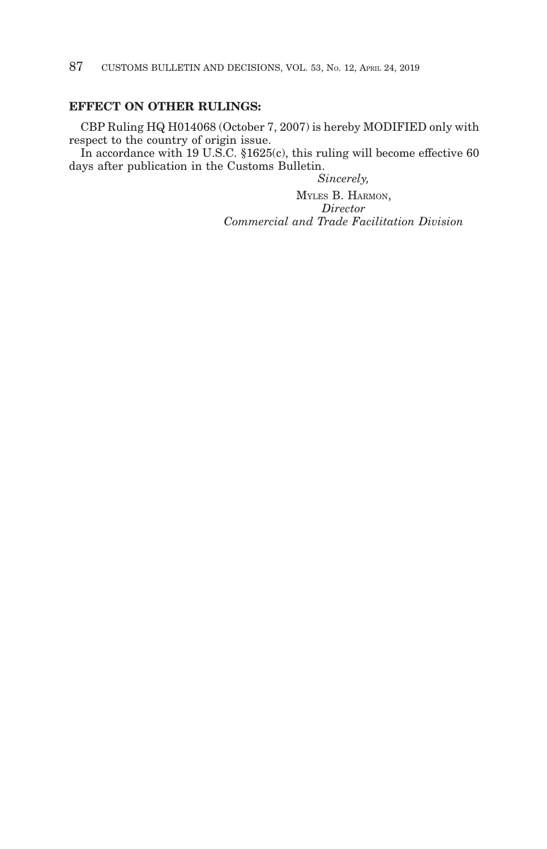# **EFFECT ON OTHER RULINGS:**

CBP Ruling HQ H014068 (October 7, 2007) is hereby MODIFIED only with respect to the country of origin issue.

In accordance with 19 U.S.C. §1625(c), this ruling will become effective 60 days after publication in the Customs Bulletin.

*Sincerely,*

MYLES B. HARMON, *Director Commercial and Trade Facilitation Division*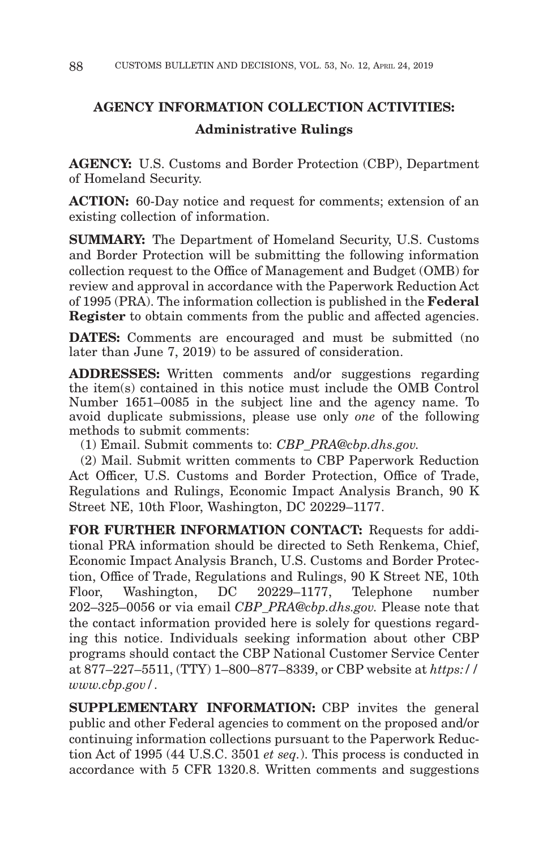# **AGENCY INFORMATION COLLECTION ACTIVITIES: Administrative Rulings**

**AGENCY:** U.S. Customs and Border Protection (CBP), Department of Homeland Security.

**ACTION:** 60-Day notice and request for comments; extension of an existing collection of information.

**SUMMARY:** The Department of Homeland Security, U.S. Customs and Border Protection will be submitting the following information collection request to the Office of Management and Budget (OMB) for review and approval in accordance with the Paperwork Reduction Act of 1995 (PRA). The information collection is published in the **Federal Register** to obtain comments from the public and affected agencies.

**DATES:** Comments are encouraged and must be submitted (no later than June 7, 2019) to be assured of consideration.

**ADDRESSES:** Written comments and/or suggestions regarding the item(s) contained in this notice must include the OMB Control Number 1651–0085 in the subject line and the agency name. To avoid duplicate submissions, please use only *one* of the following methods to submit comments:

(1) Email. Submit comments to: *CBP\_PRA@cbp.dhs.gov.*

(2) Mail. Submit written comments to CBP Paperwork Reduction Act Officer, U.S. Customs and Border Protection, Office of Trade, Regulations and Rulings, Economic Impact Analysis Branch, 90 K Street NE, 10th Floor, Washington, DC 20229–1177.

**FOR FURTHER INFORMATION CONTACT:** Requests for additional PRA information should be directed to Seth Renkema, Chief, Economic Impact Analysis Branch, U.S. Customs and Border Protection, Office of Trade, Regulations and Rulings, 90 K Street NE, 10th Floor, Washington, DC 20229–1177, Telephone number 202–325–0056 or via email *CBP\_PRA@cbp.dhs.gov.* Please note that the contact information provided here is solely for questions regarding this notice. Individuals seeking information about other CBP programs should contact the CBP National Customer Service Center at 877–227–5511, (TTY) 1–800–877–8339, or CBP website at *https:// www.cbp.gov/*.

**SUPPLEMENTARY INFORMATION:** CBP invites the general public and other Federal agencies to comment on the proposed and/or continuing information collections pursuant to the Paperwork Reduction Act of 1995 (44 U.S.C. 3501 *et seq.*). This process is conducted in accordance with 5 CFR 1320.8. Written comments and suggestions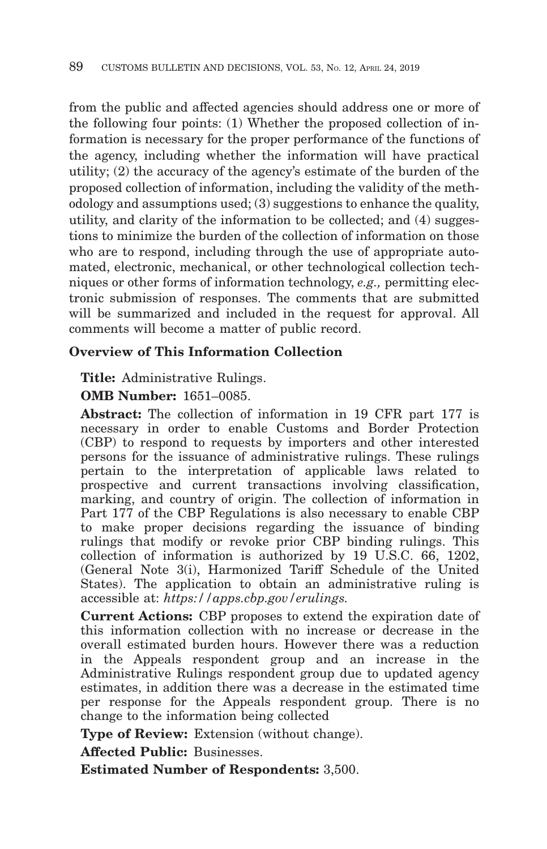from the public and affected agencies should address one or more of the following four points: (1) Whether the proposed collection of information is necessary for the proper performance of the functions of the agency, including whether the information will have practical utility; (2) the accuracy of the agency's estimate of the burden of the proposed collection of information, including the validity of the methodology and assumptions used; (3) suggestions to enhance the quality, utility, and clarity of the information to be collected; and (4) suggestions to minimize the burden of the collection of information on those who are to respond, including through the use of appropriate automated, electronic, mechanical, or other technological collection techniques or other forms of information technology, *e.g.,* permitting electronic submission of responses. The comments that are submitted will be summarized and included in the request for approval. All comments will become a matter of public record.

# **Overview of This Information Collection**

**Title:** Administrative Rulings.

**OMB Number:** 1651–0085.

**Abstract:** The collection of information in 19 CFR part 177 is necessary in order to enable Customs and Border Protection (CBP) to respond to requests by importers and other interested persons for the issuance of administrative rulings. These rulings pertain to the interpretation of applicable laws related to prospective and current transactions involving classification, marking, and country of origin. The collection of information in Part 177 of the CBP Regulations is also necessary to enable CBP to make proper decisions regarding the issuance of binding rulings that modify or revoke prior CBP binding rulings. This collection of information is authorized by 19 U.S.C. 66, 1202, (General Note 3(i), Harmonized Tariff Schedule of the United States). The application to obtain an administrative ruling is accessible at: *https://apps.cbp.gov/erulings.*

**Current Actions:** CBP proposes to extend the expiration date of this information collection with no increase or decrease in the overall estimated burden hours. However there was a reduction in the Appeals respondent group and an increase in the Administrative Rulings respondent group due to updated agency estimates, in addition there was a decrease in the estimated time per response for the Appeals respondent group. There is no change to the information being collected

**Type of Review:** Extension (without change).

**Affected Public:** Businesses.

**Estimated Number of Respondents:** 3,500.